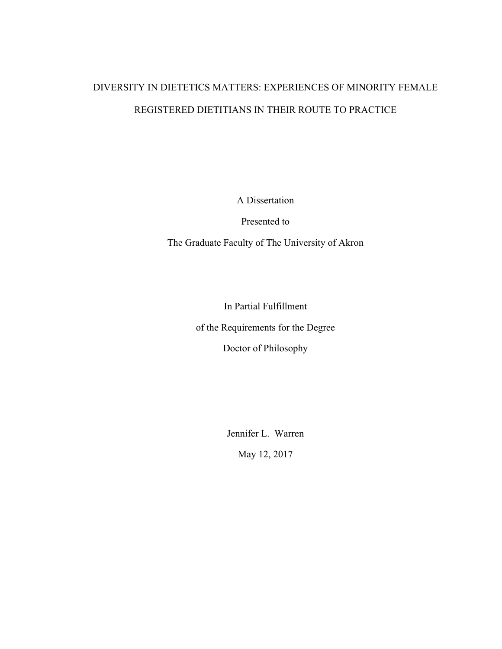# DIVERSITY IN DIETETICS MATTERS: EXPERIENCES OF MINORITY FEMALE REGISTERED DIETITIANS IN THEIR ROUTE TO PRACTICE

A Dissertation

Presented to

The Graduate Faculty of The University of Akron

In Partial Fulfillment of the Requirements for the Degree Doctor of Philosophy

Jennifer L. Warren

May 12, 2017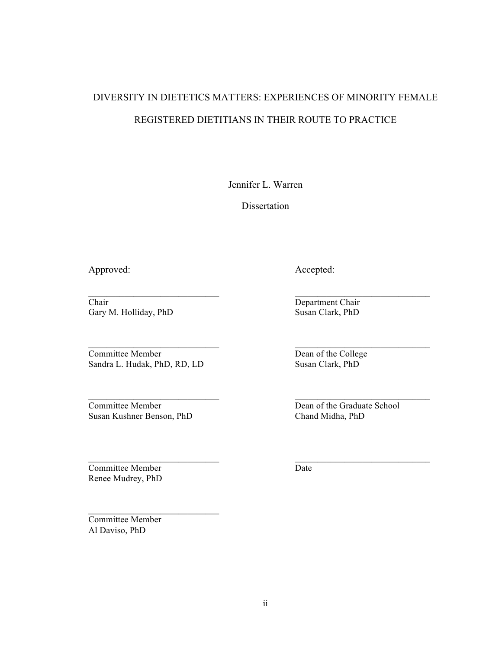# DIVERSITY IN DIETETICS MATTERS: EXPERIENCES OF MINORITY FEMALE REGISTERED DIETITIANS IN THEIR ROUTE TO PRACTICE

Jennifer L. Warren

**Dissertation** 

 $\mathcal{L}_\text{max}$  , and the set of the set of the set of the set of the set of the set of the set of the set of the set of

 $\mathcal{L}_\text{max}$  , and the contract of the contract of the contract of the contract of the contract of the contract of

Chair<br>
Gary M. Holliday, PhD<br>
Susan Clark, PhD<br>
Susan Clark, PhD Gary M. Holliday, PhD

Committee Member Dean of the College Sandra L. Hudak, PhD, RD, LD Susan Clark, PhD

Susan Kushner Benson, PhD Chand Midha, PhD

 $\mathcal{L}=\mathcal{L}=\mathcal{L}=\mathcal{L}=\mathcal{L}=\mathcal{L}=\mathcal{L}=\mathcal{L}=\mathcal{L}=\mathcal{L}=\mathcal{L}=\mathcal{L}=\mathcal{L}=\mathcal{L}=\mathcal{L}=\mathcal{L}=\mathcal{L}=\mathcal{L}=\mathcal{L}=\mathcal{L}=\mathcal{L}=\mathcal{L}=\mathcal{L}=\mathcal{L}=\mathcal{L}=\mathcal{L}=\mathcal{L}=\mathcal{L}=\mathcal{L}=\mathcal{L}=\mathcal{L}=\mathcal{L}=\mathcal{L}=\mathcal{L}=\mathcal{L}=\mathcal{L}=\mathcal{$ 

**Committee Member** Date Renee Mudrey, PhD

Committee Member Al Daviso, PhD

Approved: Accepted: Accepted:

Committee Member Dean of the Graduate School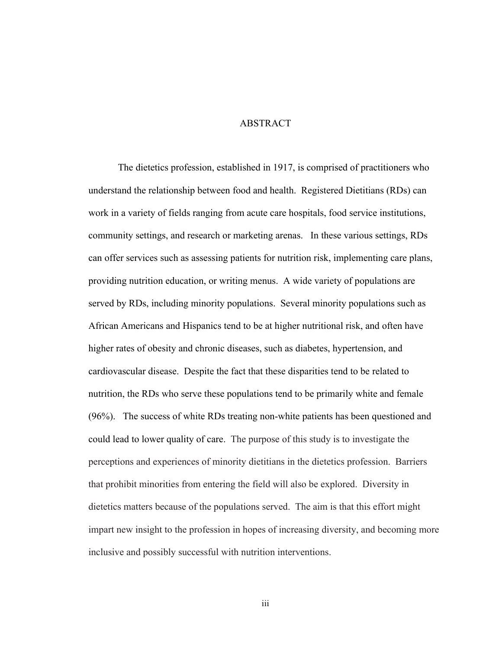#### ABSTRACT

The dietetics profession, established in 1917, is comprised of practitioners who understand the relationship between food and health. Registered Dietitians (RDs) can work in a variety of fields ranging from acute care hospitals, food service institutions, community settings, and research or marketing arenas. In these various settings, RDs can offer services such as assessing patients for nutrition risk, implementing care plans, providing nutrition education, or writing menus. A wide variety of populations are served by RDs, including minority populations. Several minority populations such as African Americans and Hispanics tend to be at higher nutritional risk, and often have higher rates of obesity and chronic diseases, such as diabetes, hypertension, and cardiovascular disease. Despite the fact that these disparities tend to be related to nutrition, the RDs who serve these populations tend to be primarily white and female (96%). The success of white RDs treating non-white patients has been questioned and could lead to lower quality of care. The purpose of this study is to investigate the perceptions and experiences of minority dietitians in the dietetics profession. Barriers that prohibit minorities from entering the field will also be explored. Diversity in dietetics matters because of the populations served. The aim is that this effort might impart new insight to the profession in hopes of increasing diversity, and becoming more inclusive and possibly successful with nutrition interventions.

iii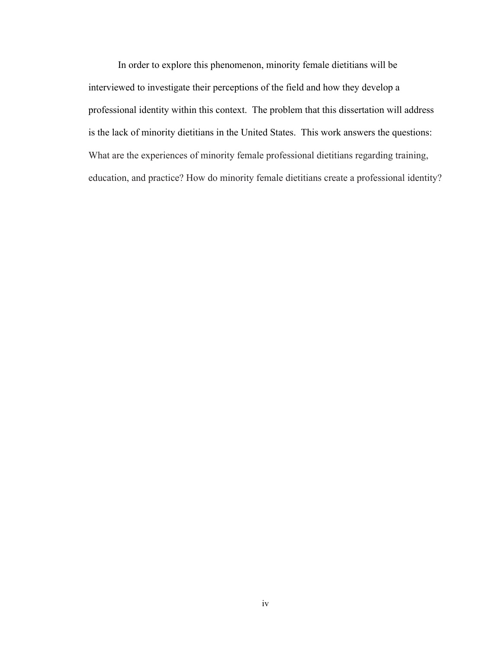In order to explore this phenomenon, minority female dietitians will be interviewed to investigate their perceptions of the field and how they develop a professional identity within this context. The problem that this dissertation will address is the lack of minority dietitians in the United States. This work answers the questions: What are the experiences of minority female professional dietitians regarding training, education, and practice? How do minority female dietitians create a professional identity?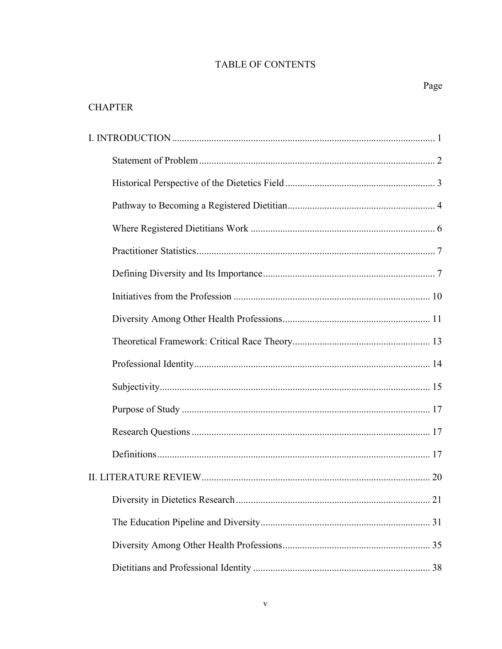### **TABLE OF CONTENTS**

## **CHAPTER**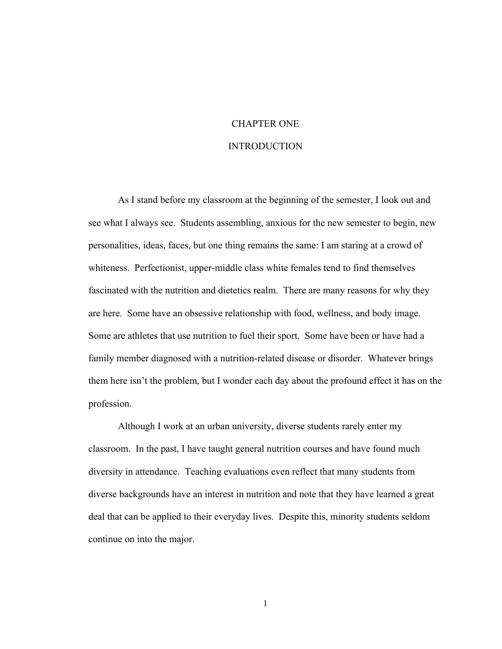# CHAPTER ONE

#### INTRODUCTION

As I stand before my classroom at the beginning of the semester, I look out and see what I always see. Students assembling, anxious for the new semester to begin, new personalities, ideas, faces, but one thing remains the same: I am staring at a crowd of whiteness. Perfectionist, upper-middle class white females tend to find themselves fascinated with the nutrition and dietetics realm. There are many reasons for why they are here. Some have an obsessive relationship with food, wellness, and body image. Some are athletes that use nutrition to fuel their sport. Some have been or have had a family member diagnosed with a nutrition-related disease or disorder. Whatever brings them here isn't the problem, but I wonder each day about the profound effect it has on the profession.

Although I work at an urban university, diverse students rarely enter my classroom. In the past, I have taught general nutrition courses and have found much diversity in attendance. Teaching evaluations even reflect that many students from diverse backgrounds have an interest in nutrition and note that they have learned a great deal that can be applied to their everyday lives. Despite this, minority students seldom continue on into the major.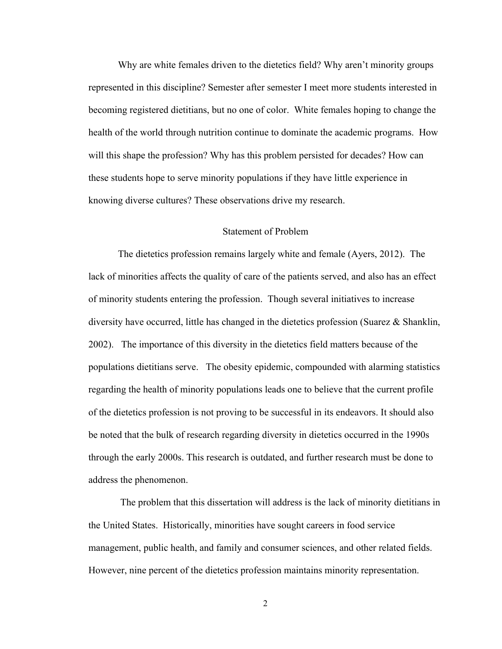Why are white females driven to the dietetics field? Why aren't minority groups represented in this discipline? Semester after semester I meet more students interested in becoming registered dietitians, but no one of color. White females hoping to change the health of the world through nutrition continue to dominate the academic programs. How will this shape the profession? Why has this problem persisted for decades? How can these students hope to serve minority populations if they have little experience in knowing diverse cultures? These observations drive my research.

#### Statement of Problem

The dietetics profession remains largely white and female (Ayers, 2012). The lack of minorities affects the quality of care of the patients served, and also has an effect of minority students entering the profession. Though several initiatives to increase diversity have occurred, little has changed in the dietetics profession (Suarez & Shanklin, 2002). The importance of this diversity in the dietetics field matters because of the populations dietitians serve. The obesity epidemic, compounded with alarming statistics regarding the health of minority populations leads one to believe that the current profile of the dietetics profession is not proving to be successful in its endeavors. It should also be noted that the bulk of research regarding diversity in dietetics occurred in the 1990s through the early 2000s. This research is outdated, and further research must be done to address the phenomenon.

The problem that this dissertation will address is the lack of minority dietitians in the United States. Historically, minorities have sought careers in food service management, public health, and family and consumer sciences, and other related fields. However, nine percent of the dietetics profession maintains minority representation.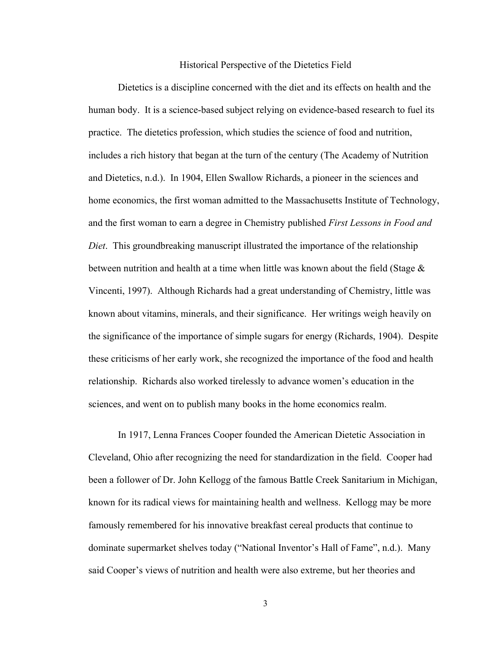#### Historical Perspective of the Dietetics Field

Dietetics is a discipline concerned with the diet and its effects on health and the human body. It is a science-based subject relying on evidence-based research to fuel its practice. The dietetics profession, which studies the science of food and nutrition, includes a rich history that began at the turn of the century (The Academy of Nutrition and Dietetics, n.d.). In 1904, Ellen Swallow Richards, a pioneer in the sciences and home economics, the first woman admitted to the Massachusetts Institute of Technology, and the first woman to earn a degree in Chemistry published *First Lessons in Food and Diet*. This groundbreaking manuscript illustrated the importance of the relationship between nutrition and health at a time when little was known about the field (Stage  $\&$ Vincenti, 1997). Although Richards had a great understanding of Chemistry, little was known about vitamins, minerals, and their significance. Her writings weigh heavily on the significance of the importance of simple sugars for energy (Richards, 1904). Despite these criticisms of her early work, she recognized the importance of the food and health relationship. Richards also worked tirelessly to advance women's education in the sciences, and went on to publish many books in the home economics realm.

In 1917, Lenna Frances Cooper founded the American Dietetic Association in Cleveland, Ohio after recognizing the need for standardization in the field. Cooper had been a follower of Dr. John Kellogg of the famous Battle Creek Sanitarium in Michigan, known for its radical views for maintaining health and wellness. Kellogg may be more famously remembered for his innovative breakfast cereal products that continue to dominate supermarket shelves today ("National Inventor's Hall of Fame", n.d.). Many said Cooper's views of nutrition and health were also extreme, but her theories and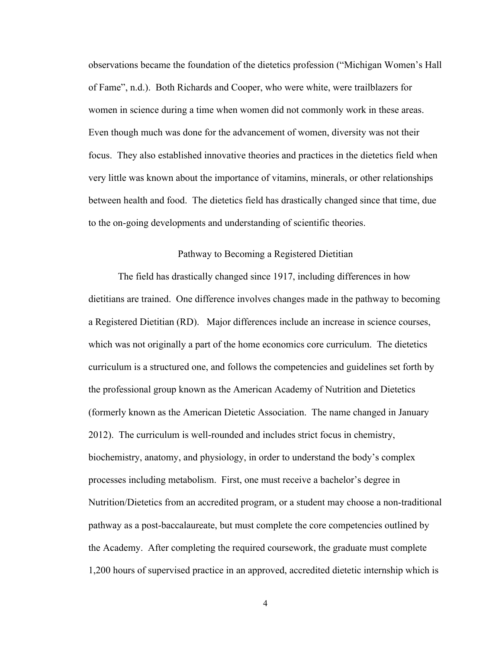observations became the foundation of the dietetics profession ("Michigan Women's Hall of Fame", n.d.). Both Richards and Cooper, who were white, were trailblazers for women in science during a time when women did not commonly work in these areas. Even though much was done for the advancement of women, diversity was not their focus. They also established innovative theories and practices in the dietetics field when very little was known about the importance of vitamins, minerals, or other relationships between health and food. The dietetics field has drastically changed since that time, due to the on-going developments and understanding of scientific theories.

#### Pathway to Becoming a Registered Dietitian

The field has drastically changed since 1917, including differences in how dietitians are trained. One difference involves changes made in the pathway to becoming a Registered Dietitian (RD). Major differences include an increase in science courses, which was not originally a part of the home economics core curriculum. The dietetics curriculum is a structured one, and follows the competencies and guidelines set forth by the professional group known as the American Academy of Nutrition and Dietetics (formerly known as the American Dietetic Association. The name changed in January 2012). The curriculum is well-rounded and includes strict focus in chemistry, biochemistry, anatomy, and physiology, in order to understand the body's complex processes including metabolism. First, one must receive a bachelor's degree in Nutrition/Dietetics from an accredited program, or a student may choose a non-traditional pathway as a post-baccalaureate, but must complete the core competencies outlined by the Academy. After completing the required coursework, the graduate must complete 1,200 hours of supervised practice in an approved, accredited dietetic internship which is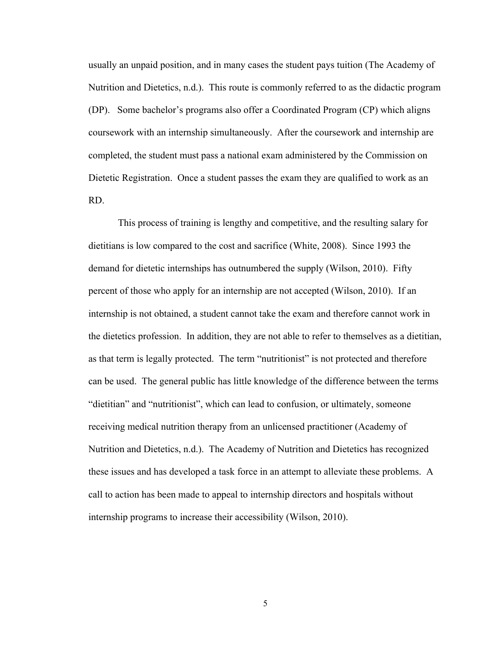usually an unpaid position, and in many cases the student pays tuition (The Academy of Nutrition and Dietetics, n.d.). This route is commonly referred to as the didactic program (DP). Some bachelor's programs also offer a Coordinated Program (CP) which aligns coursework with an internship simultaneously. After the coursework and internship are completed, the student must pass a national exam administered by the Commission on Dietetic Registration. Once a student passes the exam they are qualified to work as an RD.

This process of training is lengthy and competitive, and the resulting salary for dietitians is low compared to the cost and sacrifice (White, 2008). Since 1993 the demand for dietetic internships has outnumbered the supply (Wilson, 2010). Fifty percent of those who apply for an internship are not accepted (Wilson, 2010). If an internship is not obtained, a student cannot take the exam and therefore cannot work in the dietetics profession. In addition, they are not able to refer to themselves as a dietitian, as that term is legally protected. The term "nutritionist" is not protected and therefore can be used. The general public has little knowledge of the difference between the terms "dietitian" and "nutritionist", which can lead to confusion, or ultimately, someone receiving medical nutrition therapy from an unlicensed practitioner (Academy of Nutrition and Dietetics, n.d.). The Academy of Nutrition and Dietetics has recognized these issues and has developed a task force in an attempt to alleviate these problems. A call to action has been made to appeal to internship directors and hospitals without internship programs to increase their accessibility (Wilson, 2010).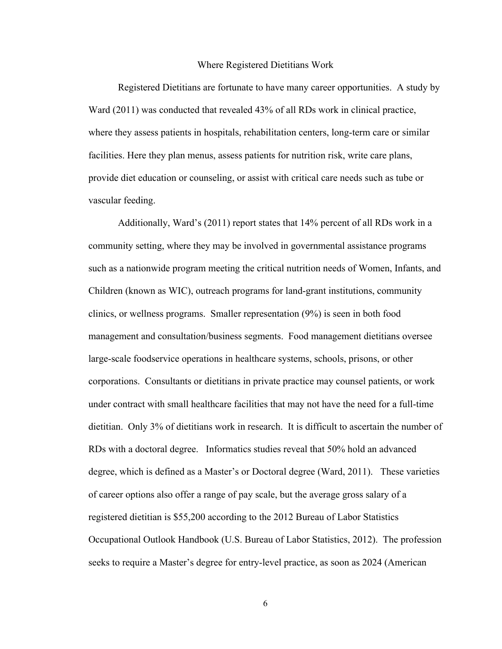#### Where Registered Dietitians Work

Registered Dietitians are fortunate to have many career opportunities. A study by Ward (2011) was conducted that revealed 43% of all RDs work in clinical practice, where they assess patients in hospitals, rehabilitation centers, long-term care or similar facilities. Here they plan menus, assess patients for nutrition risk, write care plans, provide diet education or counseling, or assist with critical care needs such as tube or vascular feeding.

Additionally, Ward's (2011) report states that 14% percent of all RDs work in a community setting, where they may be involved in governmental assistance programs such as a nationwide program meeting the critical nutrition needs of Women, Infants, and Children (known as WIC), outreach programs for land-grant institutions, community clinics, or wellness programs. Smaller representation (9%) is seen in both food management and consultation/business segments. Food management dietitians oversee large-scale foodservice operations in healthcare systems, schools, prisons, or other corporations. Consultants or dietitians in private practice may counsel patients, or work under contract with small healthcare facilities that may not have the need for a full-time dietitian. Only 3% of dietitians work in research. It is difficult to ascertain the number of RDs with a doctoral degree. Informatics studies reveal that 50% hold an advanced degree, which is defined as a Master's or Doctoral degree (Ward, 2011). These varieties of career options also offer a range of pay scale, but the average gross salary of a registered dietitian is \$55,200 according to the 2012 Bureau of Labor Statistics Occupational Outlook Handbook (U.S. Bureau of Labor Statistics, 2012). The profession seeks to require a Master's degree for entry-level practice, as soon as 2024 (American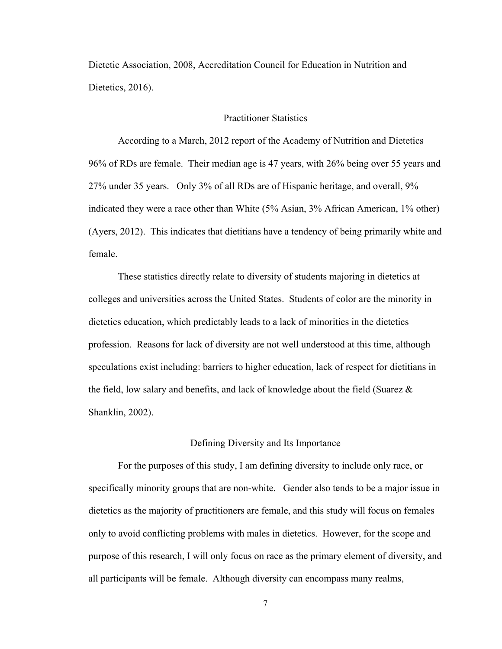Dietetic Association, 2008, Accreditation Council for Education in Nutrition and Dietetics, 2016).

#### Practitioner Statistics

According to a March, 2012 report of the Academy of Nutrition and Dietetics 96% of RDs are female. Their median age is 47 years, with 26% being over 55 years and 27% under 35 years. Only 3% of all RDs are of Hispanic heritage, and overall, 9% indicated they were a race other than White (5% Asian, 3% African American, 1% other) (Ayers, 2012). This indicates that dietitians have a tendency of being primarily white and female.

These statistics directly relate to diversity of students majoring in dietetics at colleges and universities across the United States. Students of color are the minority in dietetics education, which predictably leads to a lack of minorities in the dietetics profession. Reasons for lack of diversity are not well understood at this time, although speculations exist including: barriers to higher education, lack of respect for dietitians in the field, low salary and benefits, and lack of knowledge about the field (Suarez  $\&$ Shanklin, 2002).

#### Defining Diversity and Its Importance

For the purposes of this study, I am defining diversity to include only race, or specifically minority groups that are non-white. Gender also tends to be a major issue in dietetics as the majority of practitioners are female, and this study will focus on females only to avoid conflicting problems with males in dietetics. However, for the scope and purpose of this research, I will only focus on race as the primary element of diversity, and all participants will be female. Although diversity can encompass many realms,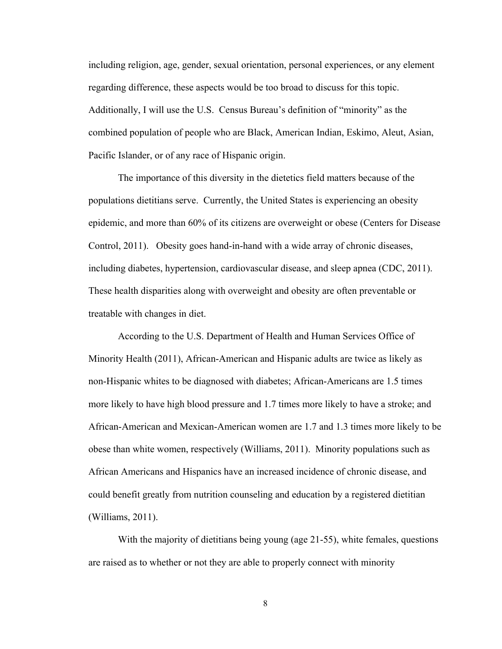including religion, age, gender, sexual orientation, personal experiences, or any element regarding difference, these aspects would be too broad to discuss for this topic. Additionally, I will use the U.S. Census Bureau's definition of "minority" as the combined population of people who are Black, American Indian, Eskimo, Aleut, Asian, Pacific Islander, or of any race of Hispanic origin.

The importance of this diversity in the dietetics field matters because of the populations dietitians serve. Currently, the United States is experiencing an obesity epidemic, and more than 60% of its citizens are overweight or obese (Centers for Disease Control, 2011). Obesity goes hand-in-hand with a wide array of chronic diseases, including diabetes, hypertension, cardiovascular disease, and sleep apnea (CDC, 2011). These health disparities along with overweight and obesity are often preventable or treatable with changes in diet.

According to the U.S. Department of Health and Human Services Office of Minority Health (2011), African-American and Hispanic adults are twice as likely as non-Hispanic whites to be diagnosed with diabetes; African-Americans are 1.5 times more likely to have high blood pressure and 1.7 times more likely to have a stroke; and African-American and Mexican-American women are 1.7 and 1.3 times more likely to be obese than white women, respectively (Williams, 2011). Minority populations such as African Americans and Hispanics have an increased incidence of chronic disease, and could benefit greatly from nutrition counseling and education by a registered dietitian (Williams, 2011).

With the majority of dietitians being young (age 21-55), white females, questions are raised as to whether or not they are able to properly connect with minority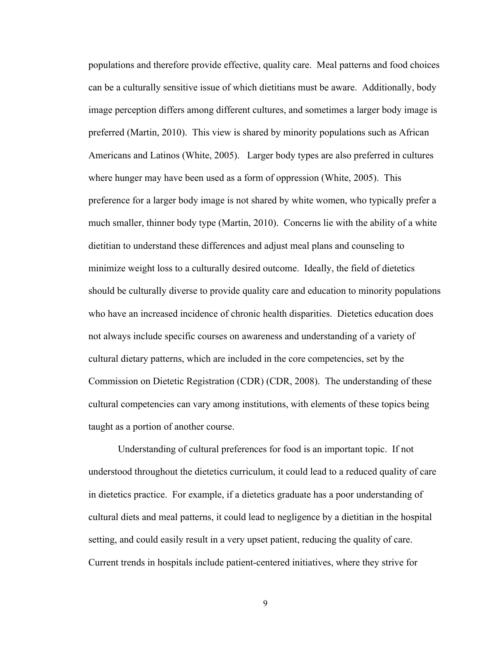populations and therefore provide effective, quality care. Meal patterns and food choices can be a culturally sensitive issue of which dietitians must be aware. Additionally, body image perception differs among different cultures, and sometimes a larger body image is preferred (Martin, 2010). This view is shared by minority populations such as African Americans and Latinos (White, 2005). Larger body types are also preferred in cultures where hunger may have been used as a form of oppression (White, 2005). This preference for a larger body image is not shared by white women, who typically prefer a much smaller, thinner body type (Martin, 2010). Concerns lie with the ability of a white dietitian to understand these differences and adjust meal plans and counseling to minimize weight loss to a culturally desired outcome. Ideally, the field of dietetics should be culturally diverse to provide quality care and education to minority populations who have an increased incidence of chronic health disparities. Dietetics education does not always include specific courses on awareness and understanding of a variety of cultural dietary patterns, which are included in the core competencies, set by the Commission on Dietetic Registration (CDR) (CDR, 2008). The understanding of these cultural competencies can vary among institutions, with elements of these topics being taught as a portion of another course.

Understanding of cultural preferences for food is an important topic. If not understood throughout the dietetics curriculum, it could lead to a reduced quality of care in dietetics practice. For example, if a dietetics graduate has a poor understanding of cultural diets and meal patterns, it could lead to negligence by a dietitian in the hospital setting, and could easily result in a very upset patient, reducing the quality of care. Current trends in hospitals include patient-centered initiatives, where they strive for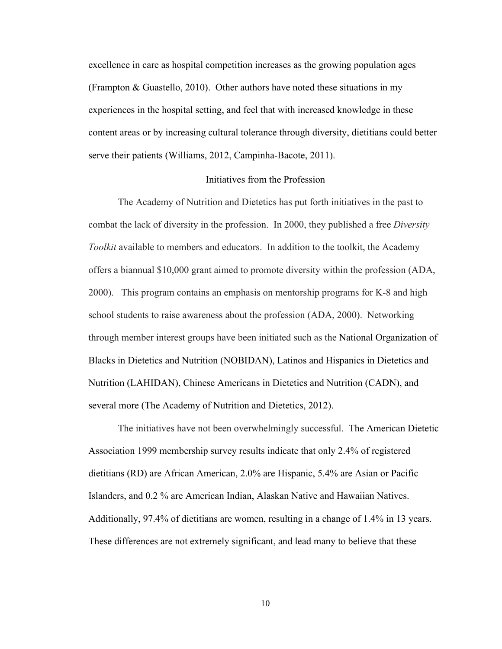excellence in care as hospital competition increases as the growing population ages (Frampton & Guastello, 2010). Other authors have noted these situations in my experiences in the hospital setting, and feel that with increased knowledge in these content areas or by increasing cultural tolerance through diversity, dietitians could better serve their patients (Williams, 2012, Campinha-Bacote, 2011).

#### Initiatives from the Profession

The Academy of Nutrition and Dietetics has put forth initiatives in the past to combat the lack of diversity in the profession. In 2000, they published a free *Diversity Toolkit* available to members and educators. In addition to the toolkit, the Academy offers a biannual \$10,000 grant aimed to promote diversity within the profession (ADA, 2000). This program contains an emphasis on mentorship programs for K-8 and high school students to raise awareness about the profession (ADA, 2000). Networking through member interest groups have been initiated such as the National Organization of Blacks in Dietetics and Nutrition (NOBIDAN), Latinos and Hispanics in Dietetics and Nutrition (LAHIDAN), Chinese Americans in Dietetics and Nutrition (CADN), and several more (The Academy of Nutrition and Dietetics, 2012).

The initiatives have not been overwhelmingly successful. The American Dietetic Association 1999 membership survey results indicate that only 2.4% of registered dietitians (RD) are African American, 2.0% are Hispanic, 5.4% are Asian or Pacific Islanders, and 0.2 % are American Indian, Alaskan Native and Hawaiian Natives. Additionally, 97.4% of dietitians are women, resulting in a change of 1.4% in 13 years. These differences are not extremely significant, and lead many to believe that these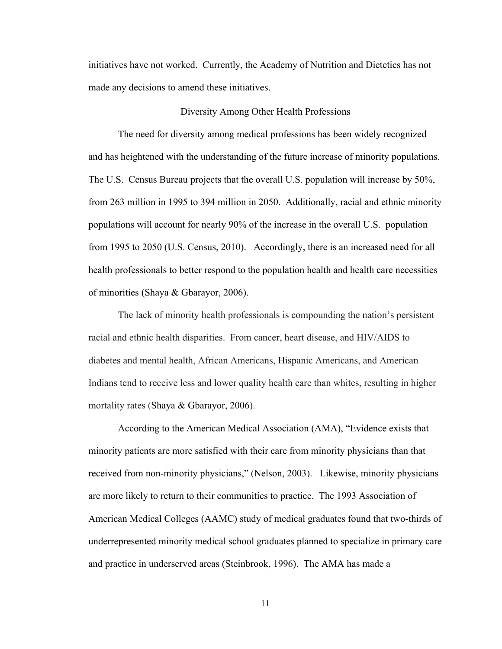initiatives have not worked. Currently, the Academy of Nutrition and Dietetics has not made any decisions to amend these initiatives.

#### Diversity Among Other Health Professions

The need for diversity among medical professions has been widely recognized and has heightened with the understanding of the future increase of minority populations. The U.S. Census Bureau projects that the overall U.S. population will increase by 50%, from 263 million in 1995 to 394 million in 2050. Additionally, racial and ethnic minority populations will account for nearly 90% of the increase in the overall U.S. population from 1995 to 2050 (U.S. Census, 2010). Accordingly, there is an increased need for all health professionals to better respond to the population health and health care necessities of minorities (Shaya & Gbarayor, 2006).

The lack of minority health professionals is compounding the nation's persistent racial and ethnic health disparities. From cancer, heart disease, and HIV/AIDS to diabetes and mental health, African Americans, Hispanic Americans, and American Indians tend to receive less and lower quality health care than whites, resulting in higher mortality rates (Shaya & Gbarayor, 2006).

According to the American Medical Association (AMA), "Evidence exists that minority patients are more satisfied with their care from minority physicians than that received from non-minority physicians," (Nelson, 2003). Likewise, minority physicians are more likely to return to their communities to practice. The 1993 Association of American Medical Colleges (AAMC) study of medical graduates found that two-thirds of underrepresented minority medical school graduates planned to specialize in primary care and practice in underserved areas (Steinbrook, 1996). The AMA has made a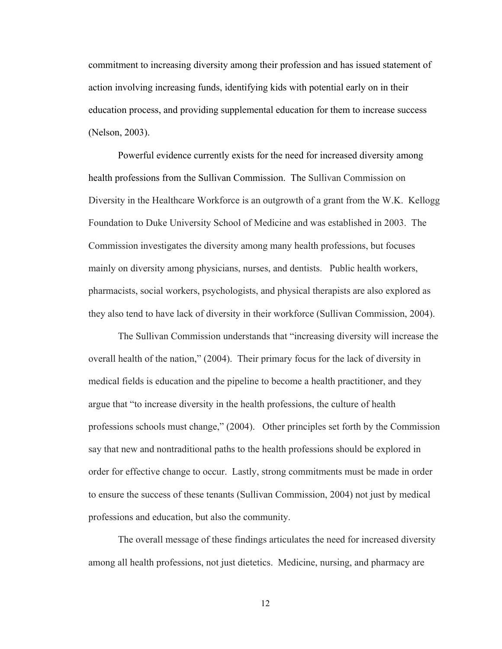commitment to increasing diversity among their profession and has issued statement of action involving increasing funds, identifying kids with potential early on in their education process, and providing supplemental education for them to increase success (Nelson, 2003).

Powerful evidence currently exists for the need for increased diversity among health professions from the Sullivan Commission. The Sullivan Commission on Diversity in the Healthcare Workforce is an outgrowth of a grant from the W.K. Kellogg Foundation to Duke University School of Medicine and was established in 2003. The Commission investigates the diversity among many health professions, but focuses mainly on diversity among physicians, nurses, and dentists. Public health workers, pharmacists, social workers, psychologists, and physical therapists are also explored as they also tend to have lack of diversity in their workforce (Sullivan Commission, 2004).

The Sullivan Commission understands that "increasing diversity will increase the overall health of the nation," (2004). Their primary focus for the lack of diversity in medical fields is education and the pipeline to become a health practitioner, and they argue that "to increase diversity in the health professions, the culture of health professions schools must change," (2004). Other principles set forth by the Commission say that new and nontraditional paths to the health professions should be explored in order for effective change to occur. Lastly, strong commitments must be made in order to ensure the success of these tenants (Sullivan Commission, 2004) not just by medical professions and education, but also the community.

The overall message of these findings articulates the need for increased diversity among all health professions, not just dietetics. Medicine, nursing, and pharmacy are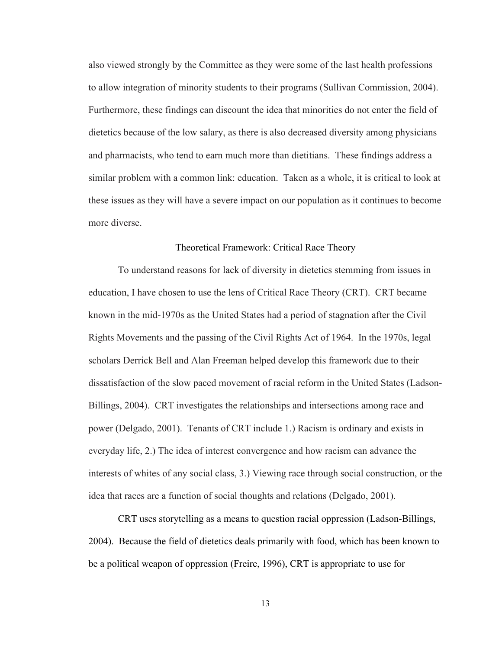also viewed strongly by the Committee as they were some of the last health professions to allow integration of minority students to their programs (Sullivan Commission, 2004). Furthermore, these findings can discount the idea that minorities do not enter the field of dietetics because of the low salary, as there is also decreased diversity among physicians and pharmacists, who tend to earn much more than dietitians. These findings address a similar problem with a common link: education. Taken as a whole, it is critical to look at these issues as they will have a severe impact on our population as it continues to become more diverse.

#### Theoretical Framework: Critical Race Theory

To understand reasons for lack of diversity in dietetics stemming from issues in education, I have chosen to use the lens of Critical Race Theory (CRT). CRT became known in the mid-1970s as the United States had a period of stagnation after the Civil Rights Movements and the passing of the Civil Rights Act of 1964. In the 1970s, legal scholars Derrick Bell and Alan Freeman helped develop this framework due to their dissatisfaction of the slow paced movement of racial reform in the United States (Ladson-Billings, 2004). CRT investigates the relationships and intersections among race and power (Delgado, 2001). Tenants of CRT include 1.) Racism is ordinary and exists in everyday life, 2.) The idea of interest convergence and how racism can advance the interests of whites of any social class, 3.) Viewing race through social construction, or the idea that races are a function of social thoughts and relations (Delgado, 2001).

CRT uses storytelling as a means to question racial oppression (Ladson-Billings, 2004). Because the field of dietetics deals primarily with food, which has been known to be a political weapon of oppression (Freire, 1996), CRT is appropriate to use for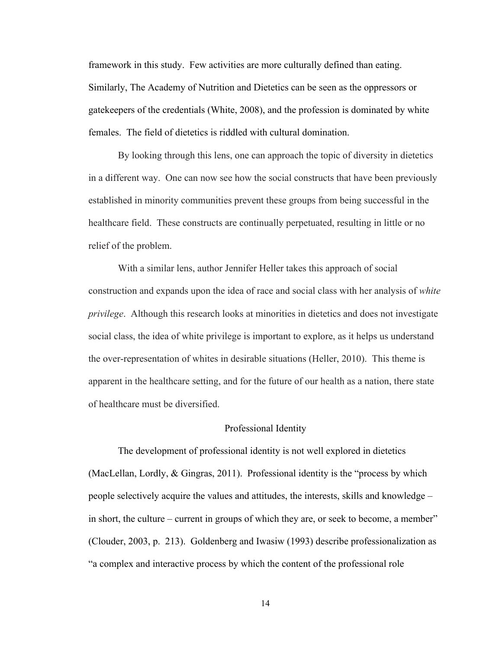framework in this study. Few activities are more culturally defined than eating. Similarly, The Academy of Nutrition and Dietetics can be seen as the oppressors or gatekeepers of the credentials (White, 2008), and the profession is dominated by white females. The field of dietetics is riddled with cultural domination.

By looking through this lens, one can approach the topic of diversity in dietetics in a different way. One can now see how the social constructs that have been previously established in minority communities prevent these groups from being successful in the healthcare field. These constructs are continually perpetuated, resulting in little or no relief of the problem.

With a similar lens, author Jennifer Heller takes this approach of social construction and expands upon the idea of race and social class with her analysis of *white privilege*. Although this research looks at minorities in dietetics and does not investigate social class, the idea of white privilege is important to explore, as it helps us understand the over-representation of whites in desirable situations (Heller, 2010). This theme is apparent in the healthcare setting, and for the future of our health as a nation, there state of healthcare must be diversified.

#### Professional Identity

The development of professional identity is not well explored in dietetics (MacLellan, Lordly, & Gingras, 2011). Professional identity is the "process by which people selectively acquire the values and attitudes, the interests, skills and knowledge – in short, the culture – current in groups of which they are, or seek to become, a member" (Clouder, 2003, p. 213). Goldenberg and Iwasiw (1993) describe professionalization as "a complex and interactive process by which the content of the professional role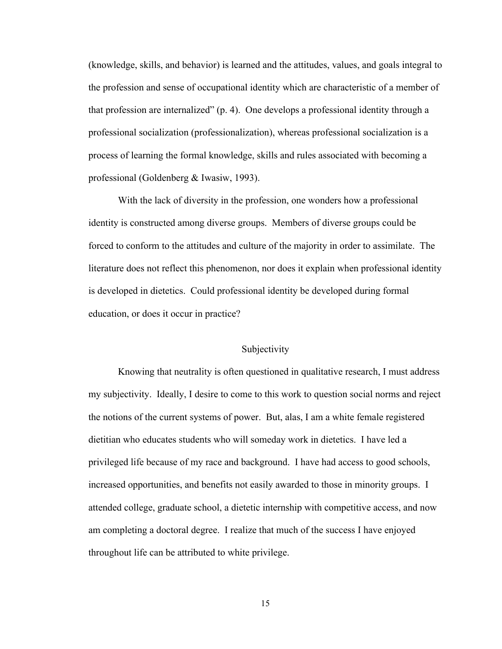(knowledge, skills, and behavior) is learned and the attitudes, values, and goals integral to the profession and sense of occupational identity which are characteristic of a member of that profession are internalized" (p. 4). One develops a professional identity through a professional socialization (professionalization), whereas professional socialization is a process of learning the formal knowledge, skills and rules associated with becoming a professional (Goldenberg & Iwasiw, 1993).

With the lack of diversity in the profession, one wonders how a professional identity is constructed among diverse groups. Members of diverse groups could be forced to conform to the attitudes and culture of the majority in order to assimilate. The literature does not reflect this phenomenon, nor does it explain when professional identity is developed in dietetics. Could professional identity be developed during formal education, or does it occur in practice?

#### Subjectivity

Knowing that neutrality is often questioned in qualitative research, I must address my subjectivity. Ideally, I desire to come to this work to question social norms and reject the notions of the current systems of power. But, alas, I am a white female registered dietitian who educates students who will someday work in dietetics. I have led a privileged life because of my race and background. I have had access to good schools, increased opportunities, and benefits not easily awarded to those in minority groups. I attended college, graduate school, a dietetic internship with competitive access, and now am completing a doctoral degree. I realize that much of the success I have enjoyed throughout life can be attributed to white privilege.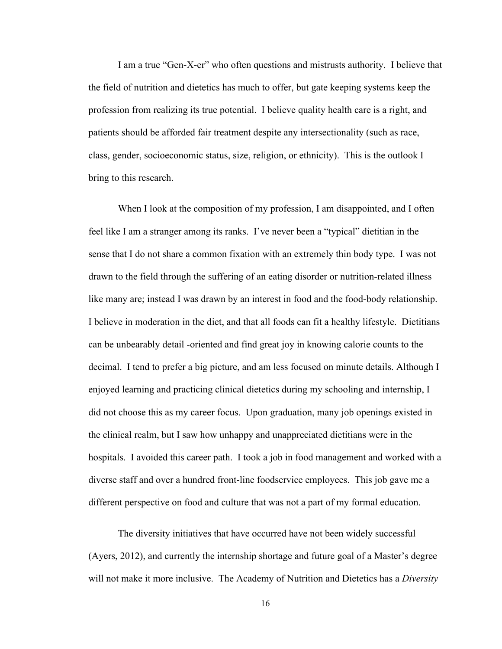I am a true "Gen-X-er" who often questions and mistrusts authority. I believe that the field of nutrition and dietetics has much to offer, but gate keeping systems keep the profession from realizing its true potential. I believe quality health care is a right, and patients should be afforded fair treatment despite any intersectionality (such as race, class, gender, socioeconomic status, size, religion, or ethnicity). This is the outlook I bring to this research.

When I look at the composition of my profession, I am disappointed, and I often feel like I am a stranger among its ranks. I've never been a "typical" dietitian in the sense that I do not share a common fixation with an extremely thin body type. I was not drawn to the field through the suffering of an eating disorder or nutrition-related illness like many are; instead I was drawn by an interest in food and the food-body relationship. I believe in moderation in the diet, and that all foods can fit a healthy lifestyle. Dietitians can be unbearably detail -oriented and find great joy in knowing calorie counts to the decimal. I tend to prefer a big picture, and am less focused on minute details. Although I enjoyed learning and practicing clinical dietetics during my schooling and internship, I did not choose this as my career focus. Upon graduation, many job openings existed in the clinical realm, but I saw how unhappy and unappreciated dietitians were in the hospitals. I avoided this career path. I took a job in food management and worked with a diverse staff and over a hundred front-line foodservice employees. This job gave me a different perspective on food and culture that was not a part of my formal education.

The diversity initiatives that have occurred have not been widely successful (Ayers, 2012), and currently the internship shortage and future goal of a Master's degree will not make it more inclusive. The Academy of Nutrition and Dietetics has a *Diversity*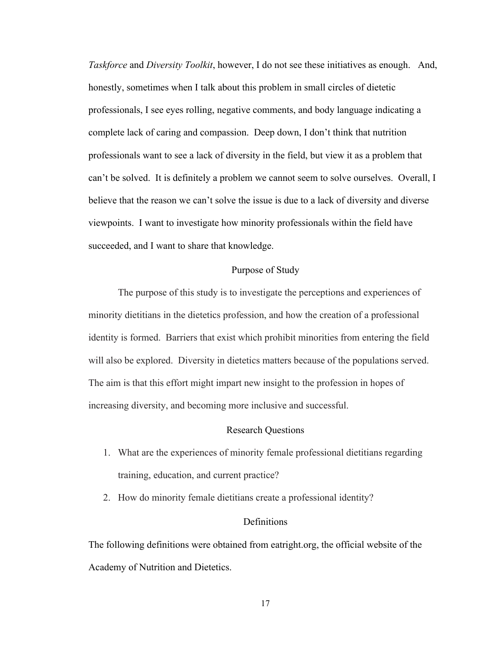*Taskforce* and *Diversity Toolkit*, however, I do not see these initiatives as enough. And, honestly, sometimes when I talk about this problem in small circles of dietetic professionals, I see eyes rolling, negative comments, and body language indicating a complete lack of caring and compassion. Deep down, I don't think that nutrition professionals want to see a lack of diversity in the field, but view it as a problem that can't be solved. It is definitely a problem we cannot seem to solve ourselves. Overall, I believe that the reason we can't solve the issue is due to a lack of diversity and diverse viewpoints. I want to investigate how minority professionals within the field have succeeded, and I want to share that knowledge.

#### Purpose of Study

The purpose of this study is to investigate the perceptions and experiences of minority dietitians in the dietetics profession, and how the creation of a professional identity is formed. Barriers that exist which prohibit minorities from entering the field will also be explored. Diversity in dietetics matters because of the populations served. The aim is that this effort might impart new insight to the profession in hopes of increasing diversity, and becoming more inclusive and successful.

#### Research Questions

- 1. What are the experiences of minority female professional dietitians regarding training, education, and current practice?
- 2. How do minority female dietitians create a professional identity?

#### Definitions

The following definitions were obtained from eatright.org, the official website of the Academy of Nutrition and Dietetics.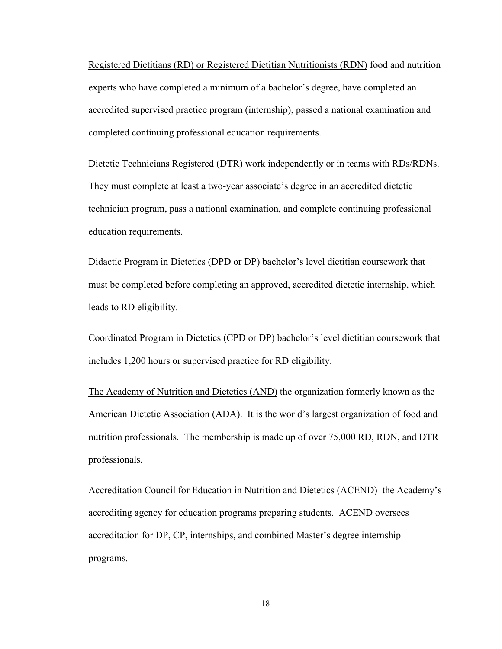Registered Dietitians (RD) or Registered Dietitian Nutritionists (RDN) food and nutrition experts who have completed a minimum of a bachelor's degree, have completed an accredited supervised practice program (internship), passed a national examination and completed continuing professional education requirements.

Dietetic Technicians Registered (DTR) work independently or in teams with RDs/RDNs. They must complete at least a two-year associate's degree in an accredited dietetic technician program, pass a national examination, and complete continuing professional education requirements.

Didactic Program in Dietetics (DPD or DP) bachelor's level dietitian coursework that must be completed before completing an approved, accredited dietetic internship, which leads to RD eligibility.

Coordinated Program in Dietetics (CPD or DP) bachelor's level dietitian coursework that includes 1,200 hours or supervised practice for RD eligibility.

The Academy of Nutrition and Dietetics (AND) the organization formerly known as the American Dietetic Association (ADA). It is the world's largest organization of food and nutrition professionals. The membership is made up of over 75,000 RD, RDN, and DTR professionals.

Accreditation Council for Education in Nutrition and Dietetics (ACEND) the Academy's accrediting agency for education programs preparing students. ACEND oversees accreditation for DP, CP, internships, and combined Master's degree internship programs.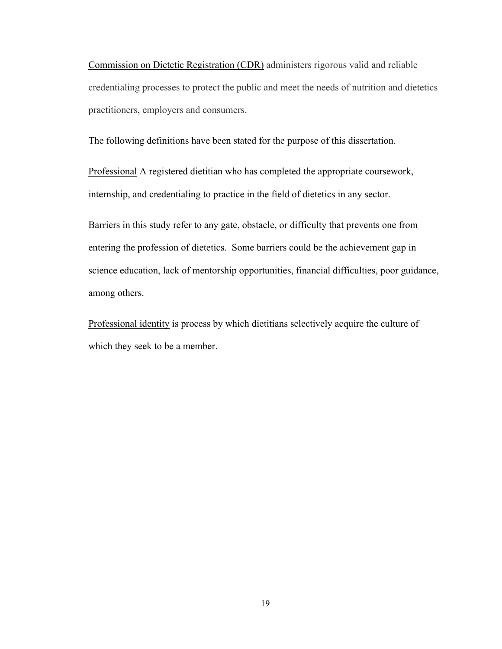Commission on Dietetic Registration (CDR) administers rigorous valid and reliable credentialing processes to protect the public and meet the needs of nutrition and dietetics practitioners, employers and consumers.

The following definitions have been stated for the purpose of this dissertation.

Professional A registered dietitian who has completed the appropriate coursework, internship, and credentialing to practice in the field of dietetics in any sector.

Barriers in this study refer to any gate, obstacle, or difficulty that prevents one from entering the profession of dietetics. Some barriers could be the achievement gap in science education, lack of mentorship opportunities, financial difficulties, poor guidance, among others.

Professional identity is process by which dietitians selectively acquire the culture of which they seek to be a member.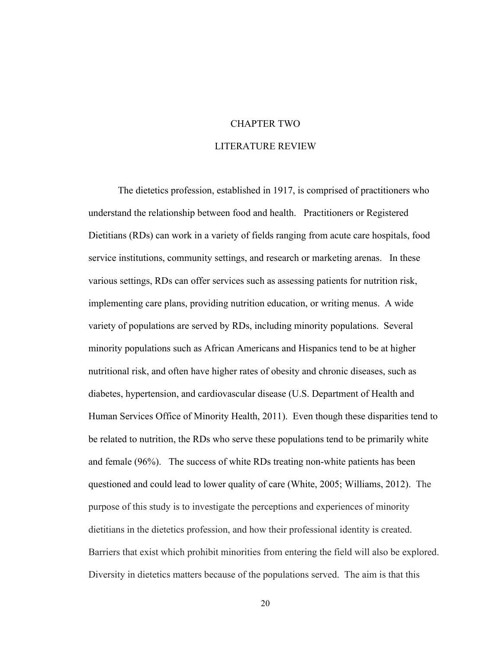## CHAPTER TWO LITERATURE REVIEW

The dietetics profession, established in 1917, is comprised of practitioners who understand the relationship between food and health. Practitioners or Registered Dietitians (RDs) can work in a variety of fields ranging from acute care hospitals, food service institutions, community settings, and research or marketing arenas. In these various settings, RDs can offer services such as assessing patients for nutrition risk, implementing care plans, providing nutrition education, or writing menus. A wide variety of populations are served by RDs, including minority populations. Several minority populations such as African Americans and Hispanics tend to be at higher nutritional risk, and often have higher rates of obesity and chronic diseases, such as diabetes, hypertension, and cardiovascular disease (U.S. Department of Health and Human Services Office of Minority Health, 2011). Even though these disparities tend to be related to nutrition, the RDs who serve these populations tend to be primarily white and female (96%). The success of white RDs treating non-white patients has been questioned and could lead to lower quality of care (White, 2005; Williams, 2012). The purpose of this study is to investigate the perceptions and experiences of minority dietitians in the dietetics profession, and how their professional identity is created. Barriers that exist which prohibit minorities from entering the field will also be explored. Diversity in dietetics matters because of the populations served. The aim is that this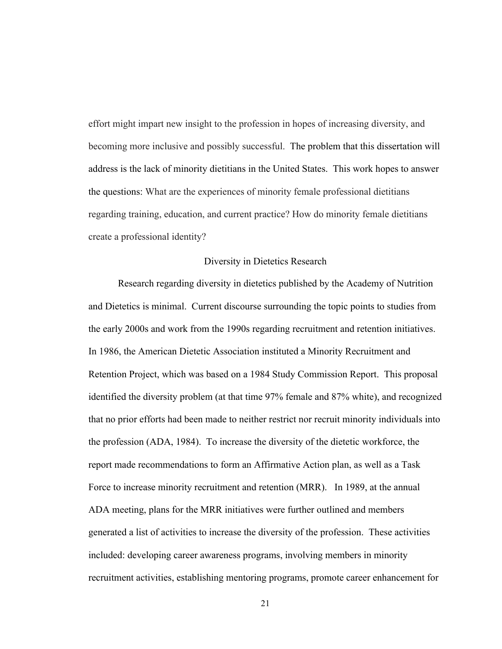effort might impart new insight to the profession in hopes of increasing diversity, and becoming more inclusive and possibly successful. The problem that this dissertation will address is the lack of minority dietitians in the United States. This work hopes to answer the questions: What are the experiences of minority female professional dietitians regarding training, education, and current practice? How do minority female dietitians create a professional identity?

#### Diversity in Dietetics Research

Research regarding diversity in dietetics published by the Academy of Nutrition and Dietetics is minimal. Current discourse surrounding the topic points to studies from the early 2000s and work from the 1990s regarding recruitment and retention initiatives. In 1986, the American Dietetic Association instituted a Minority Recruitment and Retention Project, which was based on a 1984 Study Commission Report. This proposal identified the diversity problem (at that time 97% female and 87% white), and recognized that no prior efforts had been made to neither restrict nor recruit minority individuals into the profession (ADA, 1984). To increase the diversity of the dietetic workforce, the report made recommendations to form an Affirmative Action plan, as well as a Task Force to increase minority recruitment and retention (MRR). In 1989, at the annual ADA meeting, plans for the MRR initiatives were further outlined and members generated a list of activities to increase the diversity of the profession. These activities included: developing career awareness programs, involving members in minority recruitment activities, establishing mentoring programs, promote career enhancement for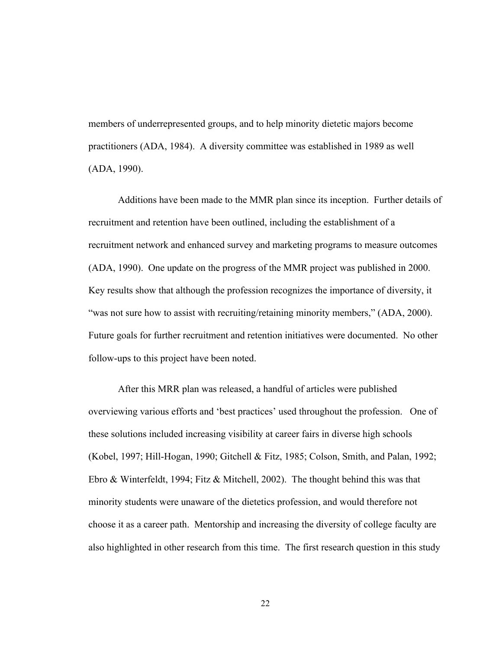members of underrepresented groups, and to help minority dietetic majors become practitioners (ADA, 1984). A diversity committee was established in 1989 as well (ADA, 1990).

Additions have been made to the MMR plan since its inception. Further details of recruitment and retention have been outlined, including the establishment of a recruitment network and enhanced survey and marketing programs to measure outcomes (ADA, 1990). One update on the progress of the MMR project was published in 2000. Key results show that although the profession recognizes the importance of diversity, it "was not sure how to assist with recruiting/retaining minority members," (ADA, 2000). Future goals for further recruitment and retention initiatives were documented. No other follow-ups to this project have been noted.

After this MRR plan was released, a handful of articles were published overviewing various efforts and 'best practices' used throughout the profession. One of these solutions included increasing visibility at career fairs in diverse high schools (Kobel, 1997; Hill-Hogan, 1990; Gitchell & Fitz, 1985; Colson, Smith, and Palan, 1992; Ebro & Winterfeldt, 1994; Fitz & Mitchell, 2002). The thought behind this was that minority students were unaware of the dietetics profession, and would therefore not choose it as a career path. Mentorship and increasing the diversity of college faculty are also highlighted in other research from this time. The first research question in this study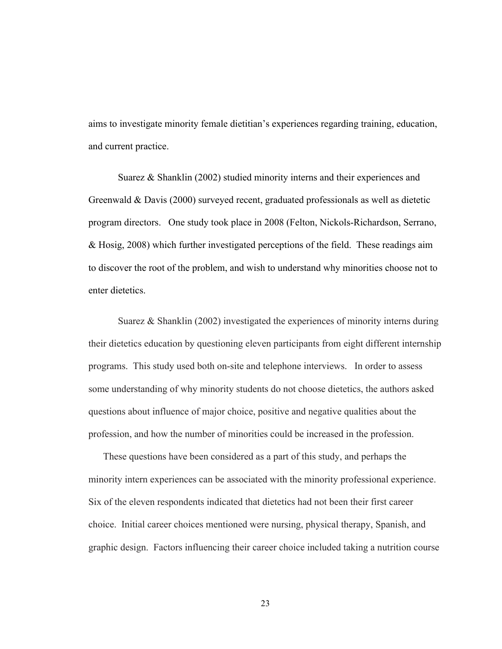aims to investigate minority female dietitian's experiences regarding training, education, and current practice.

Suarez & Shanklin (2002) studied minority interns and their experiences and Greenwald & Davis (2000) surveyed recent, graduated professionals as well as dietetic program directors. One study took place in 2008 (Felton, Nickols-Richardson, Serrano, & Hosig, 2008) which further investigated perceptions of the field. These readings aim to discover the root of the problem, and wish to understand why minorities choose not to enter dietetics.

Suarez & Shanklin (2002) investigated the experiences of minority interns during their dietetics education by questioning eleven participants from eight different internship programs. This study used both on-site and telephone interviews. In order to assess some understanding of why minority students do not choose dietetics, the authors asked questions about influence of major choice, positive and negative qualities about the profession, and how the number of minorities could be increased in the profession.

These questions have been considered as a part of this study, and perhaps the minority intern experiences can be associated with the minority professional experience. Six of the eleven respondents indicated that dietetics had not been their first career choice. Initial career choices mentioned were nursing, physical therapy, Spanish, and graphic design. Factors influencing their career choice included taking a nutrition course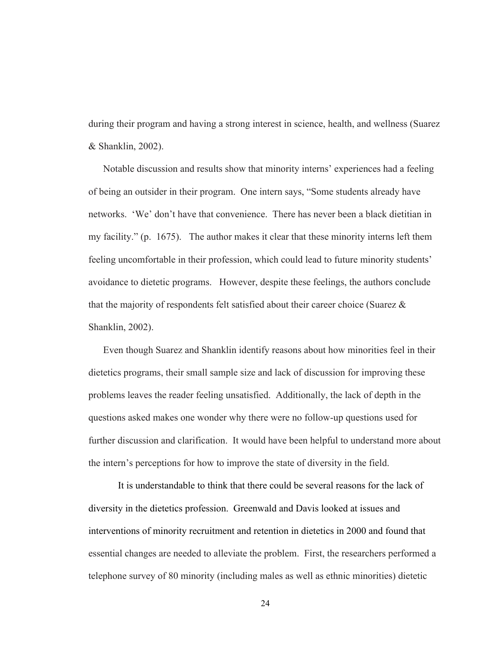during their program and having a strong interest in science, health, and wellness (Suarez & Shanklin, 2002).

Notable discussion and results show that minority interns' experiences had a feeling of being an outsider in their program. One intern says, "Some students already have networks. 'We' don't have that convenience. There has never been a black dietitian in my facility." (p. 1675). The author makes it clear that these minority interns left them feeling uncomfortable in their profession, which could lead to future minority students' avoidance to dietetic programs. However, despite these feelings, the authors conclude that the majority of respondents felt satisfied about their career choice (Suarez  $\&$ Shanklin, 2002).

Even though Suarez and Shanklin identify reasons about how minorities feel in their dietetics programs, their small sample size and lack of discussion for improving these problems leaves the reader feeling unsatisfied. Additionally, the lack of depth in the questions asked makes one wonder why there were no follow-up questions used for further discussion and clarification. It would have been helpful to understand more about the intern's perceptions for how to improve the state of diversity in the field.

It is understandable to think that there could be several reasons for the lack of diversity in the dietetics profession. Greenwald and Davis looked at issues and interventions of minority recruitment and retention in dietetics in 2000 and found that essential changes are needed to alleviate the problem. First, the researchers performed a telephone survey of 80 minority (including males as well as ethnic minorities) dietetic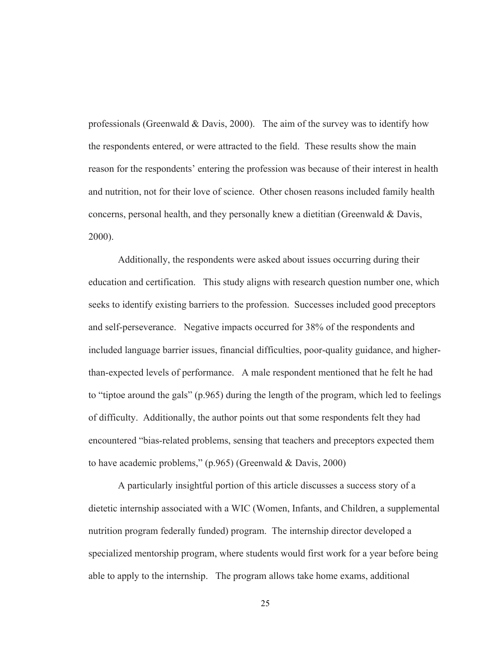professionals (Greenwald & Davis, 2000). The aim of the survey was to identify how the respondents entered, or were attracted to the field. These results show the main reason for the respondents' entering the profession was because of their interest in health and nutrition, not for their love of science. Other chosen reasons included family health concerns, personal health, and they personally knew a dietitian (Greenwald & Davis, 2000).

Additionally, the respondents were asked about issues occurring during their education and certification. This study aligns with research question number one, which seeks to identify existing barriers to the profession. Successes included good preceptors and self-perseverance. Negative impacts occurred for 38% of the respondents and included language barrier issues, financial difficulties, poor-quality guidance, and higherthan-expected levels of performance. A male respondent mentioned that he felt he had to "tiptoe around the gals" (p.965) during the length of the program, which led to feelings of difficulty. Additionally, the author points out that some respondents felt they had encountered "bias-related problems, sensing that teachers and preceptors expected them to have academic problems," (p.965) (Greenwald & Davis, 2000)

A particularly insightful portion of this article discusses a success story of a dietetic internship associated with a WIC (Women, Infants, and Children, a supplemental nutrition program federally funded) program. The internship director developed a specialized mentorship program, where students would first work for a year before being able to apply to the internship. The program allows take home exams, additional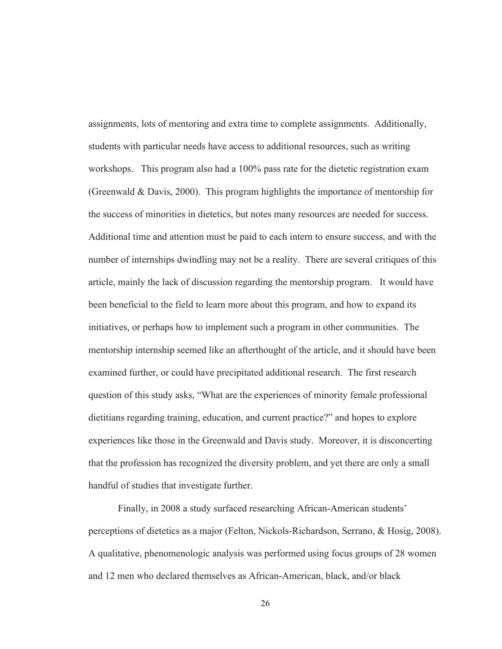assignments, lots of mentoring and extra time to complete assignments. Additionally, students with particular needs have access to additional resources, such as writing workshops. This program also had a 100% pass rate for the dietetic registration exam (Greenwald & Davis, 2000). This program highlights the importance of mentorship for the success of minorities in dietetics, but notes many resources are needed for success. Additional time and attention must be paid to each intern to ensure success, and with the number of internships dwindling may not be a reality. There are several critiques of this article, mainly the lack of discussion regarding the mentorship program. It would have been beneficial to the field to learn more about this program, and how to expand its initiatives, or perhaps how to implement such a program in other communities. The mentorship internship seemed like an afterthought of the article, and it should have been examined further, or could have precipitated additional research. The first research question of this study asks, "What are the experiences of minority female professional dietitians regarding training, education, and current practice?" and hopes to explore experiences like those in the Greenwald and Davis study. Moreover, it is disconcerting that the profession has recognized the diversity problem, and yet there are only a small handful of studies that investigate further.

Finally, in 2008 a study surfaced researching African-American students' perceptions of dietetics as a major (Felton, Nickols-Richardson, Serrano, & Hosig, 2008). A qualitative, phenomenologic analysis was performed using focus groups of 28 women and 12 men who declared themselves as African-American, black, and/or black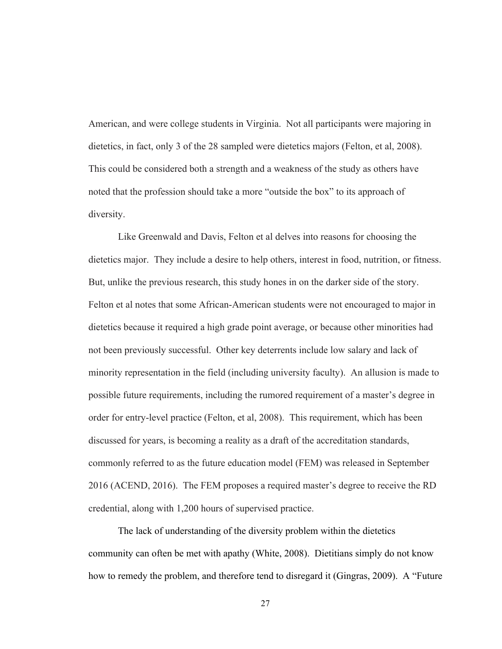American, and were college students in Virginia. Not all participants were majoring in dietetics, in fact, only 3 of the 28 sampled were dietetics majors (Felton, et al, 2008). This could be considered both a strength and a weakness of the study as others have noted that the profession should take a more "outside the box" to its approach of diversity.

Like Greenwald and Davis, Felton et al delves into reasons for choosing the dietetics major. They include a desire to help others, interest in food, nutrition, or fitness. But, unlike the previous research, this study hones in on the darker side of the story. Felton et al notes that some African-American students were not encouraged to major in dietetics because it required a high grade point average, or because other minorities had not been previously successful. Other key deterrents include low salary and lack of minority representation in the field (including university faculty). An allusion is made to possible future requirements, including the rumored requirement of a master's degree in order for entry-level practice (Felton, et al, 2008). This requirement, which has been discussed for years, is becoming a reality as a draft of the accreditation standards, commonly referred to as the future education model (FEM) was released in September 2016 (ACEND, 2016). The FEM proposes a required master's degree to receive the RD credential, along with 1,200 hours of supervised practice.

The lack of understanding of the diversity problem within the dietetics community can often be met with apathy (White, 2008). Dietitians simply do not know how to remedy the problem, and therefore tend to disregard it (Gingras, 2009). A "Future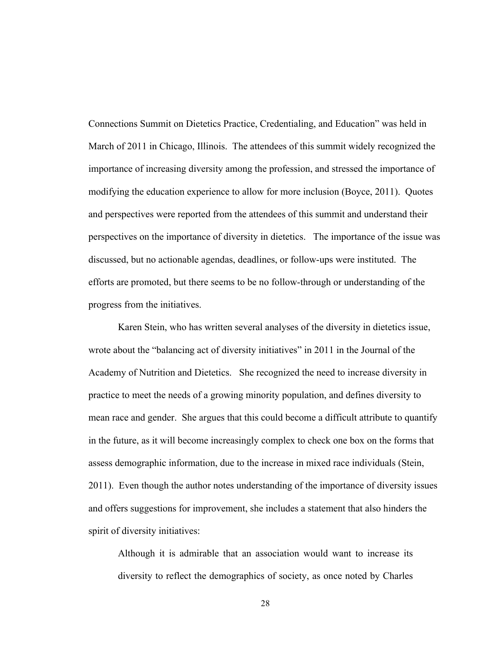Connections Summit on Dietetics Practice, Credentialing, and Education" was held in March of 2011 in Chicago, Illinois. The attendees of this summit widely recognized the importance of increasing diversity among the profession, and stressed the importance of modifying the education experience to allow for more inclusion (Boyce, 2011). Quotes and perspectives were reported from the attendees of this summit and understand their perspectives on the importance of diversity in dietetics. The importance of the issue was discussed, but no actionable agendas, deadlines, or follow-ups were instituted. The efforts are promoted, but there seems to be no follow-through or understanding of the progress from the initiatives.

Karen Stein, who has written several analyses of the diversity in dietetics issue, wrote about the "balancing act of diversity initiatives" in 2011 in the Journal of the Academy of Nutrition and Dietetics. She recognized the need to increase diversity in practice to meet the needs of a growing minority population, and defines diversity to mean race and gender. She argues that this could become a difficult attribute to quantify in the future, as it will become increasingly complex to check one box on the forms that assess demographic information, due to the increase in mixed race individuals (Stein, 2011). Even though the author notes understanding of the importance of diversity issues and offers suggestions for improvement, she includes a statement that also hinders the spirit of diversity initiatives:

Although it is admirable that an association would want to increase its diversity to reflect the demographics of society, as once noted by Charles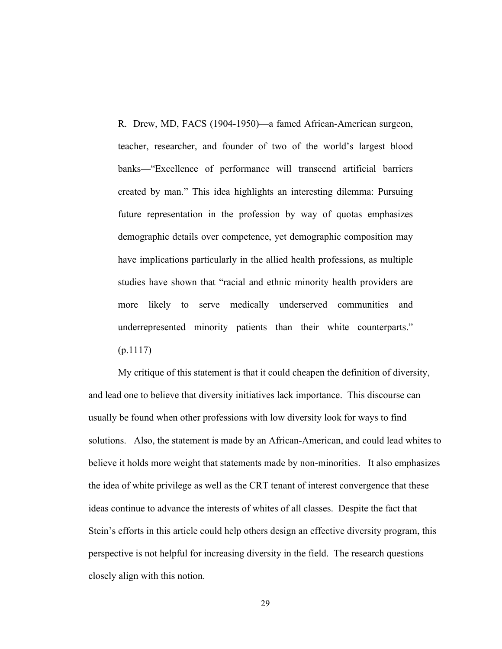R. Drew, MD, FACS (1904-1950)—a famed African-American surgeon, teacher, researcher, and founder of two of the world's largest blood banks—"Excellence of performance will transcend artificial barriers created by man." This idea highlights an interesting dilemma: Pursuing future representation in the profession by way of quotas emphasizes demographic details over competence, yet demographic composition may have implications particularly in the allied health professions, as multiple studies have shown that "racial and ethnic minority health providers are more likely to serve medically underserved communities and underrepresented minority patients than their white counterparts."  $(p.1117)$ 

My critique of this statement is that it could cheapen the definition of diversity, and lead one to believe that diversity initiatives lack importance. This discourse can usually be found when other professions with low diversity look for ways to find solutions. Also, the statement is made by an African-American, and could lead whites to believe it holds more weight that statements made by non-minorities. It also emphasizes the idea of white privilege as well as the CRT tenant of interest convergence that these ideas continue to advance the interests of whites of all classes. Despite the fact that Stein's efforts in this article could help others design an effective diversity program, this perspective is not helpful for increasing diversity in the field. The research questions closely align with this notion.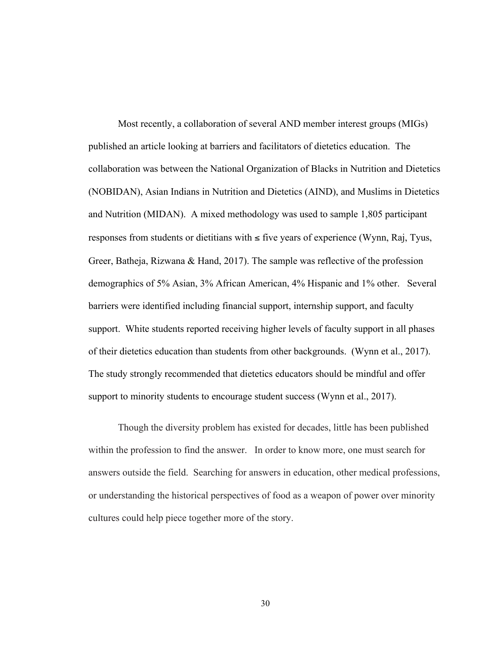Most recently, a collaboration of several AND member interest groups (MIGs) published an article looking at barriers and facilitators of dietetics education. The collaboration was between the National Organization of Blacks in Nutrition and Dietetics (NOBIDAN), Asian Indians in Nutrition and Dietetics (AIND), and Muslims in Dietetics and Nutrition (MIDAN). A mixed methodology was used to sample 1,805 participant responses from students or dietitians with  $\leq$  five years of experience (Wynn, Raj, Tyus, Greer, Batheja, Rizwana & Hand, 2017). The sample was reflective of the profession demographics of 5% Asian, 3% African American, 4% Hispanic and 1% other. Several barriers were identified including financial support, internship support, and faculty support. White students reported receiving higher levels of faculty support in all phases of their dietetics education than students from other backgrounds. (Wynn et al., 2017). The study strongly recommended that dietetics educators should be mindful and offer support to minority students to encourage student success (Wynn et al., 2017).

Though the diversity problem has existed for decades, little has been published within the profession to find the answer. In order to know more, one must search for answers outside the field. Searching for answers in education, other medical professions, or understanding the historical perspectives of food as a weapon of power over minority cultures could help piece together more of the story.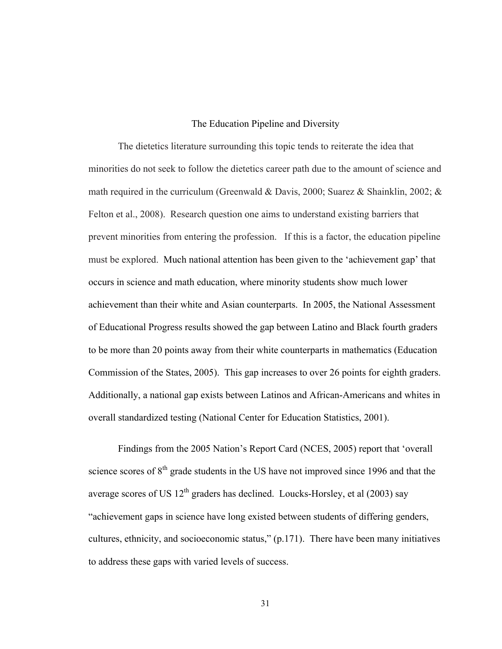# The Education Pipeline and Diversity

The dietetics literature surrounding this topic tends to reiterate the idea that minorities do not seek to follow the dietetics career path due to the amount of science and math required in the curriculum (Greenwald & Davis, 2000; Suarez & Shainklin, 2002;  $\&$ Felton et al., 2008). Research question one aims to understand existing barriers that prevent minorities from entering the profession. If this is a factor, the education pipeline must be explored. Much national attention has been given to the 'achievement gap' that occurs in science and math education, where minority students show much lower achievement than their white and Asian counterparts. In 2005, the National Assessment of Educational Progress results showed the gap between Latino and Black fourth graders to be more than 20 points away from their white counterparts in mathematics (Education Commission of the States, 2005). This gap increases to over 26 points for eighth graders. Additionally, a national gap exists between Latinos and African-Americans and whites in overall standardized testing (National Center for Education Statistics, 2001).

Findings from the 2005 Nation's Report Card (NCES, 2005) report that 'overall science scores of  $8<sup>th</sup>$  grade students in the US have not improved since 1996 and that the average scores of US  $12<sup>th</sup>$  graders has declined. Loucks-Horsley, et al (2003) say "achievement gaps in science have long existed between students of differing genders, cultures, ethnicity, and socioeconomic status," (p.171). There have been many initiatives to address these gaps with varied levels of success.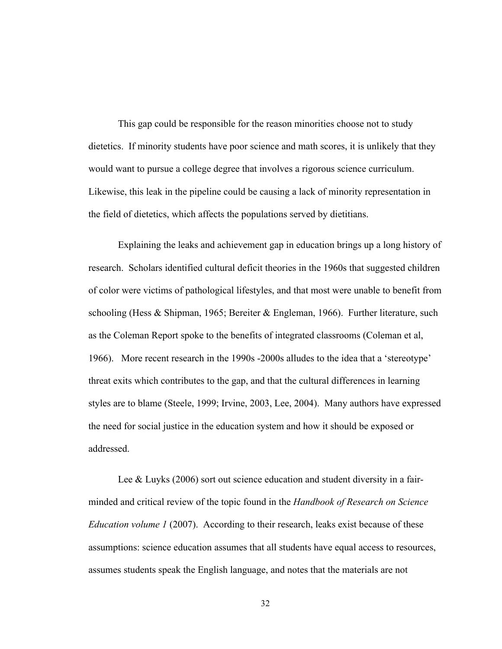This gap could be responsible for the reason minorities choose not to study dietetics. If minority students have poor science and math scores, it is unlikely that they would want to pursue a college degree that involves a rigorous science curriculum. Likewise, this leak in the pipeline could be causing a lack of minority representation in the field of dietetics, which affects the populations served by dietitians.

Explaining the leaks and achievement gap in education brings up a long history of research. Scholars identified cultural deficit theories in the 1960s that suggested children of color were victims of pathological lifestyles, and that most were unable to benefit from schooling (Hess & Shipman, 1965; Bereiter & Engleman, 1966). Further literature, such as the Coleman Report spoke to the benefits of integrated classrooms (Coleman et al, 1966). More recent research in the 1990s -2000s alludes to the idea that a 'stereotype' threat exits which contributes to the gap, and that the cultural differences in learning styles are to blame (Steele, 1999; Irvine, 2003, Lee, 2004). Many authors have expressed the need for social justice in the education system and how it should be exposed or addressed.

Lee & Luyks (2006) sort out science education and student diversity in a fairminded and critical review of the topic found in the *Handbook of Research on Science Education volume 1* (2007). According to their research, leaks exist because of these assumptions: science education assumes that all students have equal access to resources, assumes students speak the English language, and notes that the materials are not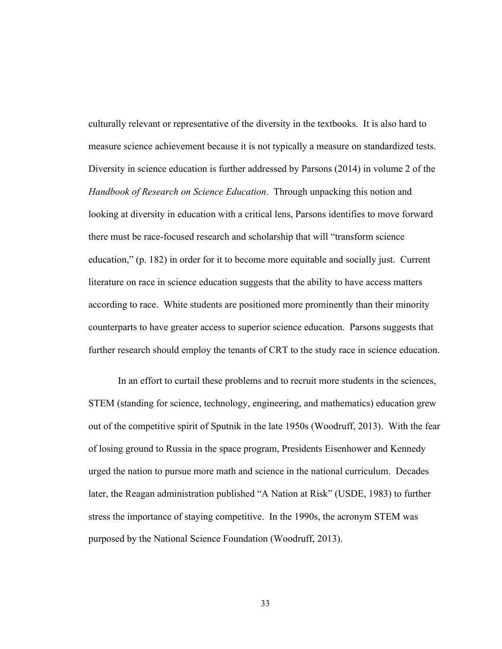culturally relevant or representative of the diversity in the textbooks. It is also hard to measure science achievement because it is not typically a measure on standardized tests. Diversity in science education is further addressed by Parsons (2014) in volume 2 of the *Handbook of Research on Science Education*. Through unpacking this notion and looking at diversity in education with a critical lens, Parsons identifies to move forward there must be race-focused research and scholarship that will "transform science education," (p. 182) in order for it to become more equitable and socially just. Current literature on race in science education suggests that the ability to have access matters according to race. White students are positioned more prominently than their minority counterparts to have greater access to superior science education. Parsons suggests that further research should employ the tenants of CRT to the study race in science education.

In an effort to curtail these problems and to recruit more students in the sciences, STEM (standing for science, technology, engineering, and mathematics) education grew out of the competitive spirit of Sputnik in the late 1950s (Woodruff, 2013). With the fear of losing ground to Russia in the space program, Presidents Eisenhower and Kennedy urged the nation to pursue more math and science in the national curriculum. Decades later, the Reagan administration published "A Nation at Risk" (USDE, 1983) to further stress the importance of staying competitive. In the 1990s, the acronym STEM was purposed by the National Science Foundation (Woodruff, 2013).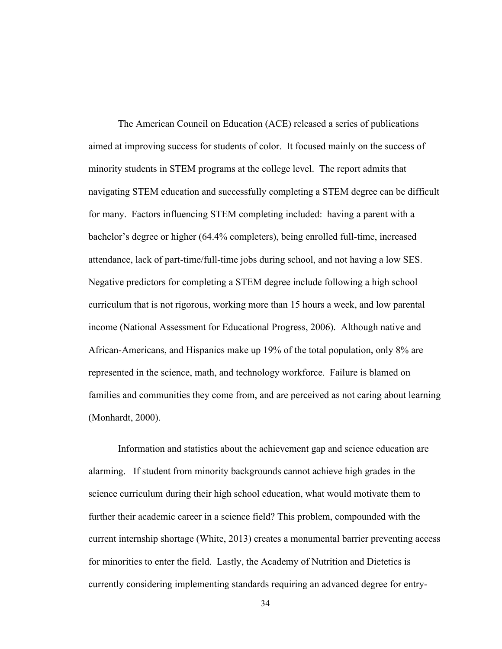The American Council on Education (ACE) released a series of publications aimed at improving success for students of color. It focused mainly on the success of minority students in STEM programs at the college level. The report admits that navigating STEM education and successfully completing a STEM degree can be difficult for many. Factors influencing STEM completing included: having a parent with a bachelor's degree or higher (64.4% completers), being enrolled full-time, increased attendance, lack of part-time/full-time jobs during school, and not having a low SES. Negative predictors for completing a STEM degree include following a high school curriculum that is not rigorous, working more than 15 hours a week, and low parental income (National Assessment for Educational Progress, 2006). Although native and African-Americans, and Hispanics make up 19% of the total population, only 8% are represented in the science, math, and technology workforce. Failure is blamed on families and communities they come from, and are perceived as not caring about learning (Monhardt, 2000).

Information and statistics about the achievement gap and science education are alarming. If student from minority backgrounds cannot achieve high grades in the science curriculum during their high school education, what would motivate them to further their academic career in a science field? This problem, compounded with the current internship shortage (White, 2013) creates a monumental barrier preventing access for minorities to enter the field. Lastly, the Academy of Nutrition and Dietetics is currently considering implementing standards requiring an advanced degree for entry-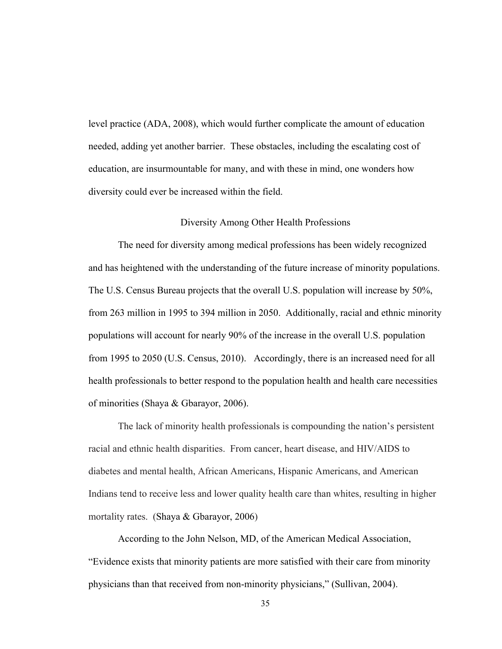level practice (ADA, 2008), which would further complicate the amount of education needed, adding yet another barrier. These obstacles, including the escalating cost of education, are insurmountable for many, and with these in mind, one wonders how diversity could ever be increased within the field.

# Diversity Among Other Health Professions

The need for diversity among medical professions has been widely recognized and has heightened with the understanding of the future increase of minority populations. The U.S. Census Bureau projects that the overall U.S. population will increase by 50%, from 263 million in 1995 to 394 million in 2050. Additionally, racial and ethnic minority populations will account for nearly 90% of the increase in the overall U.S. population from 1995 to 2050 (U.S. Census, 2010). Accordingly, there is an increased need for all health professionals to better respond to the population health and health care necessities of minorities (Shaya & Gbarayor, 2006).

The lack of minority health professionals is compounding the nation's persistent racial and ethnic health disparities. From cancer, heart disease, and HIV/AIDS to diabetes and mental health, African Americans, Hispanic Americans, and American Indians tend to receive less and lower quality health care than whites, resulting in higher mortality rates. (Shaya & Gbarayor, 2006)

According to the John Nelson, MD, of the American Medical Association, "Evidence exists that minority patients are more satisfied with their care from minority physicians than that received from non-minority physicians," (Sullivan, 2004).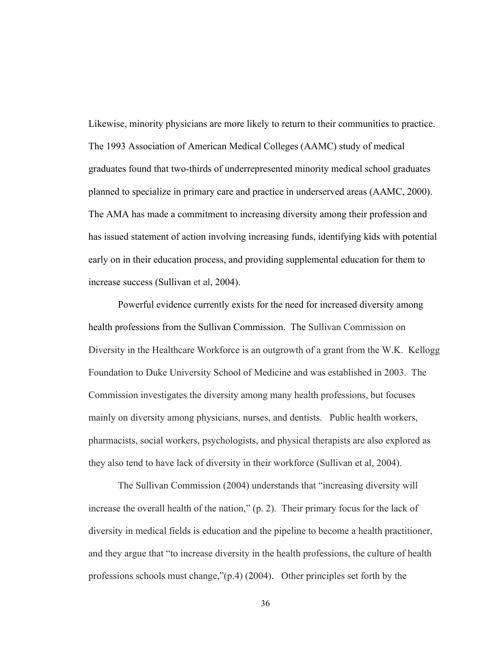Likewise, minority physicians are more likely to return to their communities to practice. The 1993 Association of American Medical Colleges (AAMC) study of medical graduates found that two-thirds of underrepresented minority medical school graduates planned to specialize in primary care and practice in underserved areas (AAMC, 2000). The AMA has made a commitment to increasing diversity among their profession and has issued statement of action involving increasing funds, identifying kids with potential early on in their education process, and providing supplemental education for them to increase success (Sullivan et al, 2004).

Powerful evidence currently exists for the need for increased diversity among health professions from the Sullivan Commission. The Sullivan Commission on Diversity in the Healthcare Workforce is an outgrowth of a grant from the W.K. Kellogg Foundation to Duke University School of Medicine and was established in 2003. The Commission investigates the diversity among many health professions, but focuses mainly on diversity among physicians, nurses, and dentists. Public health workers, pharmacists, social workers, psychologists, and physical therapists are also explored as they also tend to have lack of diversity in their workforce (Sullivan et al, 2004).

The Sullivan Commission (2004) understands that "increasing diversity will increase the overall health of the nation," (p. 2). Their primary focus for the lack of diversity in medical fields is education and the pipeline to become a health practitioner, and they argue that "to increase diversity in the health professions, the culture of health professions schools must change,"(p.4) (2004). Other principles set forth by the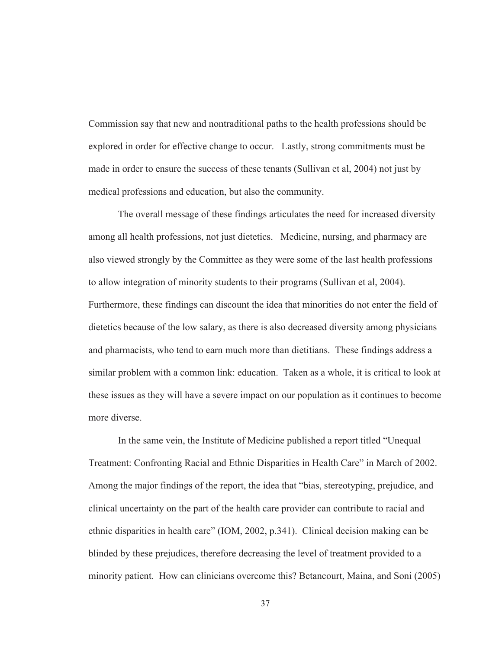Commission say that new and nontraditional paths to the health professions should be explored in order for effective change to occur. Lastly, strong commitments must be made in order to ensure the success of these tenants (Sullivan et al, 2004) not just by medical professions and education, but also the community.

The overall message of these findings articulates the need for increased diversity among all health professions, not just dietetics. Medicine, nursing, and pharmacy are also viewed strongly by the Committee as they were some of the last health professions to allow integration of minority students to their programs (Sullivan et al, 2004). Furthermore, these findings can discount the idea that minorities do not enter the field of dietetics because of the low salary, as there is also decreased diversity among physicians and pharmacists, who tend to earn much more than dietitians. These findings address a similar problem with a common link: education. Taken as a whole, it is critical to look at these issues as they will have a severe impact on our population as it continues to become more diverse.

In the same vein, the Institute of Medicine published a report titled "Unequal Treatment: Confronting Racial and Ethnic Disparities in Health Care" in March of 2002. Among the major findings of the report, the idea that "bias, stereotyping, prejudice, and clinical uncertainty on the part of the health care provider can contribute to racial and ethnic disparities in health care" (IOM, 2002, p.341). Clinical decision making can be blinded by these prejudices, therefore decreasing the level of treatment provided to a minority patient. How can clinicians overcome this? Betancourt, Maina, and Soni (2005)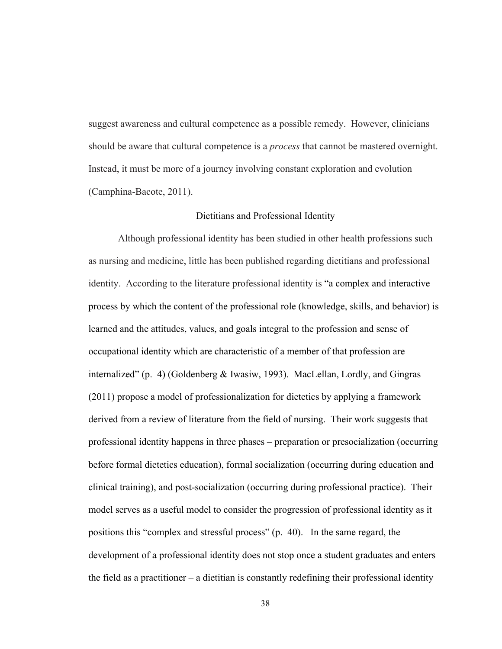suggest awareness and cultural competence as a possible remedy. However, clinicians should be aware that cultural competence is a *process* that cannot be mastered overnight. Instead, it must be more of a journey involving constant exploration and evolution (Camphina-Bacote, 2011).

#### Dietitians and Professional Identity

Although professional identity has been studied in other health professions such as nursing and medicine, little has been published regarding dietitians and professional identity. According to the literature professional identity is "a complex and interactive process by which the content of the professional role (knowledge, skills, and behavior) is learned and the attitudes, values, and goals integral to the profession and sense of occupational identity which are characteristic of a member of that profession are internalized" (p. 4) (Goldenberg & Iwasiw, 1993). MacLellan, Lordly, and Gingras (2011) propose a model of professionalization for dietetics by applying a framework derived from a review of literature from the field of nursing. Their work suggests that professional identity happens in three phases – preparation or presocialization (occurring before formal dietetics education), formal socialization (occurring during education and clinical training), and post-socialization (occurring during professional practice). Their model serves as a useful model to consider the progression of professional identity as it positions this "complex and stressful process" (p. 40). In the same regard, the development of a professional identity does not stop once a student graduates and enters the field as a practitioner – a dietitian is constantly redefining their professional identity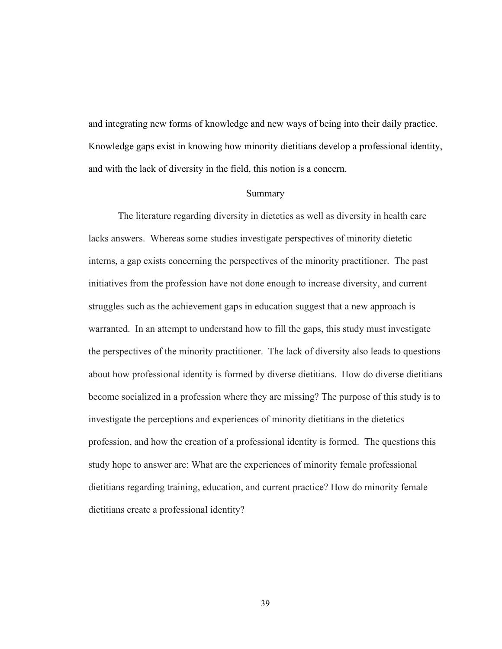and integrating new forms of knowledge and new ways of being into their daily practice. Knowledge gaps exist in knowing how minority dietitians develop a professional identity, and with the lack of diversity in the field, this notion is a concern.

# Summary

The literature regarding diversity in dietetics as well as diversity in health care lacks answers. Whereas some studies investigate perspectives of minority dietetic interns, a gap exists concerning the perspectives of the minority practitioner. The past initiatives from the profession have not done enough to increase diversity, and current struggles such as the achievement gaps in education suggest that a new approach is warranted. In an attempt to understand how to fill the gaps, this study must investigate the perspectives of the minority practitioner. The lack of diversity also leads to questions about how professional identity is formed by diverse dietitians. How do diverse dietitians become socialized in a profession where they are missing? The purpose of this study is to investigate the perceptions and experiences of minority dietitians in the dietetics profession, and how the creation of a professional identity is formed. The questions this study hope to answer are: What are the experiences of minority female professional dietitians regarding training, education, and current practice? How do minority female dietitians create a professional identity?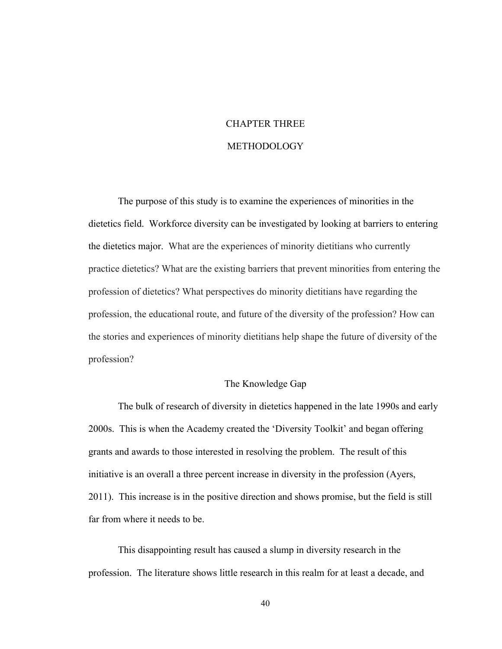# CHAPTER THREE **METHODOLOGY**

The purpose of this study is to examine the experiences of minorities in the dietetics field. Workforce diversity can be investigated by looking at barriers to entering the dietetics major. What are the experiences of minority dietitians who currently practice dietetics? What are the existing barriers that prevent minorities from entering the profession of dietetics? What perspectives do minority dietitians have regarding the profession, the educational route, and future of the diversity of the profession? How can the stories and experiences of minority dietitians help shape the future of diversity of the profession?

# The Knowledge Gap

The bulk of research of diversity in dietetics happened in the late 1990s and early 2000s. This is when the Academy created the 'Diversity Toolkit' and began offering grants and awards to those interested in resolving the problem. The result of this initiative is an overall a three percent increase in diversity in the profession (Ayers, 2011). This increase is in the positive direction and shows promise, but the field is still far from where it needs to be.

This disappointing result has caused a slump in diversity research in the profession. The literature shows little research in this realm for at least a decade, and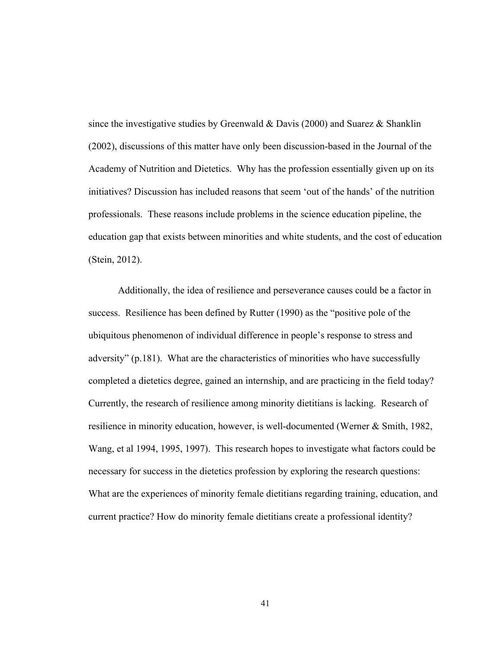since the investigative studies by Greenwald  $\&$  Davis (2000) and Suarez  $\&$  Shanklin (2002), discussions of this matter have only been discussion-based in the Journal of the Academy of Nutrition and Dietetics. Why has the profession essentially given up on its initiatives? Discussion has included reasons that seem 'out of the hands' of the nutrition professionals. These reasons include problems in the science education pipeline, the education gap that exists between minorities and white students, and the cost of education (Stein, 2012).

Additionally, the idea of resilience and perseverance causes could be a factor in success. Resilience has been defined by Rutter (1990) as the "positive pole of the ubiquitous phenomenon of individual difference in people's response to stress and adversity" (p.181). What are the characteristics of minorities who have successfully completed a dietetics degree, gained an internship, and are practicing in the field today? Currently, the research of resilience among minority dietitians is lacking. Research of resilience in minority education, however, is well-documented (Werner & Smith, 1982, Wang, et al 1994, 1995, 1997). This research hopes to investigate what factors could be necessary for success in the dietetics profession by exploring the research questions: What are the experiences of minority female dietitians regarding training, education, and current practice? How do minority female dietitians create a professional identity?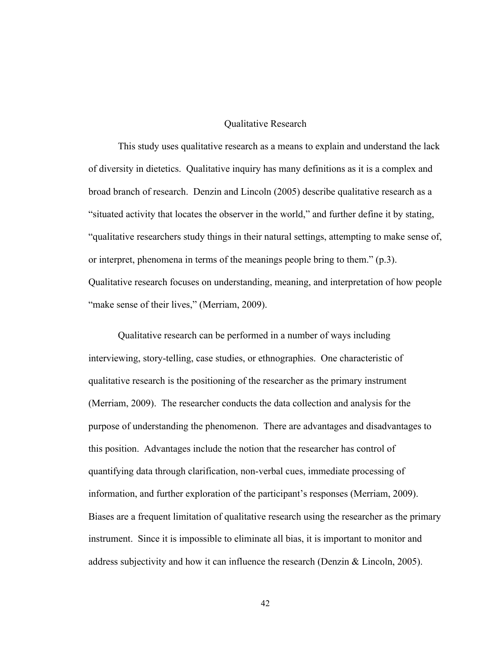# Qualitative Research

This study uses qualitative research as a means to explain and understand the lack of diversity in dietetics. Qualitative inquiry has many definitions as it is a complex and broad branch of research. Denzin and Lincoln (2005) describe qualitative research as a "situated activity that locates the observer in the world," and further define it by stating, "qualitative researchers study things in their natural settings, attempting to make sense of, or interpret, phenomena in terms of the meanings people bring to them." (p.3). Qualitative research focuses on understanding, meaning, and interpretation of how people "make sense of their lives," (Merriam, 2009).

Qualitative research can be performed in a number of ways including interviewing, story-telling, case studies, or ethnographies. One characteristic of qualitative research is the positioning of the researcher as the primary instrument (Merriam, 2009). The researcher conducts the data collection and analysis for the purpose of understanding the phenomenon. There are advantages and disadvantages to this position. Advantages include the notion that the researcher has control of quantifying data through clarification, non-verbal cues, immediate processing of information, and further exploration of the participant's responses (Merriam, 2009). Biases are a frequent limitation of qualitative research using the researcher as the primary instrument. Since it is impossible to eliminate all bias, it is important to monitor and address subjectivity and how it can influence the research (Denzin & Lincoln, 2005).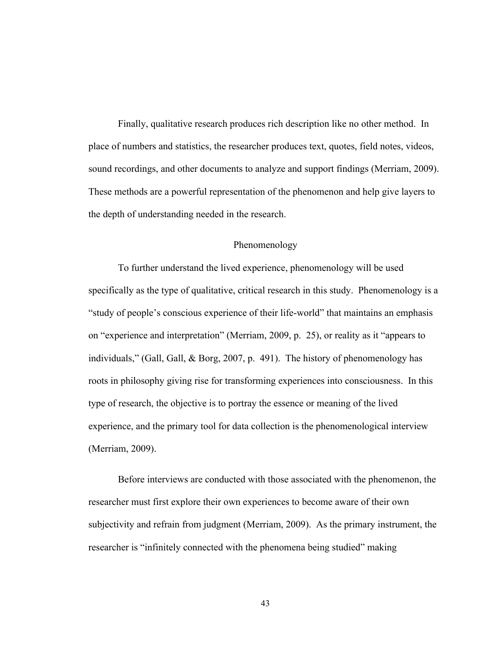Finally, qualitative research produces rich description like no other method. In place of numbers and statistics, the researcher produces text, quotes, field notes, videos, sound recordings, and other documents to analyze and support findings (Merriam, 2009). These methods are a powerful representation of the phenomenon and help give layers to the depth of understanding needed in the research.

## Phenomenology

To further understand the lived experience, phenomenology will be used specifically as the type of qualitative, critical research in this study. Phenomenology is a "study of people's conscious experience of their life-world" that maintains an emphasis on "experience and interpretation" (Merriam, 2009, p. 25), or reality as it "appears to individuals," (Gall, Gall, & Borg, 2007, p. 491). The history of phenomenology has roots in philosophy giving rise for transforming experiences into consciousness. In this type of research, the objective is to portray the essence or meaning of the lived experience, and the primary tool for data collection is the phenomenological interview (Merriam, 2009).

Before interviews are conducted with those associated with the phenomenon, the researcher must first explore their own experiences to become aware of their own subjectivity and refrain from judgment (Merriam, 2009). As the primary instrument, the researcher is "infinitely connected with the phenomena being studied" making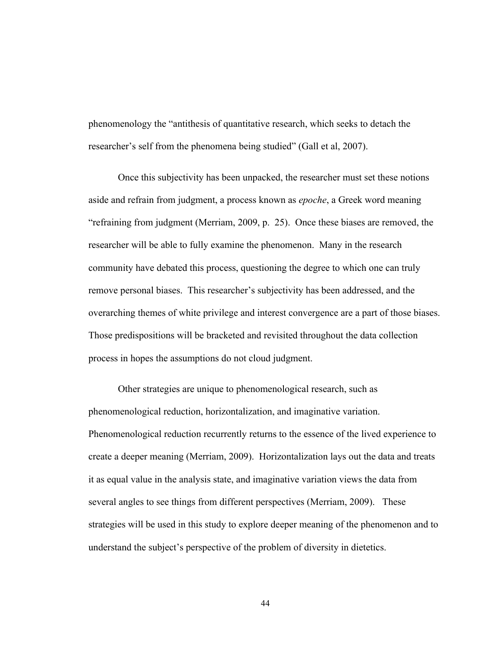phenomenology the "antithesis of quantitative research, which seeks to detach the researcher's self from the phenomena being studied" (Gall et al, 2007).

Once this subjectivity has been unpacked, the researcher must set these notions aside and refrain from judgment, a process known as *epoche*, a Greek word meaning "refraining from judgment (Merriam, 2009, p. 25). Once these biases are removed, the researcher will be able to fully examine the phenomenon. Many in the research community have debated this process, questioning the degree to which one can truly remove personal biases. This researcher's subjectivity has been addressed, and the overarching themes of white privilege and interest convergence are a part of those biases. Those predispositions will be bracketed and revisited throughout the data collection process in hopes the assumptions do not cloud judgment.

Other strategies are unique to phenomenological research, such as phenomenological reduction, horizontalization, and imaginative variation. Phenomenological reduction recurrently returns to the essence of the lived experience to create a deeper meaning (Merriam, 2009). Horizontalization lays out the data and treats it as equal value in the analysis state, and imaginative variation views the data from several angles to see things from different perspectives (Merriam, 2009). These strategies will be used in this study to explore deeper meaning of the phenomenon and to understand the subject's perspective of the problem of diversity in dietetics.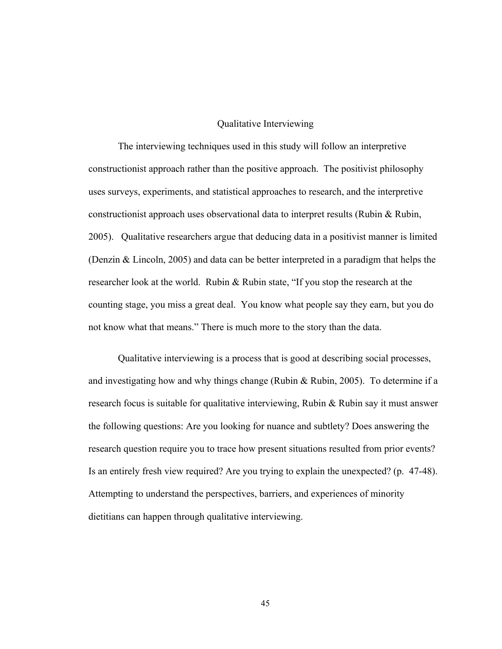# Qualitative Interviewing

The interviewing techniques used in this study will follow an interpretive constructionist approach rather than the positive approach. The positivist philosophy uses surveys, experiments, and statistical approaches to research, and the interpretive constructionist approach uses observational data to interpret results (Rubin & Rubin, 2005). Qualitative researchers argue that deducing data in a positivist manner is limited (Denzin & Lincoln, 2005) and data can be better interpreted in a paradigm that helps the researcher look at the world. Rubin & Rubin state, "If you stop the research at the counting stage, you miss a great deal. You know what people say they earn, but you do not know what that means." There is much more to the story than the data.

Qualitative interviewing is a process that is good at describing social processes, and investigating how and why things change (Rubin & Rubin, 2005). To determine if a research focus is suitable for qualitative interviewing, Rubin & Rubin say it must answer the following questions: Are you looking for nuance and subtlety? Does answering the research question require you to trace how present situations resulted from prior events? Is an entirely fresh view required? Are you trying to explain the unexpected? (p. 47-48). Attempting to understand the perspectives, barriers, and experiences of minority dietitians can happen through qualitative interviewing.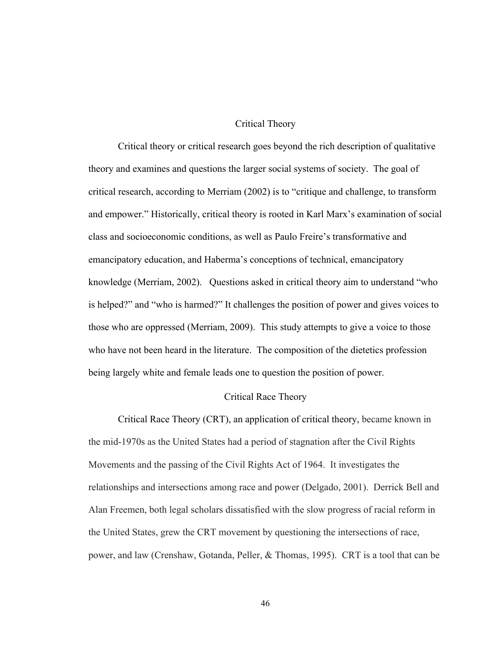# Critical Theory

Critical theory or critical research goes beyond the rich description of qualitative theory and examines and questions the larger social systems of society. The goal of critical research, according to Merriam (2002) is to "critique and challenge, to transform and empower." Historically, critical theory is rooted in Karl Marx's examination of social class and socioeconomic conditions, as well as Paulo Freire's transformative and emancipatory education, and Haberma's conceptions of technical, emancipatory knowledge (Merriam, 2002). Questions asked in critical theory aim to understand "who is helped?" and "who is harmed?" It challenges the position of power and gives voices to those who are oppressed (Merriam, 2009). This study attempts to give a voice to those who have not been heard in the literature. The composition of the dietetics profession being largely white and female leads one to question the position of power.

# Critical Race Theory

Critical Race Theory (CRT), an application of critical theory, became known in the mid-1970s as the United States had a period of stagnation after the Civil Rights Movements and the passing of the Civil Rights Act of 1964. It investigates the relationships and intersections among race and power (Delgado, 2001). Derrick Bell and Alan Freemen, both legal scholars dissatisfied with the slow progress of racial reform in the United States, grew the CRT movement by questioning the intersections of race, power, and law (Crenshaw, Gotanda, Peller, & Thomas, 1995). CRT is a tool that can be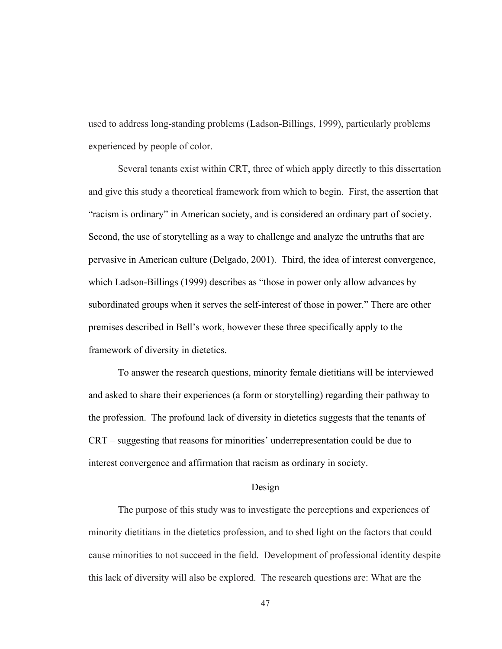used to address long-standing problems (Ladson-Billings, 1999), particularly problems experienced by people of color.

Several tenants exist within CRT, three of which apply directly to this dissertation and give this study a theoretical framework from which to begin. First, the assertion that "racism is ordinary" in American society, and is considered an ordinary part of society. Second, the use of storytelling as a way to challenge and analyze the untruths that are pervasive in American culture (Delgado, 2001). Third, the idea of interest convergence, which Ladson-Billings (1999) describes as "those in power only allow advances by subordinated groups when it serves the self-interest of those in power." There are other premises described in Bell's work, however these three specifically apply to the framework of diversity in dietetics.

To answer the research questions, minority female dietitians will be interviewed and asked to share their experiences (a form or storytelling) regarding their pathway to the profession. The profound lack of diversity in dietetics suggests that the tenants of CRT – suggesting that reasons for minorities' underrepresentation could be due to interest convergence and affirmation that racism as ordinary in society.

#### Design

The purpose of this study was to investigate the perceptions and experiences of minority dietitians in the dietetics profession, and to shed light on the factors that could cause minorities to not succeed in the field. Development of professional identity despite this lack of diversity will also be explored. The research questions are: What are the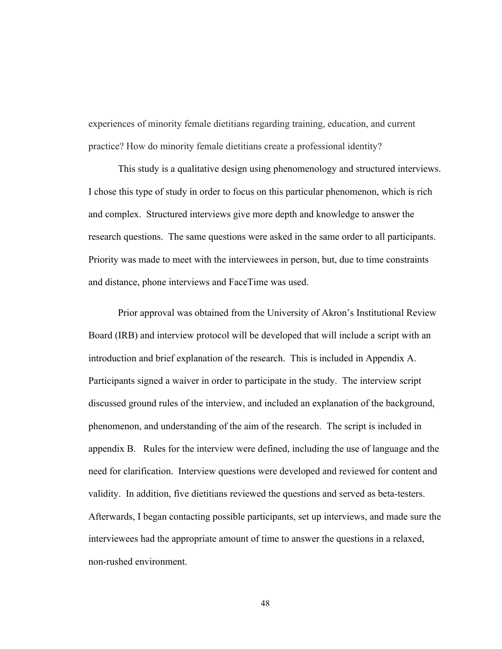experiences of minority female dietitians regarding training, education, and current practice? How do minority female dietitians create a professional identity?

This study is a qualitative design using phenomenology and structured interviews. I chose this type of study in order to focus on this particular phenomenon, which is rich and complex. Structured interviews give more depth and knowledge to answer the research questions. The same questions were asked in the same order to all participants. Priority was made to meet with the interviewees in person, but, due to time constraints and distance, phone interviews and FaceTime was used.

Prior approval was obtained from the University of Akron's Institutional Review Board (IRB) and interview protocol will be developed that will include a script with an introduction and brief explanation of the research. This is included in Appendix A. Participants signed a waiver in order to participate in the study. The interview script discussed ground rules of the interview, and included an explanation of the background, phenomenon, and understanding of the aim of the research. The script is included in appendix B. Rules for the interview were defined, including the use of language and the need for clarification. Interview questions were developed and reviewed for content and validity. In addition, five dietitians reviewed the questions and served as beta-testers. Afterwards, I began contacting possible participants, set up interviews, and made sure the interviewees had the appropriate amount of time to answer the questions in a relaxed, non-rushed environment.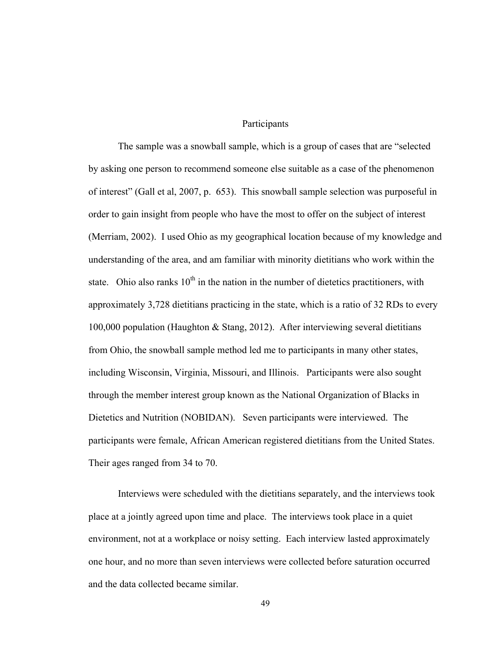## Participants

The sample was a snowball sample, which is a group of cases that are "selected by asking one person to recommend someone else suitable as a case of the phenomenon of interest" (Gall et al, 2007, p. 653). This snowball sample selection was purposeful in order to gain insight from people who have the most to offer on the subject of interest (Merriam, 2002). I used Ohio as my geographical location because of my knowledge and understanding of the area, and am familiar with minority dietitians who work within the state. Ohio also ranks  $10<sup>th</sup>$  in the nation in the number of dietetics practitioners, with approximately 3,728 dietitians practicing in the state, which is a ratio of 32 RDs to every 100,000 population (Haughton & Stang, 2012). After interviewing several dietitians from Ohio, the snowball sample method led me to participants in many other states, including Wisconsin, Virginia, Missouri, and Illinois. Participants were also sought through the member interest group known as the National Organization of Blacks in Dietetics and Nutrition (NOBIDAN). Seven participants were interviewed. The participants were female, African American registered dietitians from the United States. Their ages ranged from 34 to 70.

Interviews were scheduled with the dietitians separately, and the interviews took place at a jointly agreed upon time and place. The interviews took place in a quiet environment, not at a workplace or noisy setting. Each interview lasted approximately one hour, and no more than seven interviews were collected before saturation occurred and the data collected became similar.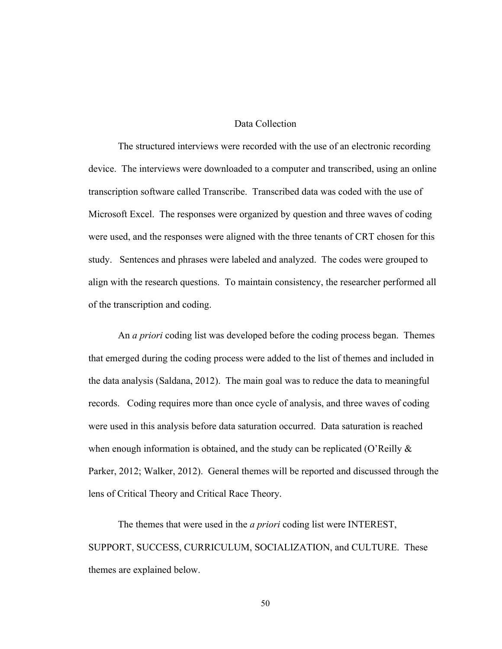## Data Collection

The structured interviews were recorded with the use of an electronic recording device. The interviews were downloaded to a computer and transcribed, using an online transcription software called Transcribe. Transcribed data was coded with the use of Microsoft Excel. The responses were organized by question and three waves of coding were used, and the responses were aligned with the three tenants of CRT chosen for this study. Sentences and phrases were labeled and analyzed. The codes were grouped to align with the research questions. To maintain consistency, the researcher performed all of the transcription and coding.

An *a priori* coding list was developed before the coding process began. Themes that emerged during the coding process were added to the list of themes and included in the data analysis (Saldana, 2012). The main goal was to reduce the data to meaningful records. Coding requires more than once cycle of analysis, and three waves of coding were used in this analysis before data saturation occurred. Data saturation is reached when enough information is obtained, and the study can be replicated (O'Reilly  $\&$ Parker, 2012; Walker, 2012). General themes will be reported and discussed through the lens of Critical Theory and Critical Race Theory.

The themes that were used in the *a priori* coding list were INTEREST, SUPPORT, SUCCESS, CURRICULUM, SOCIALIZATION, and CULTURE. These themes are explained below.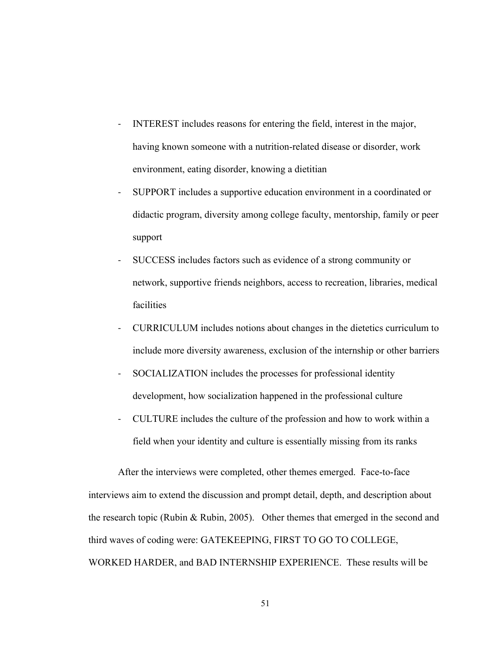- INTEREST includes reasons for entering the field, interest in the major, having known someone with a nutrition-related disease or disorder, work environment, eating disorder, knowing a dietitian
- SUPPORT includes a supportive education environment in a coordinated or didactic program, diversity among college faculty, mentorship, family or peer support
- SUCCESS includes factors such as evidence of a strong community or network, supportive friends neighbors, access to recreation, libraries, medical facilities
- CURRICULUM includes notions about changes in the dietetics curriculum to include more diversity awareness, exclusion of the internship or other barriers
- SOCIALIZATION includes the processes for professional identity development, how socialization happened in the professional culture
- CULTURE includes the culture of the profession and how to work within a field when your identity and culture is essentially missing from its ranks

After the interviews were completed, other themes emerged. Face-to-face interviews aim to extend the discussion and prompt detail, depth, and description about the research topic (Rubin & Rubin, 2005). Other themes that emerged in the second and third waves of coding were: GATEKEEPING, FIRST TO GO TO COLLEGE, WORKED HARDER, and BAD INTERNSHIP EXPERIENCE. These results will be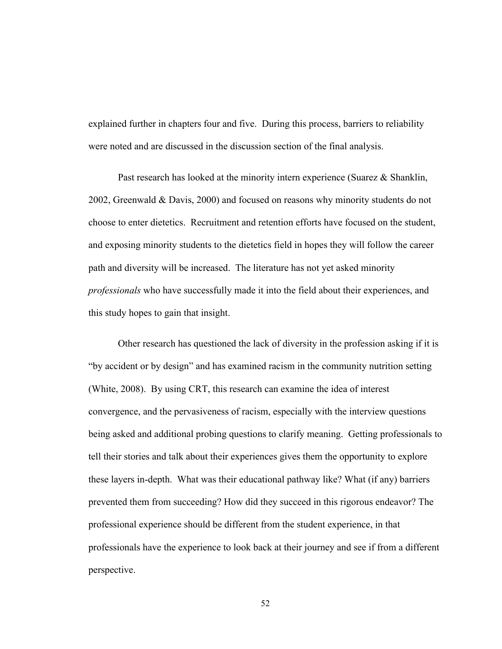explained further in chapters four and five. During this process, barriers to reliability were noted and are discussed in the discussion section of the final analysis.

Past research has looked at the minority intern experience (Suarez & Shanklin, 2002, Greenwald & Davis, 2000) and focused on reasons why minority students do not choose to enter dietetics. Recruitment and retention efforts have focused on the student, and exposing minority students to the dietetics field in hopes they will follow the career path and diversity will be increased. The literature has not yet asked minority *professionals* who have successfully made it into the field about their experiences, and this study hopes to gain that insight.

Other research has questioned the lack of diversity in the profession asking if it is "by accident or by design" and has examined racism in the community nutrition setting (White, 2008). By using CRT, this research can examine the idea of interest convergence, and the pervasiveness of racism, especially with the interview questions being asked and additional probing questions to clarify meaning. Getting professionals to tell their stories and talk about their experiences gives them the opportunity to explore these layers in-depth. What was their educational pathway like? What (if any) barriers prevented them from succeeding? How did they succeed in this rigorous endeavor? The professional experience should be different from the student experience, in that professionals have the experience to look back at their journey and see if from a different perspective.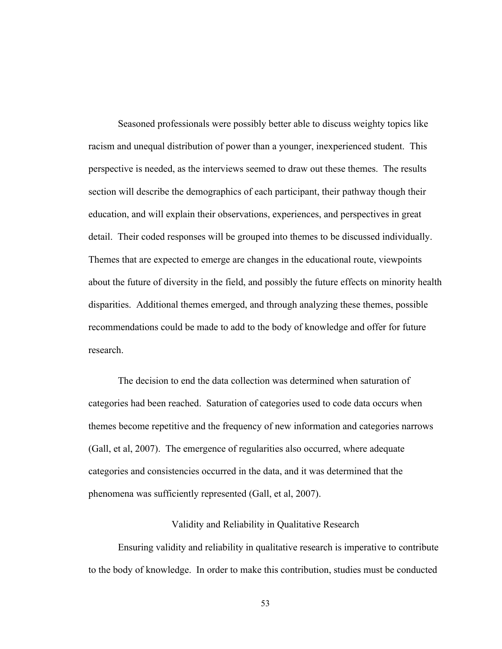Seasoned professionals were possibly better able to discuss weighty topics like racism and unequal distribution of power than a younger, inexperienced student. This perspective is needed, as the interviews seemed to draw out these themes. The results section will describe the demographics of each participant, their pathway though their education, and will explain their observations, experiences, and perspectives in great detail. Their coded responses will be grouped into themes to be discussed individually. Themes that are expected to emerge are changes in the educational route, viewpoints about the future of diversity in the field, and possibly the future effects on minority health disparities. Additional themes emerged, and through analyzing these themes, possible recommendations could be made to add to the body of knowledge and offer for future research.

The decision to end the data collection was determined when saturation of categories had been reached. Saturation of categories used to code data occurs when themes become repetitive and the frequency of new information and categories narrows (Gall, et al, 2007). The emergence of regularities also occurred, where adequate categories and consistencies occurred in the data, and it was determined that the phenomena was sufficiently represented (Gall, et al, 2007).

## Validity and Reliability in Qualitative Research

Ensuring validity and reliability in qualitative research is imperative to contribute to the body of knowledge. In order to make this contribution, studies must be conducted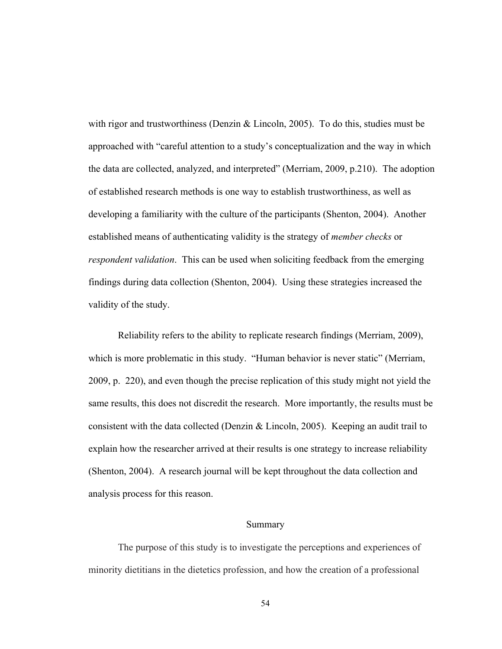with rigor and trustworthiness (Denzin  $\&$  Lincoln, 2005). To do this, studies must be approached with "careful attention to a study's conceptualization and the way in which the data are collected, analyzed, and interpreted" (Merriam, 2009, p.210). The adoption of established research methods is one way to establish trustworthiness, as well as developing a familiarity with the culture of the participants (Shenton, 2004). Another established means of authenticating validity is the strategy of *member checks* or *respondent validation*. This can be used when soliciting feedback from the emerging findings during data collection (Shenton, 2004). Using these strategies increased the validity of the study.

Reliability refers to the ability to replicate research findings (Merriam, 2009), which is more problematic in this study. "Human behavior is never static" (Merriam, 2009, p. 220), and even though the precise replication of this study might not yield the same results, this does not discredit the research. More importantly, the results must be consistent with the data collected (Denzin & Lincoln, 2005). Keeping an audit trail to explain how the researcher arrived at their results is one strategy to increase reliability (Shenton, 2004). A research journal will be kept throughout the data collection and analysis process for this reason.

## Summary

The purpose of this study is to investigate the perceptions and experiences of minority dietitians in the dietetics profession, and how the creation of a professional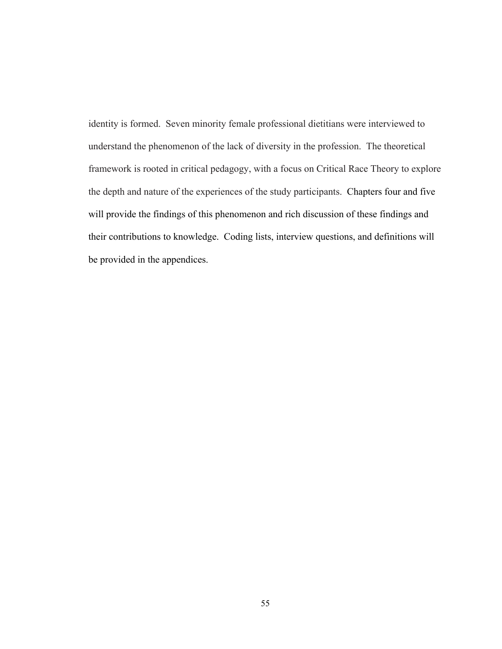identity is formed. Seven minority female professional dietitians were interviewed to understand the phenomenon of the lack of diversity in the profession. The theoretical framework is rooted in critical pedagogy, with a focus on Critical Race Theory to explore the depth and nature of the experiences of the study participants. Chapters four and five will provide the findings of this phenomenon and rich discussion of these findings and their contributions to knowledge. Coding lists, interview questions, and definitions will be provided in the appendices.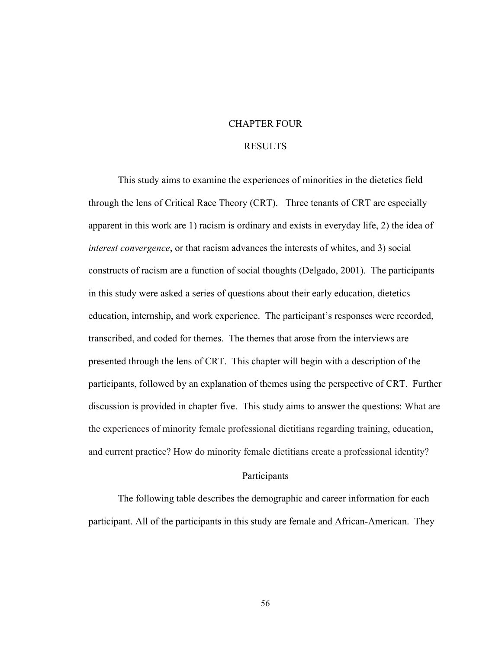#### CHAPTER FOUR

#### RESULTS

This study aims to examine the experiences of minorities in the dietetics field through the lens of Critical Race Theory (CRT). Three tenants of CRT are especially apparent in this work are 1) racism is ordinary and exists in everyday life, 2) the idea of *interest convergence*, or that racism advances the interests of whites, and 3) social constructs of racism are a function of social thoughts (Delgado, 2001). The participants in this study were asked a series of questions about their early education, dietetics education, internship, and work experience. The participant's responses were recorded, transcribed, and coded for themes. The themes that arose from the interviews are presented through the lens of CRT. This chapter will begin with a description of the participants, followed by an explanation of themes using the perspective of CRT. Further discussion is provided in chapter five. This study aims to answer the questions: What are the experiences of minority female professional dietitians regarding training, education, and current practice? How do minority female dietitians create a professional identity?

#### Participants

The following table describes the demographic and career information for each participant. All of the participants in this study are female and African-American. They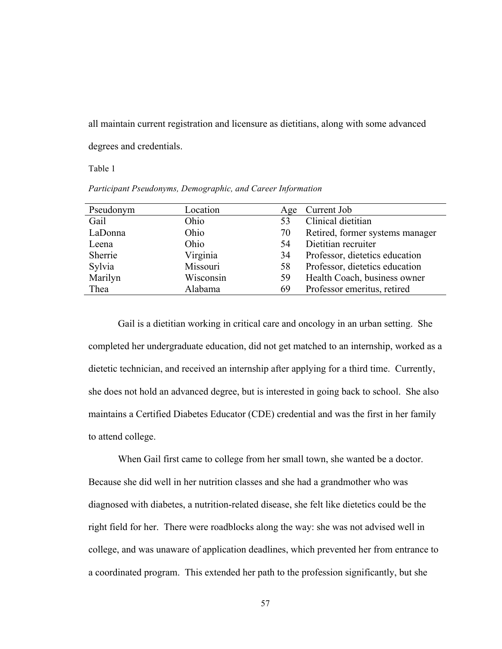all maintain current registration and licensure as dietitians, along with some advanced degrees and credentials.

Table 1

*Participant Pseudonyms, Demographic, and Career Information*

| Pseudonym | Location  | Age | Current Job                     |
|-----------|-----------|-----|---------------------------------|
| Gail      | Ohio      | 53  | Clinical dietitian              |
| LaDonna   | Ohio      | 70  | Retired, former systems manager |
| Leena     | Ohio      | 54  | Dietitian recruiter             |
| Sherrie   | Virginia  | 34  | Professor, dietetics education  |
| Sylvia    | Missouri  | 58  | Professor, dietetics education  |
| Marilyn   | Wisconsin | 59  | Health Coach, business owner    |
| Thea      | Alabama   | 69  | Professor emeritus, retired     |

Gail is a dietitian working in critical care and oncology in an urban setting. She completed her undergraduate education, did not get matched to an internship, worked as a dietetic technician, and received an internship after applying for a third time. Currently, she does not hold an advanced degree, but is interested in going back to school. She also maintains a Certified Diabetes Educator (CDE) credential and was the first in her family to attend college.

When Gail first came to college from her small town, she wanted be a doctor. Because she did well in her nutrition classes and she had a grandmother who was diagnosed with diabetes, a nutrition-related disease, she felt like dietetics could be the right field for her. There were roadblocks along the way: she was not advised well in college, and was unaware of application deadlines, which prevented her from entrance to a coordinated program. This extended her path to the profession significantly, but she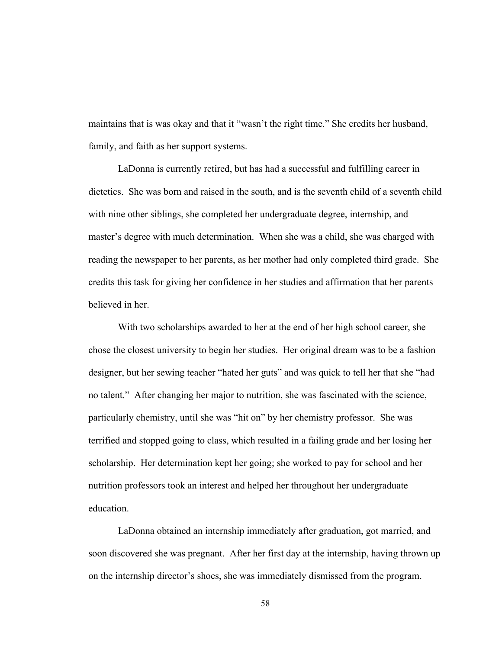maintains that is was okay and that it "wasn't the right time." She credits her husband, family, and faith as her support systems.

LaDonna is currently retired, but has had a successful and fulfilling career in dietetics. She was born and raised in the south, and is the seventh child of a seventh child with nine other siblings, she completed her undergraduate degree, internship, and master's degree with much determination. When she was a child, she was charged with reading the newspaper to her parents, as her mother had only completed third grade. She credits this task for giving her confidence in her studies and affirmation that her parents believed in her.

With two scholarships awarded to her at the end of her high school career, she chose the closest university to begin her studies. Her original dream was to be a fashion designer, but her sewing teacher "hated her guts" and was quick to tell her that she "had no talent." After changing her major to nutrition, she was fascinated with the science, particularly chemistry, until she was "hit on" by her chemistry professor. She was terrified and stopped going to class, which resulted in a failing grade and her losing her scholarship. Her determination kept her going; she worked to pay for school and her nutrition professors took an interest and helped her throughout her undergraduate education.

LaDonna obtained an internship immediately after graduation, got married, and soon discovered she was pregnant. After her first day at the internship, having thrown up on the internship director's shoes, she was immediately dismissed from the program.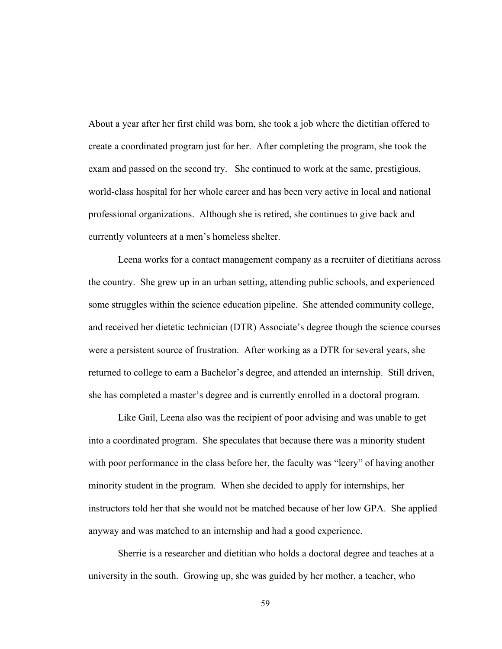About a year after her first child was born, she took a job where the dietitian offered to create a coordinated program just for her. After completing the program, she took the exam and passed on the second try. She continued to work at the same, prestigious, world-class hospital for her whole career and has been very active in local and national professional organizations. Although she is retired, she continues to give back and currently volunteers at a men's homeless shelter.

Leena works for a contact management company as a recruiter of dietitians across the country. She grew up in an urban setting, attending public schools, and experienced some struggles within the science education pipeline. She attended community college, and received her dietetic technician (DTR) Associate's degree though the science courses were a persistent source of frustration. After working as a DTR for several years, she returned to college to earn a Bachelor's degree, and attended an internship. Still driven, she has completed a master's degree and is currently enrolled in a doctoral program.

Like Gail, Leena also was the recipient of poor advising and was unable to get into a coordinated program. She speculates that because there was a minority student with poor performance in the class before her, the faculty was "leery" of having another minority student in the program. When she decided to apply for internships, her instructors told her that she would not be matched because of her low GPA. She applied anyway and was matched to an internship and had a good experience.

Sherrie is a researcher and dietitian who holds a doctoral degree and teaches at a university in the south. Growing up, she was guided by her mother, a teacher, who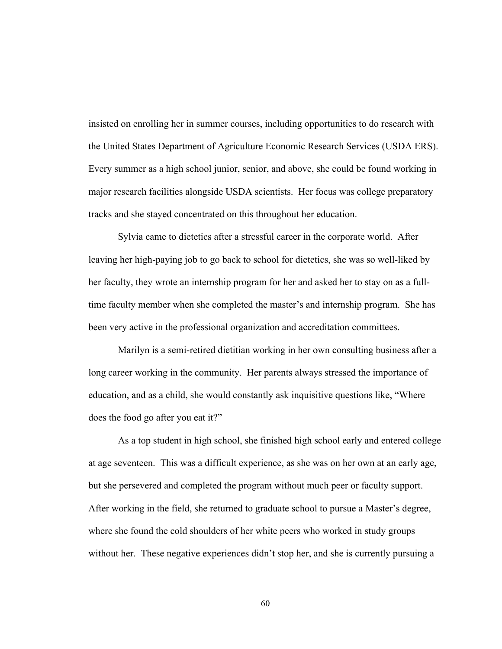insisted on enrolling her in summer courses, including opportunities to do research with the United States Department of Agriculture Economic Research Services (USDA ERS). Every summer as a high school junior, senior, and above, she could be found working in major research facilities alongside USDA scientists. Her focus was college preparatory tracks and she stayed concentrated on this throughout her education.

Sylvia came to dietetics after a stressful career in the corporate world. After leaving her high-paying job to go back to school for dietetics, she was so well-liked by her faculty, they wrote an internship program for her and asked her to stay on as a fulltime faculty member when she completed the master's and internship program. She has been very active in the professional organization and accreditation committees.

Marilyn is a semi-retired dietitian working in her own consulting business after a long career working in the community. Her parents always stressed the importance of education, and as a child, she would constantly ask inquisitive questions like, "Where does the food go after you eat it?"

As a top student in high school, she finished high school early and entered college at age seventeen. This was a difficult experience, as she was on her own at an early age, but she persevered and completed the program without much peer or faculty support. After working in the field, she returned to graduate school to pursue a Master's degree, where she found the cold shoulders of her white peers who worked in study groups without her. These negative experiences didn't stop her, and she is currently pursuing a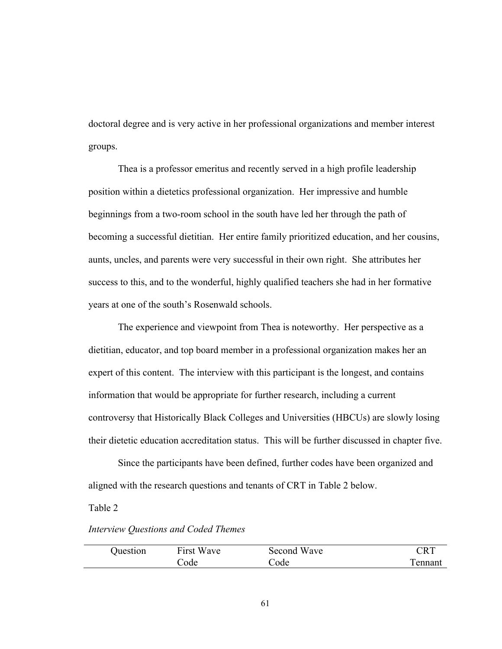doctoral degree and is very active in her professional organizations and member interest groups.

Thea is a professor emeritus and recently served in a high profile leadership position within a dietetics professional organization. Her impressive and humble beginnings from a two-room school in the south have led her through the path of becoming a successful dietitian. Her entire family prioritized education, and her cousins, aunts, uncles, and parents were very successful in their own right. She attributes her success to this, and to the wonderful, highly qualified teachers she had in her formative years at one of the south's Rosenwald schools.

The experience and viewpoint from Thea is noteworthy. Her perspective as a dietitian, educator, and top board member in a professional organization makes her an expert of this content. The interview with this participant is the longest, and contains information that would be appropriate for further research, including a current controversy that Historically Black Colleges and Universities (HBCUs) are slowly losing their dietetic education accreditation status. This will be further discussed in chapter five.

Since the participants have been defined, further codes have been organized and aligned with the research questions and tenants of CRT in Table 2 below.

#### Table 2

# *Interview Questions and Coded Themes*

| Ouestion | First Wave | Second Wave | $\mathbb C\mathrm{RT}$ |
|----------|------------|-------------|------------------------|
|          | Code       | Code        | Tennant                |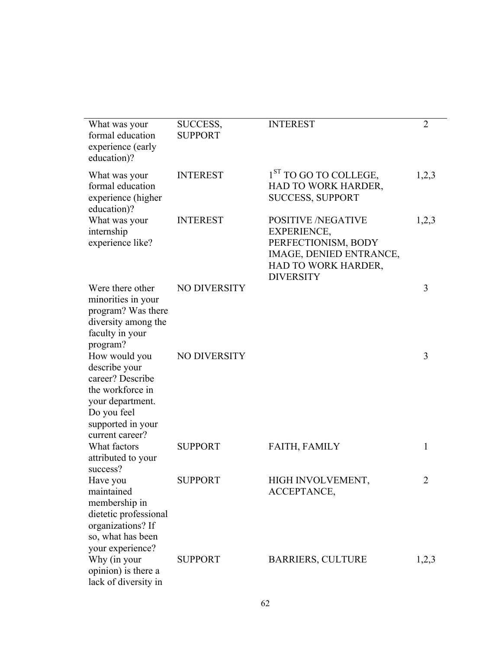| What was your<br>formal education<br>experience (early<br>education)?                                                                             | SUCCESS,<br><b>SUPPORT</b> | <b>INTEREST</b>                                                                                                                              | $\overline{2}$ |
|---------------------------------------------------------------------------------------------------------------------------------------------------|----------------------------|----------------------------------------------------------------------------------------------------------------------------------------------|----------------|
| What was your<br>formal education<br>experience (higher<br>education)?                                                                            | <b>INTEREST</b>            | 1 <sup>ST</sup> TO GO TO COLLEGE,<br>HAD TO WORK HARDER,<br><b>SUCCESS, SUPPORT</b>                                                          | 1,2,3          |
| What was your<br>internship<br>experience like?                                                                                                   | <b>INTEREST</b>            | <b>POSITIVE /NEGATIVE</b><br><b>EXPERIENCE,</b><br>PERFECTIONISM, BODY<br>IMAGE, DENIED ENTRANCE,<br>HAD TO WORK HARDER,<br><b>DIVERSITY</b> | 1,2,3          |
| Were there other<br>minorities in your<br>program? Was there<br>diversity among the<br>faculty in your<br>program?                                | <b>NO DIVERSITY</b>        |                                                                                                                                              | 3              |
| How would you<br>describe your<br>career? Describe<br>the workforce in<br>your department.<br>Do you feel<br>supported in your<br>current career? | <b>NO DIVERSITY</b>        |                                                                                                                                              | 3              |
| What factors<br>attributed to your<br>success?                                                                                                    | <b>SUPPORT</b>             | <b>FAITH, FAMILY</b>                                                                                                                         | 1              |
| Have you<br>maintained<br>membership in<br>dietetic professional<br>organizations? If<br>so, what has been<br>your experience?                    | <b>SUPPORT</b>             | <b>HIGH INVOLVEMENT</b><br>ACCEPTANCE,                                                                                                       | $\overline{2}$ |
| Why (in your<br>opinion) is there a<br>lack of diversity in                                                                                       | <b>SUPPORT</b>             | <b>BARRIERS, CULTURE</b>                                                                                                                     | 1,2,3          |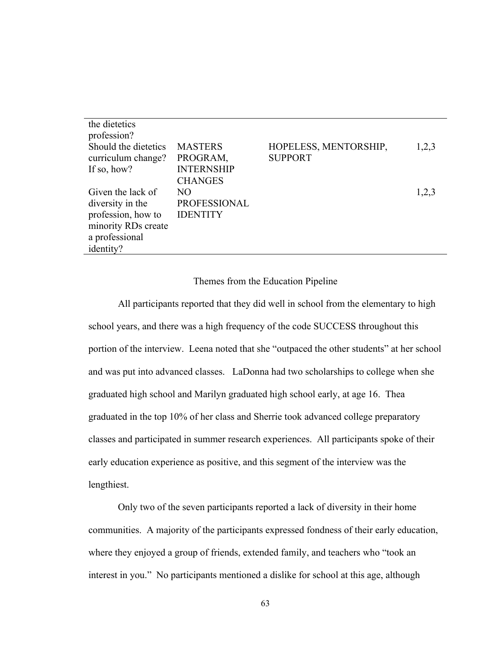| the dietetics        |                     |                       |       |
|----------------------|---------------------|-----------------------|-------|
| profession?          |                     |                       |       |
| Should the dietetics | <b>MASTERS</b>      | HOPELESS, MENTORSHIP, | 1,2,3 |
| curriculum change?   | PROGRAM,            | <b>SUPPORT</b>        |       |
| If so, how?          | <b>INTERNSHIP</b>   |                       |       |
|                      | <b>CHANGES</b>      |                       |       |
| Given the lack of    | NO.                 |                       | 1,2,3 |
| diversity in the     | <b>PROFESSIONAL</b> |                       |       |
| profession, how to   | <b>IDENTITY</b>     |                       |       |
| minority RDs create  |                     |                       |       |
| a professional       |                     |                       |       |
| identity?            |                     |                       |       |

Themes from the Education Pipeline

All participants reported that they did well in school from the elementary to high school years, and there was a high frequency of the code SUCCESS throughout this portion of the interview. Leena noted that she "outpaced the other students" at her school and was put into advanced classes. LaDonna had two scholarships to college when she graduated high school and Marilyn graduated high school early, at age 16. Thea graduated in the top 10% of her class and Sherrie took advanced college preparatory classes and participated in summer research experiences. All participants spoke of their early education experience as positive, and this segment of the interview was the lengthiest.

Only two of the seven participants reported a lack of diversity in their home communities. A majority of the participants expressed fondness of their early education, where they enjoyed a group of friends, extended family, and teachers who "took an interest in you." No participants mentioned a dislike for school at this age, although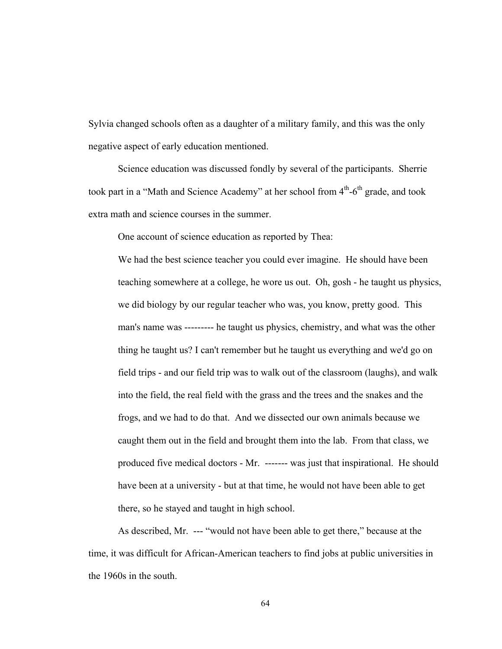Sylvia changed schools often as a daughter of a military family, and this was the only negative aspect of early education mentioned.

Science education was discussed fondly by several of the participants. Sherrie took part in a "Math and Science Academy" at her school from  $4<sup>th</sup>$ -6<sup>th</sup> grade, and took extra math and science courses in the summer.

One account of science education as reported by Thea:

We had the best science teacher you could ever imagine. He should have been teaching somewhere at a college, he wore us out. Oh, gosh - he taught us physics, we did biology by our regular teacher who was, you know, pretty good. This man's name was --------- he taught us physics, chemistry, and what was the other thing he taught us? I can't remember but he taught us everything and we'd go on field trips - and our field trip was to walk out of the classroom (laughs), and walk into the field, the real field with the grass and the trees and the snakes and the frogs, and we had to do that. And we dissected our own animals because we caught them out in the field and brought them into the lab. From that class, we produced five medical doctors - Mr. ------- was just that inspirational. He should have been at a university - but at that time, he would not have been able to get there, so he stayed and taught in high school.

As described, Mr. --- "would not have been able to get there," because at the time, it was difficult for African-American teachers to find jobs at public universities in the 1960s in the south.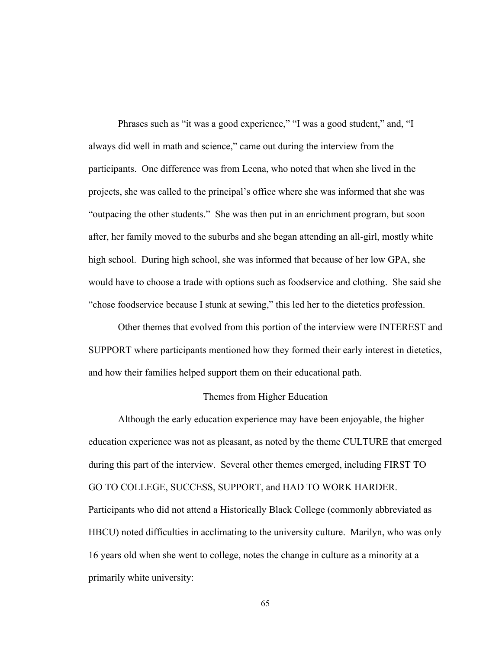Phrases such as "it was a good experience," "I was a good student," and, "I always did well in math and science," came out during the interview from the participants. One difference was from Leena, who noted that when she lived in the projects, she was called to the principal's office where she was informed that she was "outpacing the other students." She was then put in an enrichment program, but soon after, her family moved to the suburbs and she began attending an all-girl, mostly white high school. During high school, she was informed that because of her low GPA, she would have to choose a trade with options such as foodservice and clothing. She said she "chose foodservice because I stunk at sewing," this led her to the dietetics profession.

Other themes that evolved from this portion of the interview were INTEREST and SUPPORT where participants mentioned how they formed their early interest in dietetics, and how their families helped support them on their educational path.

#### Themes from Higher Education

Although the early education experience may have been enjoyable, the higher education experience was not as pleasant, as noted by the theme CULTURE that emerged during this part of the interview. Several other themes emerged, including FIRST TO GO TO COLLEGE, SUCCESS, SUPPORT, and HAD TO WORK HARDER. Participants who did not attend a Historically Black College (commonly abbreviated as HBCU) noted difficulties in acclimating to the university culture. Marilyn, who was only 16 years old when she went to college, notes the change in culture as a minority at a primarily white university: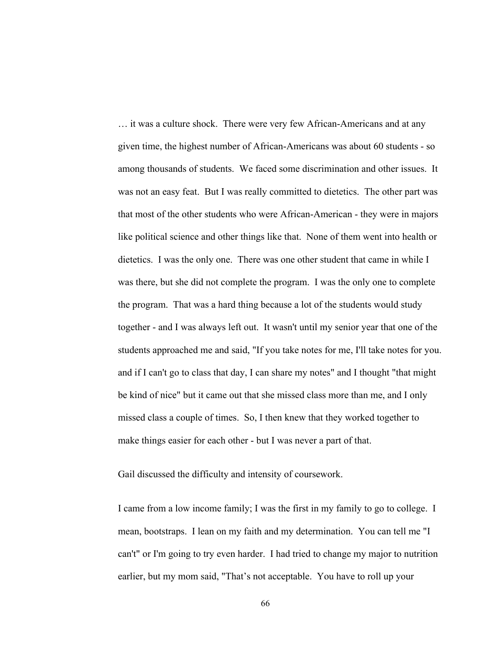… it was a culture shock. There were very few African-Americans and at any given time, the highest number of African-Americans was about 60 students - so among thousands of students. We faced some discrimination and other issues. It was not an easy feat. But I was really committed to dietetics. The other part was that most of the other students who were African-American - they were in majors like political science and other things like that. None of them went into health or dietetics. I was the only one. There was one other student that came in while I was there, but she did not complete the program. I was the only one to complete the program. That was a hard thing because a lot of the students would study together - and I was always left out. It wasn't until my senior year that one of the students approached me and said, "If you take notes for me, I'll take notes for you. and if I can't go to class that day, I can share my notes" and I thought "that might be kind of nice" but it came out that she missed class more than me, and I only missed class a couple of times. So, I then knew that they worked together to make things easier for each other - but I was never a part of that.

Gail discussed the difficulty and intensity of coursework.

I came from a low income family; I was the first in my family to go to college. I mean, bootstraps. I lean on my faith and my determination. You can tell me "I can't" or I'm going to try even harder. I had tried to change my major to nutrition earlier, but my mom said, "That's not acceptable. You have to roll up your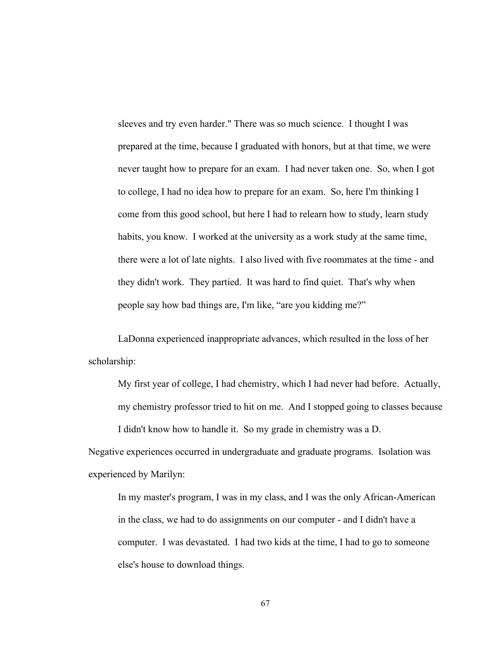sleeves and try even harder." There was so much science. I thought I was prepared at the time, because I graduated with honors, but at that time, we were never taught how to prepare for an exam. I had never taken one. So, when I got to college, I had no idea how to prepare for an exam. So, here I'm thinking I come from this good school, but here I had to relearn how to study, learn study habits, you know. I worked at the university as a work study at the same time, there were a lot of late nights. I also lived with five roommates at the time - and they didn't work. They partied. It was hard to find quiet. That's why when people say how bad things are, I'm like, "are you kidding me?"

LaDonna experienced inappropriate advances, which resulted in the loss of her scholarship:

My first year of college, I had chemistry, which I had never had before. Actually, my chemistry professor tried to hit on me. And I stopped going to classes because I didn't know how to handle it. So my grade in chemistry was a D.

Negative experiences occurred in undergraduate and graduate programs. Isolation was experienced by Marilyn:

In my master's program, I was in my class, and I was the only African-American in the class, we had to do assignments on our computer - and I didn't have a computer. I was devastated. I had two kids at the time, I had to go to someone else's house to download things.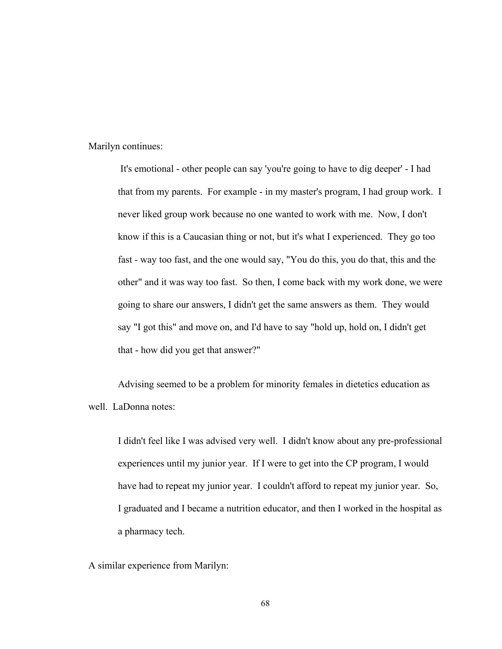Marilyn continues:

It's emotional - other people can say 'you're going to have to dig deeper' - I had that from my parents. For example - in my master's program, I had group work. I never liked group work because no one wanted to work with me. Now, I don't know if this is a Caucasian thing or not, but it's what I experienced. They go too fast - way too fast, and the one would say, "You do this, you do that, this and the other" and it was way too fast. So then, I come back with my work done, we were going to share our answers, I didn't get the same answers as them. They would say "I got this" and move on, and I'd have to say "hold up, hold on, I didn't get that - how did you get that answer?"

Advising seemed to be a problem for minority females in dietetics education as well. LaDonna notes:

I didn't feel like I was advised very well. I didn't know about any pre-professional experiences until my junior year. If I were to get into the CP program, I would have had to repeat my junior year. I couldn't afford to repeat my junior year. So, I graduated and I became a nutrition educator, and then I worked in the hospital as a pharmacy tech.

A similar experience from Marilyn: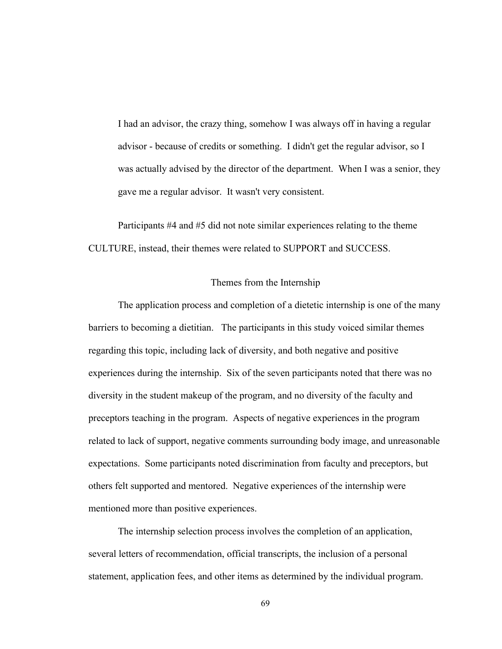I had an advisor, the crazy thing, somehow I was always off in having a regular advisor - because of credits or something. I didn't get the regular advisor, so I was actually advised by the director of the department. When I was a senior, they gave me a regular advisor. It wasn't very consistent.

Participants #4 and #5 did not note similar experiences relating to the theme CULTURE, instead, their themes were related to SUPPORT and SUCCESS.

# Themes from the Internship

The application process and completion of a dietetic internship is one of the many barriers to becoming a dietitian. The participants in this study voiced similar themes regarding this topic, including lack of diversity, and both negative and positive experiences during the internship. Six of the seven participants noted that there was no diversity in the student makeup of the program, and no diversity of the faculty and preceptors teaching in the program. Aspects of negative experiences in the program related to lack of support, negative comments surrounding body image, and unreasonable expectations. Some participants noted discrimination from faculty and preceptors, but others felt supported and mentored. Negative experiences of the internship were mentioned more than positive experiences.

The internship selection process involves the completion of an application, several letters of recommendation, official transcripts, the inclusion of a personal statement, application fees, and other items as determined by the individual program.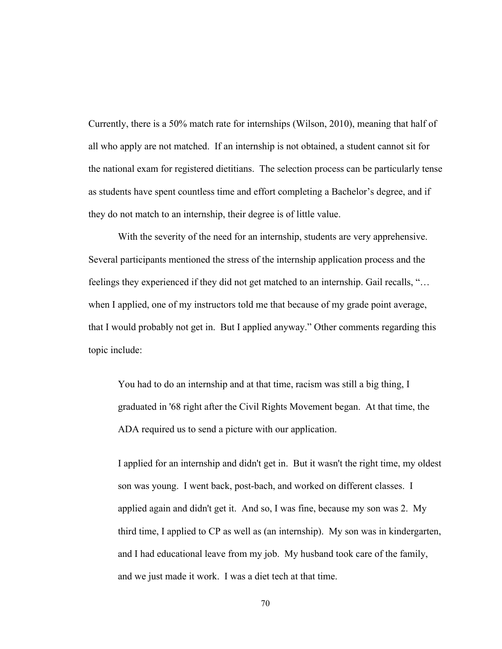Currently, there is a 50% match rate for internships (Wilson, 2010), meaning that half of all who apply are not matched. If an internship is not obtained, a student cannot sit for the national exam for registered dietitians. The selection process can be particularly tense as students have spent countless time and effort completing a Bachelor's degree, and if they do not match to an internship, their degree is of little value.

With the severity of the need for an internship, students are very apprehensive. Several participants mentioned the stress of the internship application process and the feelings they experienced if they did not get matched to an internship. Gail recalls, "… when I applied, one of my instructors told me that because of my grade point average, that I would probably not get in. But I applied anyway." Other comments regarding this topic include:

You had to do an internship and at that time, racism was still a big thing, I graduated in '68 right after the Civil Rights Movement began. At that time, the ADA required us to send a picture with our application.

I applied for an internship and didn't get in. But it wasn't the right time, my oldest son was young. I went back, post-bach, and worked on different classes. I applied again and didn't get it. And so, I was fine, because my son was 2. My third time, I applied to CP as well as (an internship). My son was in kindergarten, and I had educational leave from my job. My husband took care of the family, and we just made it work. I was a diet tech at that time.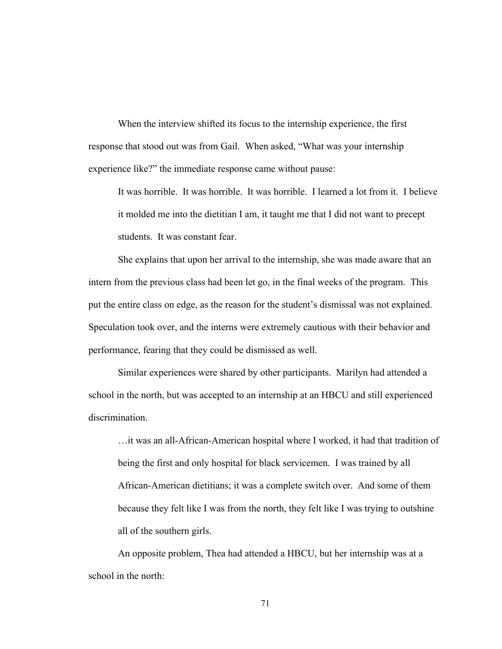When the interview shifted its focus to the internship experience, the first response that stood out was from Gail. When asked, "What was your internship experience like?" the immediate response came without pause:

It was horrible. It was horrible. It was horrible. I learned a lot from it. I believe it molded me into the dietitian I am, it taught me that I did not want to precept students. It was constant fear.

She explains that upon her arrival to the internship, she was made aware that an intern from the previous class had been let go, in the final weeks of the program. This put the entire class on edge, as the reason for the student's dismissal was not explained. Speculation took over, and the interns were extremely cautious with their behavior and performance, fearing that they could be dismissed as well.

Similar experiences were shared by other participants. Marilyn had attended a school in the north, but was accepted to an internship at an HBCU and still experienced discrimination.

…it was an all-African-American hospital where I worked, it had that tradition of being the first and only hospital for black servicemen. I was trained by all African-American dietitians; it was a complete switch over. And some of them because they felt like I was from the north, they felt like I was trying to outshine all of the southern girls.

An opposite problem, Thea had attended a HBCU, but her internship was at a school in the north: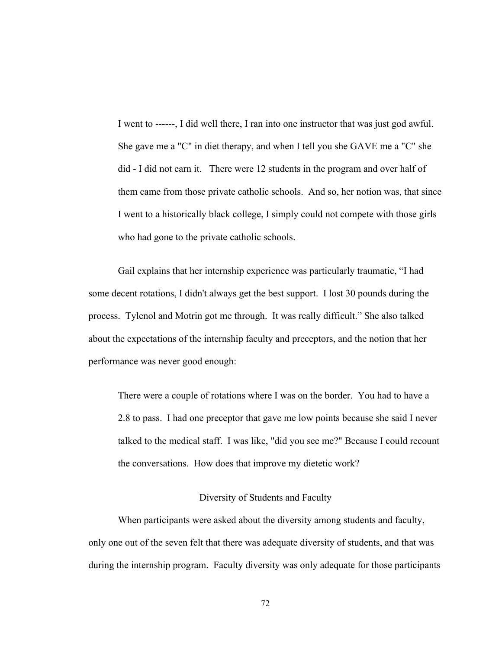I went to ------, I did well there, I ran into one instructor that was just god awful. She gave me a "C" in diet therapy, and when I tell you she GAVE me a "C" she did - I did not earn it. There were 12 students in the program and over half of them came from those private catholic schools. And so, her notion was, that since I went to a historically black college, I simply could not compete with those girls who had gone to the private catholic schools.

Gail explains that her internship experience was particularly traumatic, "I had some decent rotations, I didn't always get the best support. I lost 30 pounds during the process. Tylenol and Motrin got me through. It was really difficult." She also talked about the expectations of the internship faculty and preceptors, and the notion that her performance was never good enough:

There were a couple of rotations where I was on the border. You had to have a 2.8 to pass. I had one preceptor that gave me low points because she said I never talked to the medical staff. I was like, "did you see me?" Because I could recount the conversations. How does that improve my dietetic work?

# Diversity of Students and Faculty

When participants were asked about the diversity among students and faculty, only one out of the seven felt that there was adequate diversity of students, and that was during the internship program. Faculty diversity was only adequate for those participants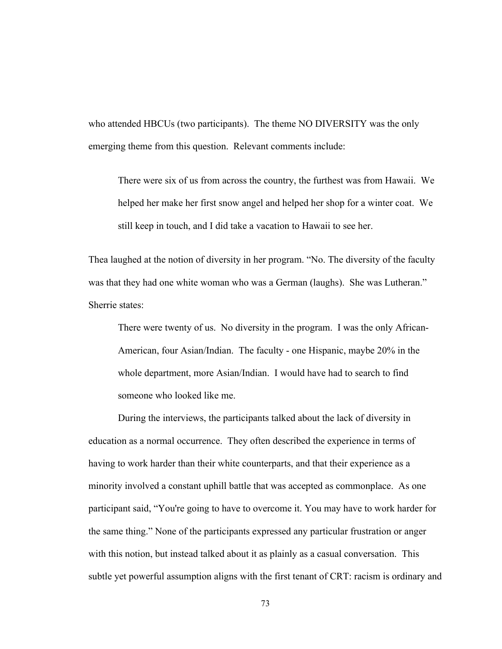who attended HBCUs (two participants). The theme NO DIVERSITY was the only emerging theme from this question. Relevant comments include:

There were six of us from across the country, the furthest was from Hawaii. We helped her make her first snow angel and helped her shop for a winter coat. We still keep in touch, and I did take a vacation to Hawaii to see her.

Thea laughed at the notion of diversity in her program. "No. The diversity of the faculty was that they had one white woman who was a German (laughs). She was Lutheran." Sherrie states:

There were twenty of us. No diversity in the program. I was the only African-American, four Asian/Indian. The faculty - one Hispanic, maybe 20% in the whole department, more Asian/Indian. I would have had to search to find someone who looked like me.

During the interviews, the participants talked about the lack of diversity in education as a normal occurrence. They often described the experience in terms of having to work harder than their white counterparts, and that their experience as a minority involved a constant uphill battle that was accepted as commonplace. As one participant said, "You're going to have to overcome it. You may have to work harder for the same thing." None of the participants expressed any particular frustration or anger with this notion, but instead talked about it as plainly as a casual conversation. This subtle yet powerful assumption aligns with the first tenant of CRT: racism is ordinary and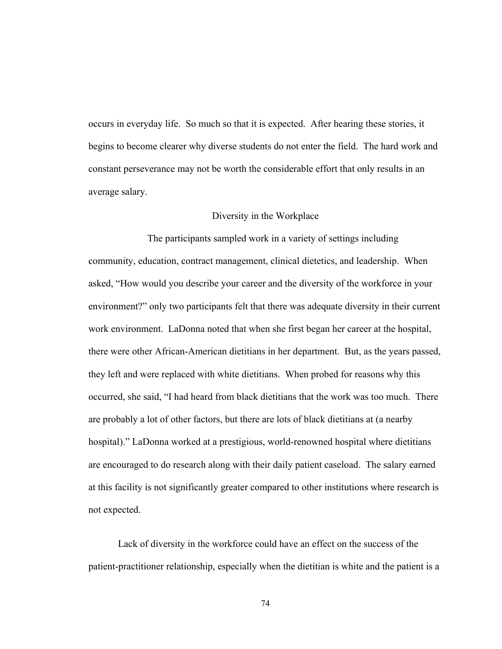occurs in everyday life. So much so that it is expected. After hearing these stories, it begins to become clearer why diverse students do not enter the field. The hard work and constant perseverance may not be worth the considerable effort that only results in an average salary.

# Diversity in the Workplace

The participants sampled work in a variety of settings including community, education, contract management, clinical dietetics, and leadership. When asked, "How would you describe your career and the diversity of the workforce in your environment?" only two participants felt that there was adequate diversity in their current work environment. LaDonna noted that when she first began her career at the hospital, there were other African-American dietitians in her department. But, as the years passed, they left and were replaced with white dietitians. When probed for reasons why this occurred, she said, "I had heard from black dietitians that the work was too much. There are probably a lot of other factors, but there are lots of black dietitians at (a nearby hospital)." LaDonna worked at a prestigious, world-renowned hospital where dietitians are encouraged to do research along with their daily patient caseload. The salary earned at this facility is not significantly greater compared to other institutions where research is not expected.

Lack of diversity in the workforce could have an effect on the success of the patient-practitioner relationship, especially when the dietitian is white and the patient is a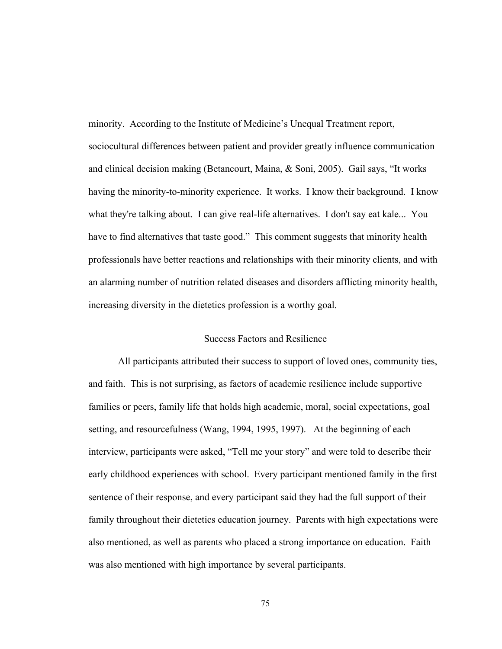minority. According to the Institute of Medicine's Unequal Treatment report, sociocultural differences between patient and provider greatly influence communication and clinical decision making (Betancourt, Maina, & Soni, 2005). Gail says, "It works having the minority-to-minority experience. It works. I know their background. I know what they're talking about. I can give real-life alternatives. I don't say eat kale... You have to find alternatives that taste good." This comment suggests that minority health professionals have better reactions and relationships with their minority clients, and with an alarming number of nutrition related diseases and disorders afflicting minority health, increasing diversity in the dietetics profession is a worthy goal.

# Success Factors and Resilience

All participants attributed their success to support of loved ones, community ties, and faith. This is not surprising, as factors of academic resilience include supportive families or peers, family life that holds high academic, moral, social expectations, goal setting, and resourcefulness (Wang, 1994, 1995, 1997). At the beginning of each interview, participants were asked, "Tell me your story" and were told to describe their early childhood experiences with school. Every participant mentioned family in the first sentence of their response, and every participant said they had the full support of their family throughout their dietetics education journey. Parents with high expectations were also mentioned, as well as parents who placed a strong importance on education. Faith was also mentioned with high importance by several participants.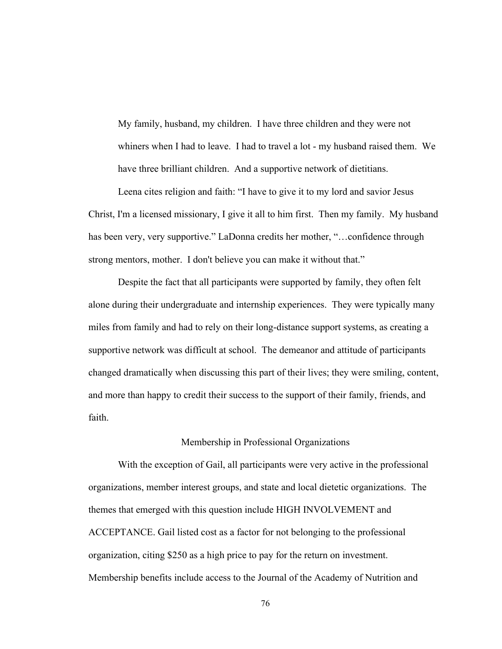My family, husband, my children. I have three children and they were not whiners when I had to leave. I had to travel a lot - my husband raised them. We have three brilliant children. And a supportive network of dietitians.

Leena cites religion and faith: "I have to give it to my lord and savior Jesus Christ, I'm a licensed missionary, I give it all to him first. Then my family. My husband has been very, very supportive." LaDonna credits her mother, "…confidence through strong mentors, mother. I don't believe you can make it without that."

Despite the fact that all participants were supported by family, they often felt alone during their undergraduate and internship experiences. They were typically many miles from family and had to rely on their long-distance support systems, as creating a supportive network was difficult at school. The demeanor and attitude of participants changed dramatically when discussing this part of their lives; they were smiling, content, and more than happy to credit their success to the support of their family, friends, and faith.

# Membership in Professional Organizations

With the exception of Gail, all participants were very active in the professional organizations, member interest groups, and state and local dietetic organizations. The themes that emerged with this question include HIGH INVOLVEMENT and ACCEPTANCE. Gail listed cost as a factor for not belonging to the professional organization, citing \$250 as a high price to pay for the return on investment. Membership benefits include access to the Journal of the Academy of Nutrition and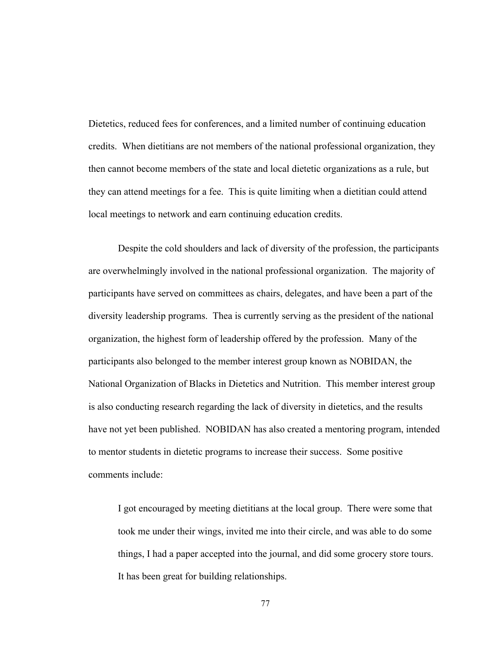Dietetics, reduced fees for conferences, and a limited number of continuing education credits. When dietitians are not members of the national professional organization, they then cannot become members of the state and local dietetic organizations as a rule, but they can attend meetings for a fee. This is quite limiting when a dietitian could attend local meetings to network and earn continuing education credits.

Despite the cold shoulders and lack of diversity of the profession, the participants are overwhelmingly involved in the national professional organization. The majority of participants have served on committees as chairs, delegates, and have been a part of the diversity leadership programs. Thea is currently serving as the president of the national organization, the highest form of leadership offered by the profession. Many of the participants also belonged to the member interest group known as NOBIDAN, the National Organization of Blacks in Dietetics and Nutrition. This member interest group is also conducting research regarding the lack of diversity in dietetics, and the results have not yet been published. NOBIDAN has also created a mentoring program, intended to mentor students in dietetic programs to increase their success. Some positive comments include:

I got encouraged by meeting dietitians at the local group. There were some that took me under their wings, invited me into their circle, and was able to do some things, I had a paper accepted into the journal, and did some grocery store tours. It has been great for building relationships.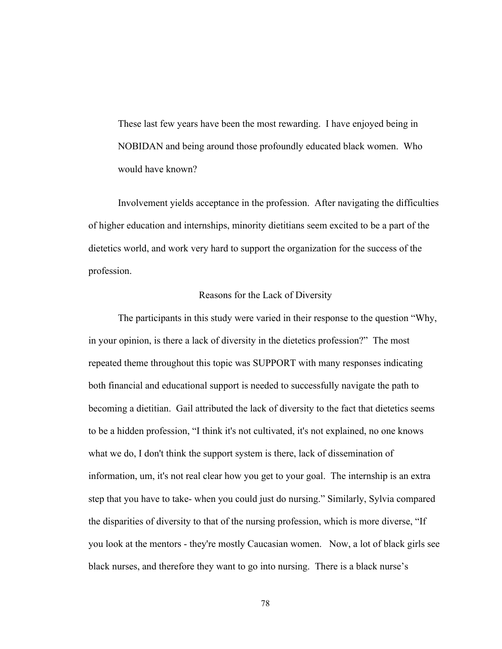These last few years have been the most rewarding. I have enjoyed being in NOBIDAN and being around those profoundly educated black women. Who would have known?

Involvement yields acceptance in the profession. After navigating the difficulties of higher education and internships, minority dietitians seem excited to be a part of the dietetics world, and work very hard to support the organization for the success of the profession.

# Reasons for the Lack of Diversity

The participants in this study were varied in their response to the question "Why, in your opinion, is there a lack of diversity in the dietetics profession?" The most repeated theme throughout this topic was SUPPORT with many responses indicating both financial and educational support is needed to successfully navigate the path to becoming a dietitian. Gail attributed the lack of diversity to the fact that dietetics seems to be a hidden profession, "I think it's not cultivated, it's not explained, no one knows what we do, I don't think the support system is there, lack of dissemination of information, um, it's not real clear how you get to your goal. The internship is an extra step that you have to take- when you could just do nursing." Similarly, Sylvia compared the disparities of diversity to that of the nursing profession, which is more diverse, "If you look at the mentors - they're mostly Caucasian women. Now, a lot of black girls see black nurses, and therefore they want to go into nursing. There is a black nurse's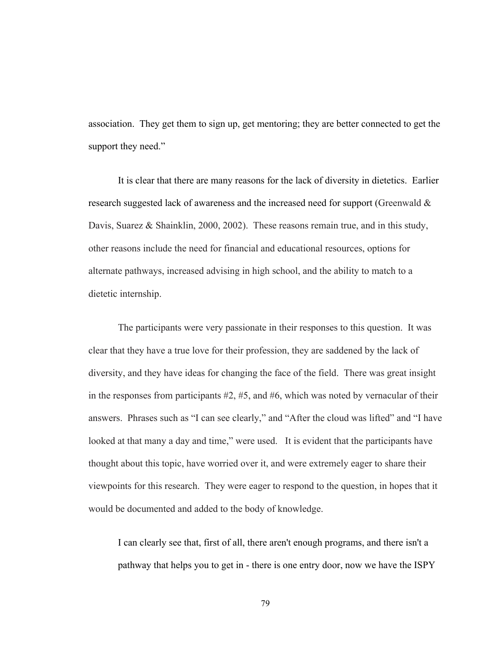association. They get them to sign up, get mentoring; they are better connected to get the support they need."

It is clear that there are many reasons for the lack of diversity in dietetics. Earlier research suggested lack of awareness and the increased need for support (Greenwald & Davis, Suarez & Shainklin, 2000, 2002). These reasons remain true, and in this study, other reasons include the need for financial and educational resources, options for alternate pathways, increased advising in high school, and the ability to match to a dietetic internship.

The participants were very passionate in their responses to this question. It was clear that they have a true love for their profession, they are saddened by the lack of diversity, and they have ideas for changing the face of the field. There was great insight in the responses from participants  $#2, #5,$  and  $#6$ , which was noted by vernacular of their answers. Phrases such as "I can see clearly," and "After the cloud was lifted" and "I have looked at that many a day and time," were used. It is evident that the participants have thought about this topic, have worried over it, and were extremely eager to share their viewpoints for this research. They were eager to respond to the question, in hopes that it would be documented and added to the body of knowledge.

I can clearly see that, first of all, there aren't enough programs, and there isn't a pathway that helps you to get in - there is one entry door, now we have the ISPY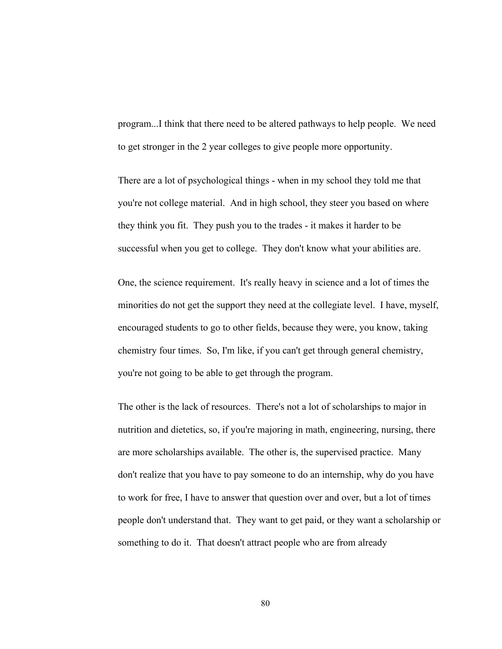program...I think that there need to be altered pathways to help people. We need to get stronger in the 2 year colleges to give people more opportunity.

There are a lot of psychological things - when in my school they told me that you're not college material. And in high school, they steer you based on where they think you fit. They push you to the trades - it makes it harder to be successful when you get to college. They don't know what your abilities are.

One, the science requirement. It's really heavy in science and a lot of times the minorities do not get the support they need at the collegiate level. I have, myself, encouraged students to go to other fields, because they were, you know, taking chemistry four times. So, I'm like, if you can't get through general chemistry, you're not going to be able to get through the program.

The other is the lack of resources. There's not a lot of scholarships to major in nutrition and dietetics, so, if you're majoring in math, engineering, nursing, there are more scholarships available. The other is, the supervised practice. Many don't realize that you have to pay someone to do an internship, why do you have to work for free, I have to answer that question over and over, but a lot of times people don't understand that. They want to get paid, or they want a scholarship or something to do it. That doesn't attract people who are from already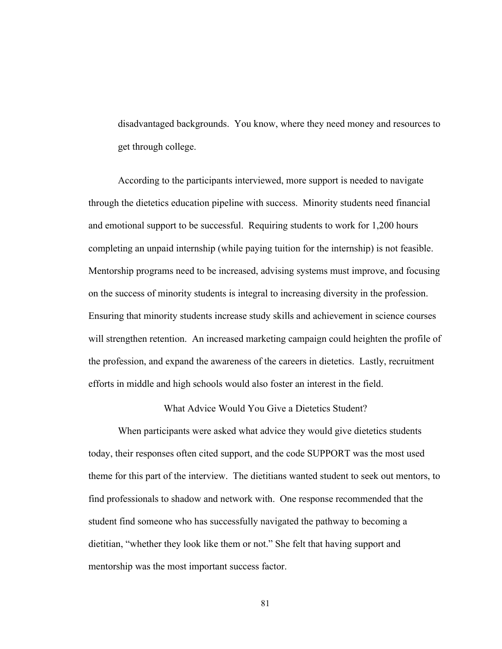disadvantaged backgrounds. You know, where they need money and resources to get through college.

According to the participants interviewed, more support is needed to navigate through the dietetics education pipeline with success. Minority students need financial and emotional support to be successful. Requiring students to work for 1,200 hours completing an unpaid internship (while paying tuition for the internship) is not feasible. Mentorship programs need to be increased, advising systems must improve, and focusing on the success of minority students is integral to increasing diversity in the profession. Ensuring that minority students increase study skills and achievement in science courses will strengthen retention. An increased marketing campaign could heighten the profile of the profession, and expand the awareness of the careers in dietetics. Lastly, recruitment efforts in middle and high schools would also foster an interest in the field.

What Advice Would You Give a Dietetics Student?

When participants were asked what advice they would give dietetics students today, their responses often cited support, and the code SUPPORT was the most used theme for this part of the interview. The dietitians wanted student to seek out mentors, to find professionals to shadow and network with. One response recommended that the student find someone who has successfully navigated the pathway to becoming a dietitian, "whether they look like them or not." She felt that having support and mentorship was the most important success factor.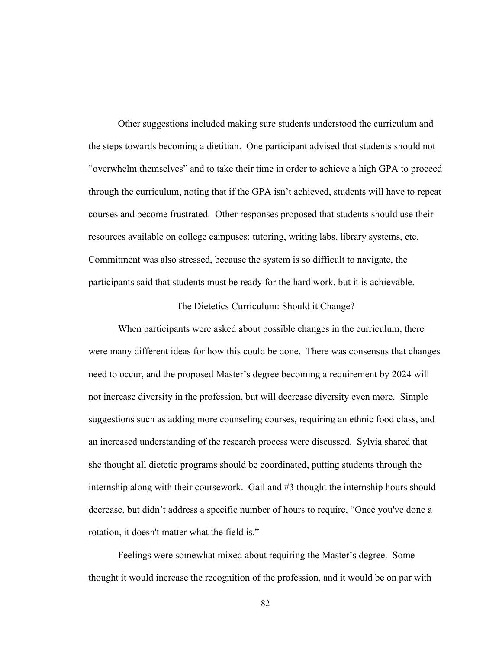Other suggestions included making sure students understood the curriculum and the steps towards becoming a dietitian. One participant advised that students should not "overwhelm themselves" and to take their time in order to achieve a high GPA to proceed through the curriculum, noting that if the GPA isn't achieved, students will have to repeat courses and become frustrated. Other responses proposed that students should use their resources available on college campuses: tutoring, writing labs, library systems, etc. Commitment was also stressed, because the system is so difficult to navigate, the participants said that students must be ready for the hard work, but it is achievable.

# The Dietetics Curriculum: Should it Change?

When participants were asked about possible changes in the curriculum, there were many different ideas for how this could be done. There was consensus that changes need to occur, and the proposed Master's degree becoming a requirement by 2024 will not increase diversity in the profession, but will decrease diversity even more. Simple suggestions such as adding more counseling courses, requiring an ethnic food class, and an increased understanding of the research process were discussed. Sylvia shared that she thought all dietetic programs should be coordinated, putting students through the internship along with their coursework. Gail and #3 thought the internship hours should decrease, but didn't address a specific number of hours to require, "Once you've done a rotation, it doesn't matter what the field is."

Feelings were somewhat mixed about requiring the Master's degree. Some thought it would increase the recognition of the profession, and it would be on par with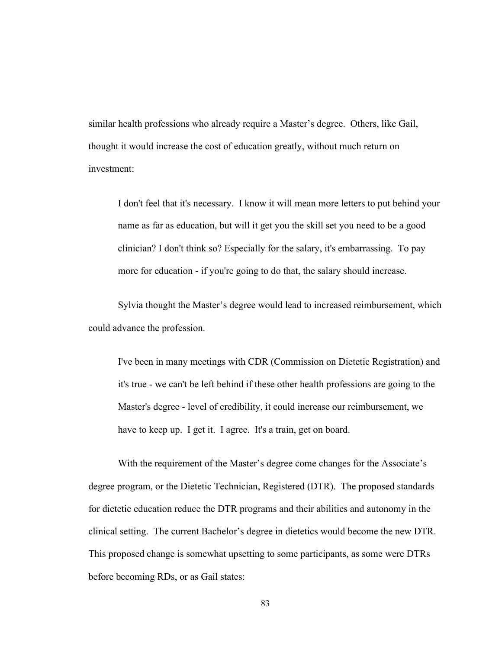similar health professions who already require a Master's degree. Others, like Gail, thought it would increase the cost of education greatly, without much return on investment:

I don't feel that it's necessary. I know it will mean more letters to put behind your name as far as education, but will it get you the skill set you need to be a good clinician? I don't think so? Especially for the salary, it's embarrassing. To pay more for education - if you're going to do that, the salary should increase.

Sylvia thought the Master's degree would lead to increased reimbursement, which could advance the profession.

I've been in many meetings with CDR (Commission on Dietetic Registration) and it's true - we can't be left behind if these other health professions are going to the Master's degree - level of credibility, it could increase our reimbursement, we have to keep up. I get it. I agree. It's a train, get on board.

With the requirement of the Master's degree come changes for the Associate's degree program, or the Dietetic Technician, Registered (DTR). The proposed standards for dietetic education reduce the DTR programs and their abilities and autonomy in the clinical setting. The current Bachelor's degree in dietetics would become the new DTR. This proposed change is somewhat upsetting to some participants, as some were DTRs before becoming RDs, or as Gail states: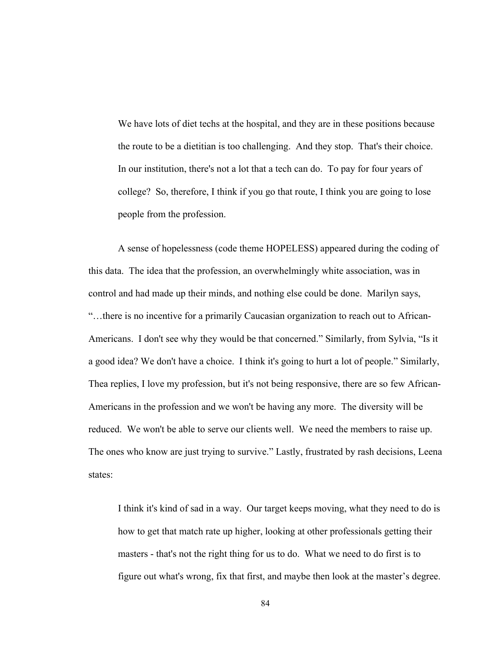We have lots of diet techs at the hospital, and they are in these positions because the route to be a dietitian is too challenging. And they stop. That's their choice. In our institution, there's not a lot that a tech can do. To pay for four years of college? So, therefore, I think if you go that route, I think you are going to lose people from the profession.

A sense of hopelessness (code theme HOPELESS) appeared during the coding of this data. The idea that the profession, an overwhelmingly white association, was in control and had made up their minds, and nothing else could be done. Marilyn says, "…there is no incentive for a primarily Caucasian organization to reach out to African-Americans. I don't see why they would be that concerned." Similarly, from Sylvia, "Is it a good idea? We don't have a choice. I think it's going to hurt a lot of people." Similarly, Thea replies, I love my profession, but it's not being responsive, there are so few African-Americans in the profession and we won't be having any more. The diversity will be reduced. We won't be able to serve our clients well. We need the members to raise up. The ones who know are just trying to survive." Lastly, frustrated by rash decisions, Leena states:

I think it's kind of sad in a way. Our target keeps moving, what they need to do is how to get that match rate up higher, looking at other professionals getting their masters - that's not the right thing for us to do. What we need to do first is to figure out what's wrong, fix that first, and maybe then look at the master's degree.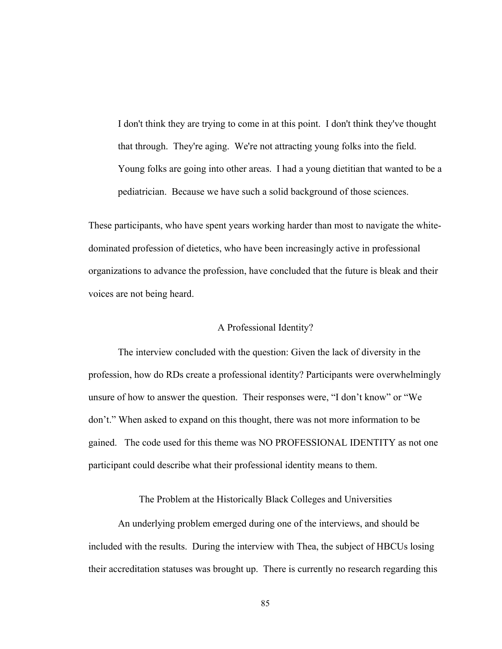I don't think they are trying to come in at this point. I don't think they've thought that through. They're aging. We're not attracting young folks into the field. Young folks are going into other areas. I had a young dietitian that wanted to be a pediatrician. Because we have such a solid background of those sciences.

These participants, who have spent years working harder than most to navigate the whitedominated profession of dietetics, who have been increasingly active in professional organizations to advance the profession, have concluded that the future is bleak and their voices are not being heard.

#### A Professional Identity?

The interview concluded with the question: Given the lack of diversity in the profession, how do RDs create a professional identity? Participants were overwhelmingly unsure of how to answer the question. Their responses were, "I don't know" or "We don't." When asked to expand on this thought, there was not more information to be gained. The code used for this theme was NO PROFESSIONAL IDENTITY as not one participant could describe what their professional identity means to them.

The Problem at the Historically Black Colleges and Universities

An underlying problem emerged during one of the interviews, and should be included with the results. During the interview with Thea, the subject of HBCUs losing their accreditation statuses was brought up. There is currently no research regarding this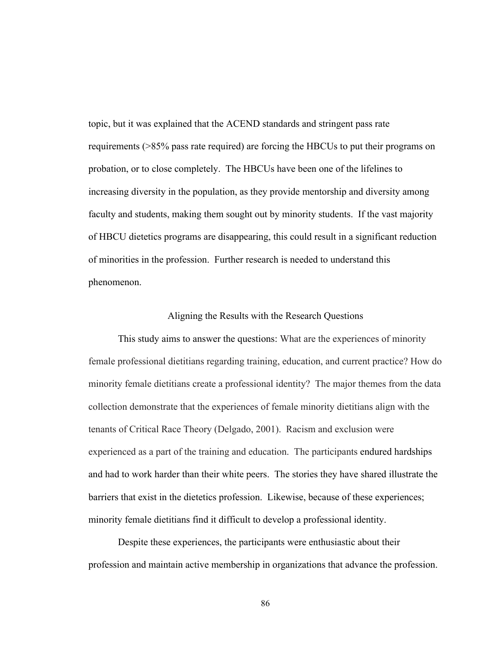topic, but it was explained that the ACEND standards and stringent pass rate requirements (>85% pass rate required) are forcing the HBCUs to put their programs on probation, or to close completely. The HBCUs have been one of the lifelines to increasing diversity in the population, as they provide mentorship and diversity among faculty and students, making them sought out by minority students. If the vast majority of HBCU dietetics programs are disappearing, this could result in a significant reduction of minorities in the profession. Further research is needed to understand this phenomenon.

## Aligning the Results with the Research Questions

This study aims to answer the questions: What are the experiences of minority female professional dietitians regarding training, education, and current practice? How do minority female dietitians create a professional identity? The major themes from the data collection demonstrate that the experiences of female minority dietitians align with the tenants of Critical Race Theory (Delgado, 2001). Racism and exclusion were experienced as a part of the training and education. The participants endured hardships and had to work harder than their white peers. The stories they have shared illustrate the barriers that exist in the dietetics profession. Likewise, because of these experiences; minority female dietitians find it difficult to develop a professional identity.

Despite these experiences, the participants were enthusiastic about their profession and maintain active membership in organizations that advance the profession.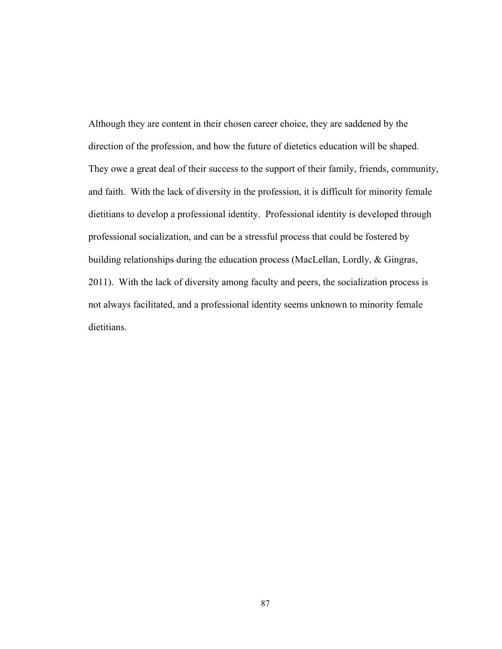Although they are content in their chosen career choice, they are saddened by the direction of the profession, and how the future of dietetics education will be shaped. They owe a great deal of their success to the support of their family, friends, community, and faith. With the lack of diversity in the profession, it is difficult for minority female dietitians to develop a professional identity. Professional identity is developed through professional socialization, and can be a stressful process that could be fostered by building relationships during the education process (MacLellan, Lordly, & Gingras, 2011). With the lack of diversity among faculty and peers, the socialization process is not always facilitated, and a professional identity seems unknown to minority female dietitians.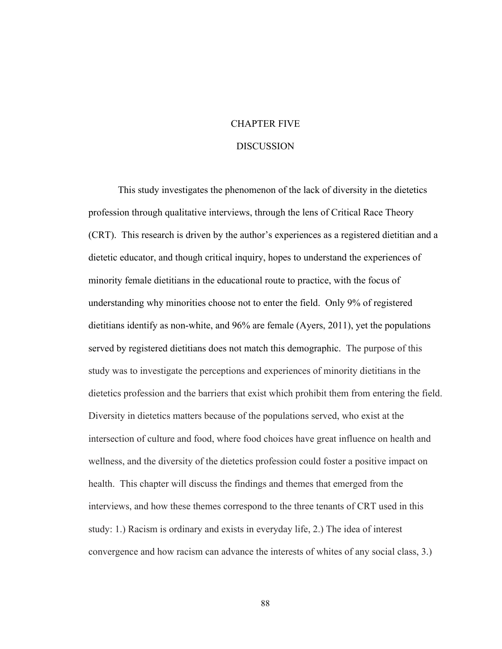# CHAPTER FIVE

### **DISCUSSION**

This study investigates the phenomenon of the lack of diversity in the dietetics profession through qualitative interviews, through the lens of Critical Race Theory (CRT). This research is driven by the author's experiences as a registered dietitian and a dietetic educator, and though critical inquiry, hopes to understand the experiences of minority female dietitians in the educational route to practice, with the focus of understanding why minorities choose not to enter the field. Only 9% of registered dietitians identify as non-white, and 96% are female (Ayers, 2011), yet the populations served by registered dietitians does not match this demographic. The purpose of this study was to investigate the perceptions and experiences of minority dietitians in the dietetics profession and the barriers that exist which prohibit them from entering the field. Diversity in dietetics matters because of the populations served, who exist at the intersection of culture and food, where food choices have great influence on health and wellness, and the diversity of the dietetics profession could foster a positive impact on health. This chapter will discuss the findings and themes that emerged from the interviews, and how these themes correspond to the three tenants of CRT used in this study: 1.) Racism is ordinary and exists in everyday life, 2.) The idea of interest convergence and how racism can advance the interests of whites of any social class, 3.)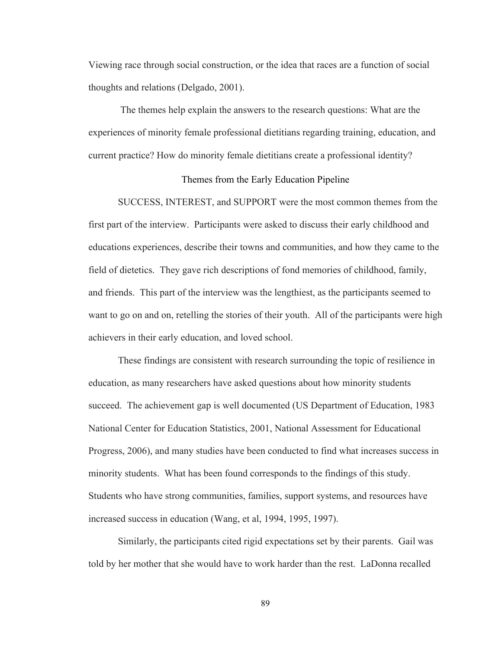Viewing race through social construction, or the idea that races are a function of social thoughts and relations (Delgado, 2001).

The themes help explain the answers to the research questions: What are the experiences of minority female professional dietitians regarding training, education, and current practice? How do minority female dietitians create a professional identity?

#### Themes from the Early Education Pipeline

SUCCESS, INTEREST, and SUPPORT were the most common themes from the first part of the interview. Participants were asked to discuss their early childhood and educations experiences, describe their towns and communities, and how they came to the field of dietetics. They gave rich descriptions of fond memories of childhood, family, and friends. This part of the interview was the lengthiest, as the participants seemed to want to go on and on, retelling the stories of their youth. All of the participants were high achievers in their early education, and loved school.

These findings are consistent with research surrounding the topic of resilience in education, as many researchers have asked questions about how minority students succeed. The achievement gap is well documented (US Department of Education, 1983 National Center for Education Statistics, 2001, National Assessment for Educational Progress, 2006), and many studies have been conducted to find what increases success in minority students. What has been found corresponds to the findings of this study. Students who have strong communities, families, support systems, and resources have increased success in education (Wang, et al, 1994, 1995, 1997).

Similarly, the participants cited rigid expectations set by their parents. Gail was told by her mother that she would have to work harder than the rest. LaDonna recalled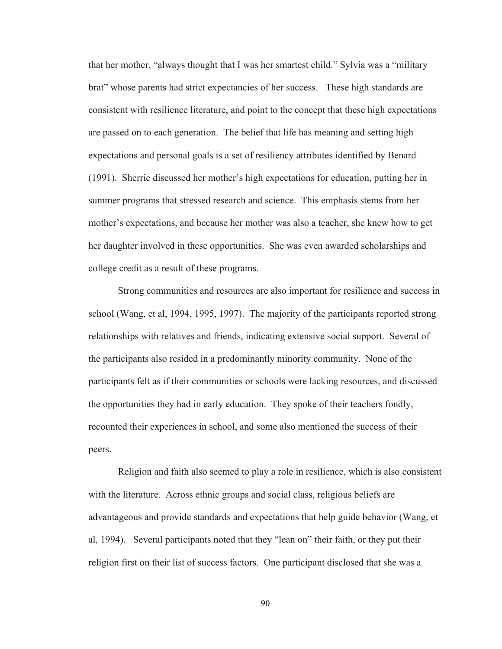that her mother, "always thought that I was her smartest child." Sylvia was a "military brat" whose parents had strict expectancies of her success. These high standards are consistent with resilience literature, and point to the concept that these high expectations are passed on to each generation. The belief that life has meaning and setting high expectations and personal goals is a set of resiliency attributes identified by Benard (1991). Sherrie discussed her mother's high expectations for education, putting her in summer programs that stressed research and science. This emphasis stems from her mother's expectations, and because her mother was also a teacher, she knew how to get her daughter involved in these opportunities. She was even awarded scholarships and college credit as a result of these programs.

Strong communities and resources are also important for resilience and success in school (Wang, et al, 1994, 1995, 1997). The majority of the participants reported strong relationships with relatives and friends, indicating extensive social support. Several of the participants also resided in a predominantly minority community. None of the participants felt as if their communities or schools were lacking resources, and discussed the opportunities they had in early education. They spoke of their teachers fondly, recounted their experiences in school, and some also mentioned the success of their peers.

Religion and faith also seemed to play a role in resilience, which is also consistent with the literature. Across ethnic groups and social class, religious beliefs are advantageous and provide standards and expectations that help guide behavior (Wang, et al, 1994). Several participants noted that they "lean on" their faith, or they put their religion first on their list of success factors. One participant disclosed that she was a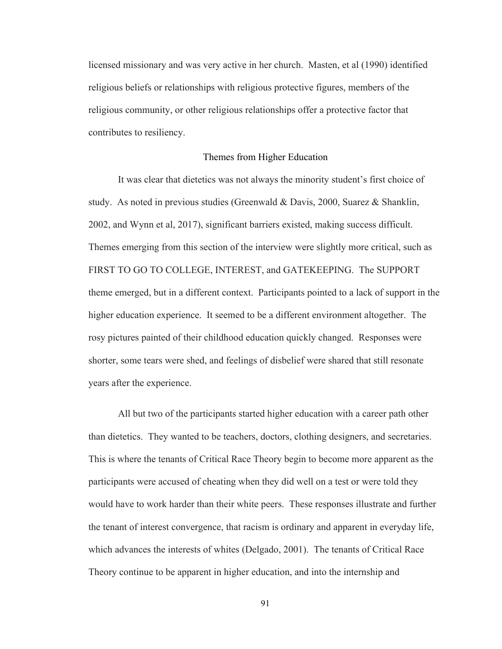licensed missionary and was very active in her church. Masten, et al (1990) identified religious beliefs or relationships with religious protective figures, members of the religious community, or other religious relationships offer a protective factor that contributes to resiliency.

### Themes from Higher Education

It was clear that dietetics was not always the minority student's first choice of study. As noted in previous studies (Greenwald & Davis, 2000, Suarez & Shanklin, 2002, and Wynn et al, 2017), significant barriers existed, making success difficult. Themes emerging from this section of the interview were slightly more critical, such as FIRST TO GO TO COLLEGE, INTEREST, and GATEKEEPING. The SUPPORT theme emerged, but in a different context. Participants pointed to a lack of support in the higher education experience. It seemed to be a different environment altogether. The rosy pictures painted of their childhood education quickly changed. Responses were shorter, some tears were shed, and feelings of disbelief were shared that still resonate years after the experience.

All but two of the participants started higher education with a career path other than dietetics. They wanted to be teachers, doctors, clothing designers, and secretaries. This is where the tenants of Critical Race Theory begin to become more apparent as the participants were accused of cheating when they did well on a test or were told they would have to work harder than their white peers. These responses illustrate and further the tenant of interest convergence, that racism is ordinary and apparent in everyday life, which advances the interests of whites (Delgado, 2001). The tenants of Critical Race Theory continue to be apparent in higher education, and into the internship and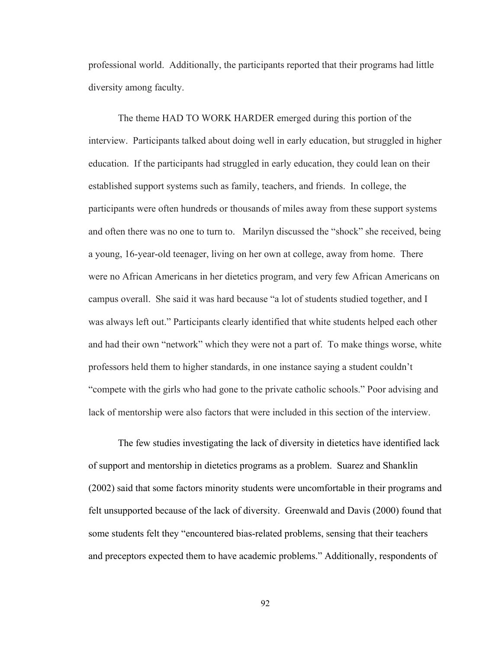professional world. Additionally, the participants reported that their programs had little diversity among faculty.

The theme HAD TO WORK HARDER emerged during this portion of the interview. Participants talked about doing well in early education, but struggled in higher education. If the participants had struggled in early education, they could lean on their established support systems such as family, teachers, and friends. In college, the participants were often hundreds or thousands of miles away from these support systems and often there was no one to turn to. Marilyn discussed the "shock" she received, being a young, 16-year-old teenager, living on her own at college, away from home. There were no African Americans in her dietetics program, and very few African Americans on campus overall. She said it was hard because "a lot of students studied together, and I was always left out." Participants clearly identified that white students helped each other and had their own "network" which they were not a part of. To make things worse, white professors held them to higher standards, in one instance saying a student couldn't "compete with the girls who had gone to the private catholic schools." Poor advising and lack of mentorship were also factors that were included in this section of the interview.

The few studies investigating the lack of diversity in dietetics have identified lack of support and mentorship in dietetics programs as a problem. Suarez and Shanklin (2002) said that some factors minority students were uncomfortable in their programs and felt unsupported because of the lack of diversity. Greenwald and Davis (2000) found that some students felt they "encountered bias-related problems, sensing that their teachers and preceptors expected them to have academic problems." Additionally, respondents of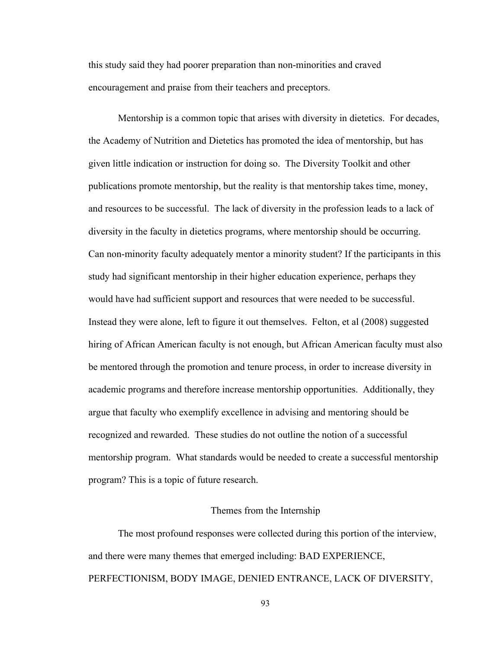this study said they had poorer preparation than non-minorities and craved encouragement and praise from their teachers and preceptors.

Mentorship is a common topic that arises with diversity in dietetics. For decades, the Academy of Nutrition and Dietetics has promoted the idea of mentorship, but has given little indication or instruction for doing so. The Diversity Toolkit and other publications promote mentorship, but the reality is that mentorship takes time, money, and resources to be successful. The lack of diversity in the profession leads to a lack of diversity in the faculty in dietetics programs, where mentorship should be occurring. Can non-minority faculty adequately mentor a minority student? If the participants in this study had significant mentorship in their higher education experience, perhaps they would have had sufficient support and resources that were needed to be successful. Instead they were alone, left to figure it out themselves. Felton, et al (2008) suggested hiring of African American faculty is not enough, but African American faculty must also be mentored through the promotion and tenure process, in order to increase diversity in academic programs and therefore increase mentorship opportunities. Additionally, they argue that faculty who exemplify excellence in advising and mentoring should be recognized and rewarded. These studies do not outline the notion of a successful mentorship program. What standards would be needed to create a successful mentorship program? This is a topic of future research.

# Themes from the Internship

The most profound responses were collected during this portion of the interview, and there were many themes that emerged including: BAD EXPERIENCE, PERFECTIONISM, BODY IMAGE, DENIED ENTRANCE, LACK OF DIVERSITY,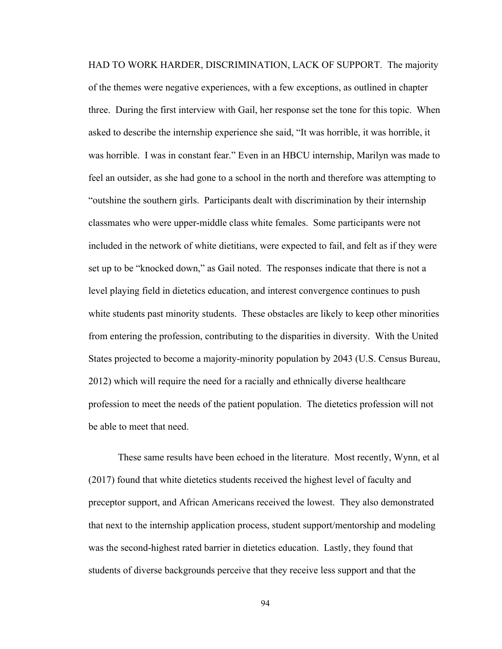HAD TO WORK HARDER, DISCRIMINATION, LACK OF SUPPORT. The majority of the themes were negative experiences, with a few exceptions, as outlined in chapter three. During the first interview with Gail, her response set the tone for this topic. When asked to describe the internship experience she said, "It was horrible, it was horrible, it was horrible. I was in constant fear." Even in an HBCU internship, Marilyn was made to feel an outsider, as she had gone to a school in the north and therefore was attempting to "outshine the southern girls. Participants dealt with discrimination by their internship classmates who were upper-middle class white females. Some participants were not included in the network of white dietitians, were expected to fail, and felt as if they were set up to be "knocked down," as Gail noted. The responses indicate that there is not a level playing field in dietetics education, and interest convergence continues to push white students past minority students. These obstacles are likely to keep other minorities from entering the profession, contributing to the disparities in diversity. With the United States projected to become a majority-minority population by 2043 (U.S. Census Bureau, 2012) which will require the need for a racially and ethnically diverse healthcare profession to meet the needs of the patient population. The dietetics profession will not be able to meet that need.

These same results have been echoed in the literature. Most recently, Wynn, et al (2017) found that white dietetics students received the highest level of faculty and preceptor support, and African Americans received the lowest. They also demonstrated that next to the internship application process, student support/mentorship and modeling was the second-highest rated barrier in dietetics education. Lastly, they found that students of diverse backgrounds perceive that they receive less support and that the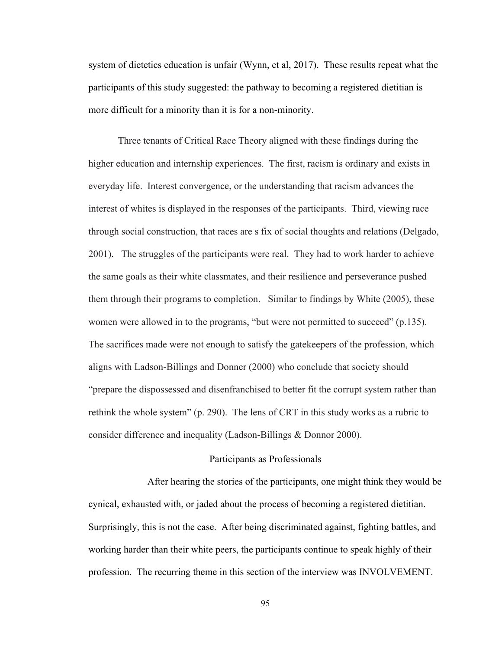system of dietetics education is unfair (Wynn, et al, 2017). These results repeat what the participants of this study suggested: the pathway to becoming a registered dietitian is more difficult for a minority than it is for a non-minority.

Three tenants of Critical Race Theory aligned with these findings during the higher education and internship experiences. The first, racism is ordinary and exists in everyday life. Interest convergence, or the understanding that racism advances the interest of whites is displayed in the responses of the participants. Third, viewing race through social construction, that races are s fix of social thoughts and relations (Delgado, 2001). The struggles of the participants were real. They had to work harder to achieve the same goals as their white classmates, and their resilience and perseverance pushed them through their programs to completion. Similar to findings by White (2005), these women were allowed in to the programs, "but were not permitted to succeed" (p.135). The sacrifices made were not enough to satisfy the gatekeepers of the profession, which aligns with Ladson-Billings and Donner (2000) who conclude that society should "prepare the dispossessed and disenfranchised to better fit the corrupt system rather than rethink the whole system" (p. 290). The lens of CRT in this study works as a rubric to consider difference and inequality (Ladson-Billings & Donnor 2000).

## Participants as Professionals

After hearing the stories of the participants, one might think they would be cynical, exhausted with, or jaded about the process of becoming a registered dietitian. Surprisingly, this is not the case. After being discriminated against, fighting battles, and working harder than their white peers, the participants continue to speak highly of their profession. The recurring theme in this section of the interview was INVOLVEMENT.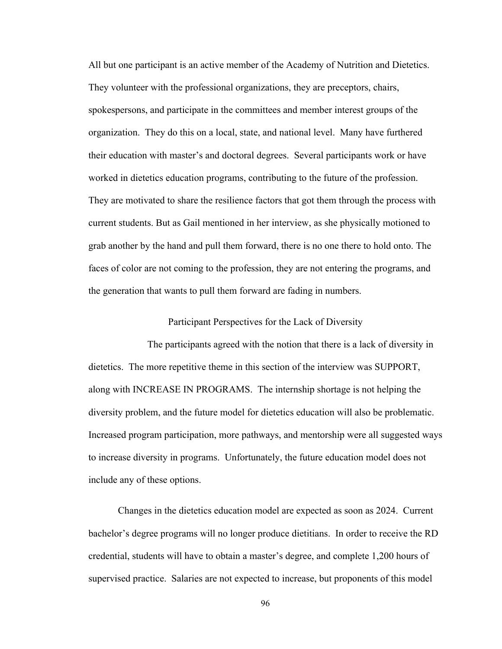All but one participant is an active member of the Academy of Nutrition and Dietetics. They volunteer with the professional organizations, they are preceptors, chairs, spokespersons, and participate in the committees and member interest groups of the organization. They do this on a local, state, and national level. Many have furthered their education with master's and doctoral degrees. Several participants work or have worked in dietetics education programs, contributing to the future of the profession. They are motivated to share the resilience factors that got them through the process with current students. But as Gail mentioned in her interview, as she physically motioned to grab another by the hand and pull them forward, there is no one there to hold onto. The faces of color are not coming to the profession, they are not entering the programs, and the generation that wants to pull them forward are fading in numbers.

# Participant Perspectives for the Lack of Diversity

The participants agreed with the notion that there is a lack of diversity in dietetics. The more repetitive theme in this section of the interview was SUPPORT, along with INCREASE IN PROGRAMS. The internship shortage is not helping the diversity problem, and the future model for dietetics education will also be problematic. Increased program participation, more pathways, and mentorship were all suggested ways to increase diversity in programs. Unfortunately, the future education model does not include any of these options.

Changes in the dietetics education model are expected as soon as 2024. Current bachelor's degree programs will no longer produce dietitians. In order to receive the RD credential, students will have to obtain a master's degree, and complete 1,200 hours of supervised practice. Salaries are not expected to increase, but proponents of this model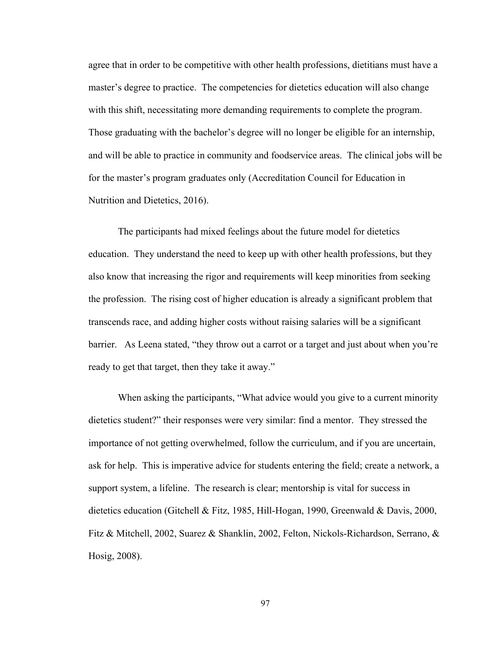agree that in order to be competitive with other health professions, dietitians must have a master's degree to practice. The competencies for dietetics education will also change with this shift, necessitating more demanding requirements to complete the program. Those graduating with the bachelor's degree will no longer be eligible for an internship, and will be able to practice in community and foodservice areas. The clinical jobs will be for the master's program graduates only (Accreditation Council for Education in Nutrition and Dietetics, 2016).

The participants had mixed feelings about the future model for dietetics education. They understand the need to keep up with other health professions, but they also know that increasing the rigor and requirements will keep minorities from seeking the profession. The rising cost of higher education is already a significant problem that transcends race, and adding higher costs without raising salaries will be a significant barrier. As Leena stated, "they throw out a carrot or a target and just about when you're ready to get that target, then they take it away."

When asking the participants, "What advice would you give to a current minority dietetics student?" their responses were very similar: find a mentor. They stressed the importance of not getting overwhelmed, follow the curriculum, and if you are uncertain, ask for help. This is imperative advice for students entering the field; create a network, a support system, a lifeline. The research is clear; mentorship is vital for success in dietetics education (Gitchell & Fitz, 1985, Hill-Hogan, 1990, Greenwald & Davis, 2000, Fitz & Mitchell, 2002, Suarez & Shanklin, 2002, Felton, Nickols-Richardson, Serrano, & Hosig, 2008).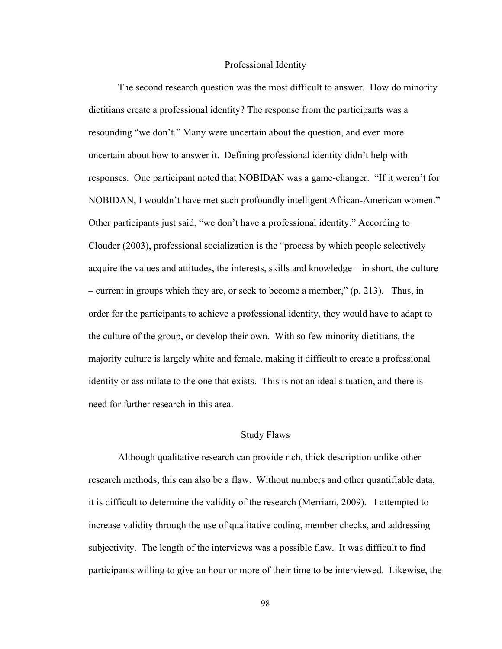### Professional Identity

The second research question was the most difficult to answer. How do minority dietitians create a professional identity? The response from the participants was a resounding "we don't." Many were uncertain about the question, and even more uncertain about how to answer it. Defining professional identity didn't help with responses. One participant noted that NOBIDAN was a game-changer. "If it weren't for NOBIDAN, I wouldn't have met such profoundly intelligent African-American women." Other participants just said, "we don't have a professional identity." According to Clouder (2003), professional socialization is the "process by which people selectively acquire the values and attitudes, the interests, skills and knowledge – in short, the culture – current in groups which they are, or seek to become a member," (p. 213). Thus, in order for the participants to achieve a professional identity, they would have to adapt to the culture of the group, or develop their own. With so few minority dietitians, the majority culture is largely white and female, making it difficult to create a professional identity or assimilate to the one that exists. This is not an ideal situation, and there is need for further research in this area.

# Study Flaws

Although qualitative research can provide rich, thick description unlike other research methods, this can also be a flaw. Without numbers and other quantifiable data, it is difficult to determine the validity of the research (Merriam, 2009). I attempted to increase validity through the use of qualitative coding, member checks, and addressing subjectivity. The length of the interviews was a possible flaw. It was difficult to find participants willing to give an hour or more of their time to be interviewed. Likewise, the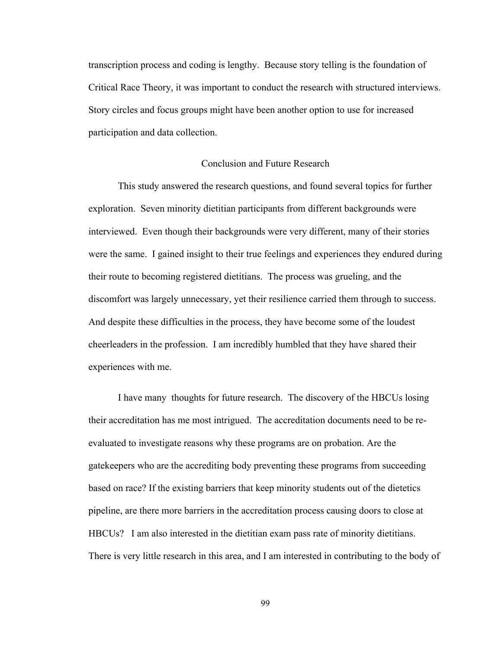transcription process and coding is lengthy. Because story telling is the foundation of Critical Race Theory, it was important to conduct the research with structured interviews. Story circles and focus groups might have been another option to use for increased participation and data collection.

# Conclusion and Future Research

This study answered the research questions, and found several topics for further exploration. Seven minority dietitian participants from different backgrounds were interviewed. Even though their backgrounds were very different, many of their stories were the same. I gained insight to their true feelings and experiences they endured during their route to becoming registered dietitians. The process was grueling, and the discomfort was largely unnecessary, yet their resilience carried them through to success. And despite these difficulties in the process, they have become some of the loudest cheerleaders in the profession. I am incredibly humbled that they have shared their experiences with me.

I have many thoughts for future research. The discovery of the HBCUs losing their accreditation has me most intrigued. The accreditation documents need to be reevaluated to investigate reasons why these programs are on probation. Are the gatekeepers who are the accrediting body preventing these programs from succeeding based on race? If the existing barriers that keep minority students out of the dietetics pipeline, are there more barriers in the accreditation process causing doors to close at HBCUs? I am also interested in the dietitian exam pass rate of minority dietitians. There is very little research in this area, and I am interested in contributing to the body of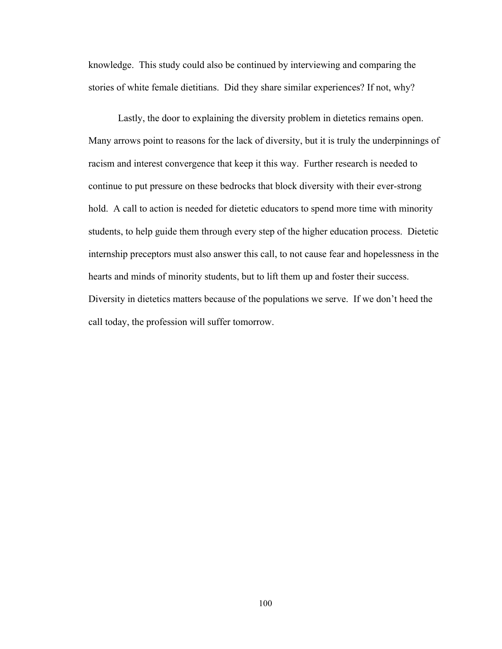knowledge. This study could also be continued by interviewing and comparing the stories of white female dietitians. Did they share similar experiences? If not, why?

Lastly, the door to explaining the diversity problem in dietetics remains open. Many arrows point to reasons for the lack of diversity, but it is truly the underpinnings of racism and interest convergence that keep it this way. Further research is needed to continue to put pressure on these bedrocks that block diversity with their ever-strong hold. A call to action is needed for dietetic educators to spend more time with minority students, to help guide them through every step of the higher education process. Dietetic internship preceptors must also answer this call, to not cause fear and hopelessness in the hearts and minds of minority students, but to lift them up and foster their success. Diversity in dietetics matters because of the populations we serve. If we don't heed the call today, the profession will suffer tomorrow.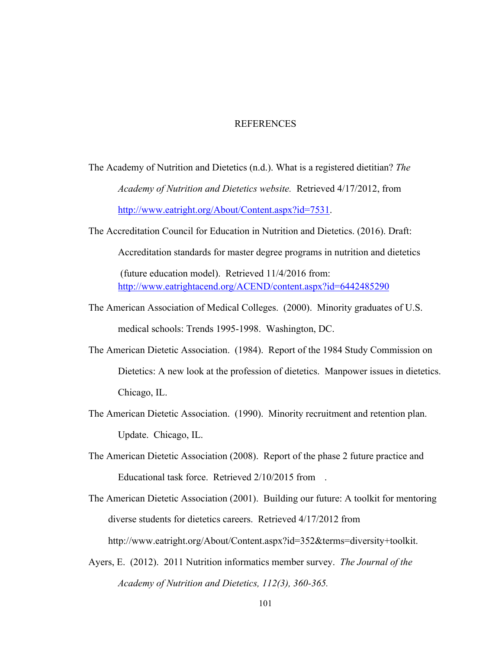## REFERENCES

- The Academy of Nutrition and Dietetics (n.d.). What is a registered dietitian? *The Academy of Nutrition and Dietetics website.* Retrieved 4/17/2012, from http://www.eatright.org/About/Content.aspx?id=7531.
- The Accreditation Council for Education in Nutrition and Dietetics. (2016). Draft:

Accreditation standards for master degree programs in nutrition and dietetics

(future education model). Retrieved 11/4/2016 from: http://www.eatrightacend.org/ACEND/content.aspx?id=6442485290

- The American Association of Medical Colleges. (2000). Minority graduates of U.S. medical schools: Trends 1995-1998. Washington, DC.
- The American Dietetic Association. (1984). Report of the 1984 Study Commission on Dietetics: A new look at the profession of dietetics. Manpower issues in dietetics. Chicago, IL.
- The American Dietetic Association. (1990). Minority recruitment and retention plan. Update. Chicago, IL.
- The American Dietetic Association (2008). Report of the phase 2 future practice and Educational task force. Retrieved 2/10/2015 from .
- The American Dietetic Association (2001). Building our future: A toolkit for mentoring diverse students for dietetics careers. Retrieved 4/17/2012 from http://www.eatright.org/About/Content.aspx?id=352&terms=diversity+toolkit.
- Ayers, E. (2012). 2011 Nutrition informatics member survey. *The Journal of the Academy of Nutrition and Dietetics, 112(3), 360-365.*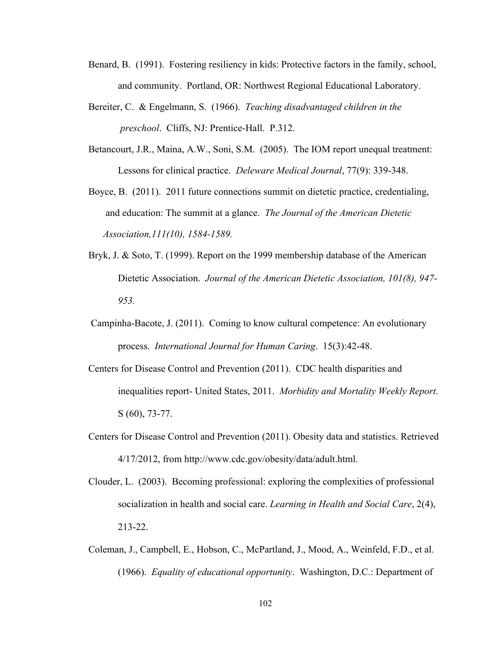- Benard, B. (1991). Fostering resiliency in kids: Protective factors in the family, school, and community. Portland, OR: Northwest Regional Educational Laboratory.
- Bereiter, C. & Engelmann, S. (1966). *Teaching disadvantaged children in the preschool*. Cliffs, NJ: Prentice-Hall. P.312.
- Betancourt, J.R., Maina, A.W., Soni, S.M. (2005). The IOM report unequal treatment: Lessons for clinical practice. *Deleware Medical Journal*, 77(9): 339-348.
- Boyce, B. (2011). 2011 future connections summit on dietetic practice, credentialing, and education: The summit at a glance. *The Journal of the American Dietetic Association,111(10), 1584-1589.*
- Bryk, J. & Soto, T. (1999). Report on the 1999 membership database of the American Dietetic Association. *Journal of the American Dietetic Association, 101(8), 947- 953.*
- Campinha-Bacote, J. (2011). Coming to know cultural competence: An evolutionary process. *International Journal for Human Caring*. 15(3):42-48.
- Centers for Disease Control and Prevention (2011). CDC health disparities and inequalities report- United States, 2011. *Morbidity and Mortality Weekly Report*. S (60), 73-77.
- Centers for Disease Control and Prevention (2011). Obesity data and statistics. Retrieved 4/17/2012, from http://www.cdc.gov/obesity/data/adult.html.
- Clouder, L. (2003). Becoming professional: exploring the complexities of professional socialization in health and social care. *Learning in Health and Social Care*, 2(4), 213-22.
- Coleman, J., Campbell, E., Hobson, C., McPartland, J., Mood, A., Weinfeld, F.D., et al. (1966). *Equality of educational opportunity*. Washington, D.C.: Department of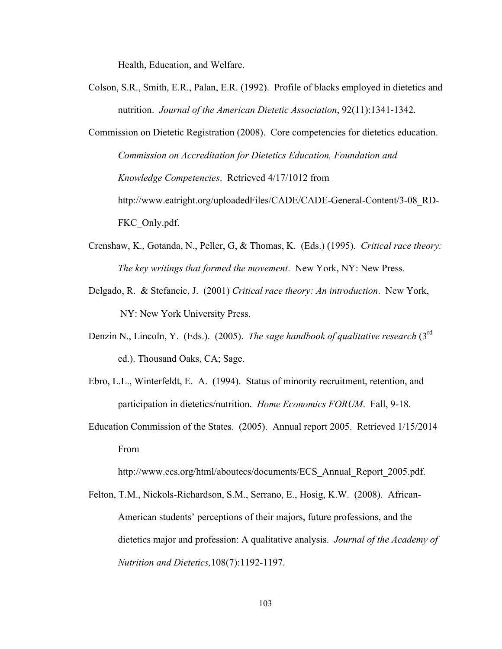Health, Education, and Welfare.

- Colson, S.R., Smith, E.R., Palan, E.R. (1992). Profile of blacks employed in dietetics and nutrition. *Journal of the American Dietetic Association*, 92(11):1341-1342.
- Commission on Dietetic Registration (2008). Core competencies for dietetics education. *Commission on Accreditation for Dietetics Education, Foundation and Knowledge Competencies*. Retrieved 4/17/1012 from http://www.eatright.org/uploadedFiles/CADE/CADE-General-Content/3-08\_RD-FKC\_Only.pdf.
- Crenshaw, K., Gotanda, N., Peller, G, & Thomas, K. (Eds.) (1995). *Critical race theory: The key writings that formed the movement*. New York, NY: New Press.
- Delgado, R. & Stefancic, J. (2001) *Critical race theory: An introduction*. New York, NY: New York University Press.
- Denzin N., Lincoln, Y. (Eds.). (2005). *The sage handbook of qualitative research* (3rd ed.). Thousand Oaks, CA; Sage.
- Ebro, L.L., Winterfeldt, E. A. (1994). Status of minority recruitment, retention, and participation in dietetics/nutrition. *Home Economics FORUM*. Fall, 9-18.
- Education Commission of the States. (2005). Annual report 2005. Retrieved 1/15/2014 From

http://www.ecs.org/html/aboutecs/documents/ECS\_Annual\_Report\_2005.pdf.

Felton, T.M., Nickols-Richardson, S.M., Serrano, E., Hosig, K.W. (2008). African-American students' perceptions of their majors, future professions, and the dietetics major and profession: A qualitative analysis. *Journal of the Academy of Nutrition and Dietetics,*108(7):1192-1197.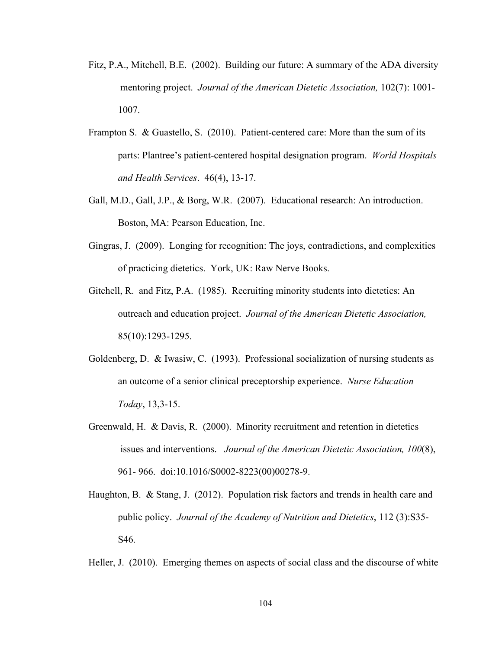- Fitz, P.A., Mitchell, B.E. (2002). Building our future: A summary of the ADA diversity mentoring project. *Journal of the American Dietetic Association,* 102(7): 1001- 1007.
- Frampton S. & Guastello, S. (2010). Patient-centered care: More than the sum of its parts: Plantree's patient-centered hospital designation program. *World Hospitals and Health Services*. 46(4), 13-17.
- Gall, M.D., Gall, J.P., & Borg, W.R. (2007). Educational research: An introduction. Boston, MA: Pearson Education, Inc.
- Gingras, J. (2009). Longing for recognition: The joys, contradictions, and complexities of practicing dietetics. York, UK: Raw Nerve Books.
- Gitchell, R. and Fitz, P.A. (1985). Recruiting minority students into dietetics: An outreach and education project. *Journal of the American Dietetic Association,* 85(10):1293-1295.
- Goldenberg, D. & Iwasiw, C. (1993). Professional socialization of nursing students as an outcome of a senior clinical preceptorship experience. *Nurse Education Today*, 13,3-15.
- Greenwald, H. & Davis, R. (2000). Minority recruitment and retention in dietetics issues and interventions. *Journal of the American Dietetic Association, 100*(8), 961- 966. doi:10.1016/S0002-8223(00)00278-9.
- Haughton, B. & Stang, J. (2012). Population risk factors and trends in health care and public policy. *Journal of the Academy of Nutrition and Dietetics*, 112 (3):S35- S46.

Heller, J. (2010). Emerging themes on aspects of social class and the discourse of white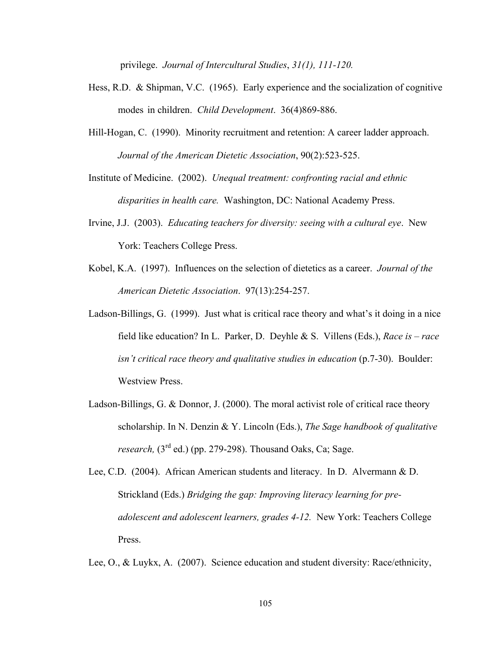privilege. *Journal of Intercultural Studies*, *31(1), 111-120.*

- Hess, R.D. & Shipman, V.C. (1965). Early experience and the socialization of cognitive modes in children. *Child Development*. 36(4)869-886.
- Hill-Hogan, C. (1990). Minority recruitment and retention: A career ladder approach. *Journal of the American Dietetic Association*, 90(2):523-525.

Institute of Medicine. (2002). *Unequal treatment: confronting racial and ethnic disparities in health care.* Washington, DC: National Academy Press.

- Irvine, J.J. (2003). *Educating teachers for diversity: seeing with a cultural eye*. New York: Teachers College Press.
- Kobel, K.A. (1997). Influences on the selection of dietetics as a career. *Journal of the American Dietetic Association*. 97(13):254-257.
- Ladson-Billings, G. (1999). Just what is critical race theory and what's it doing in a nice field like education? In L. Parker, D. Deyhle & S. Villens (Eds.), *Race is – race isn't critical race theory and qualitative studies in education* (p.7-30). Boulder: Westview Press.
- Ladson-Billings, G. & Donnor, J. (2000). The moral activist role of critical race theory scholarship. In N. Denzin & Y. Lincoln (Eds.), *The Sage handbook of qualitative research,* (3<sup>rd</sup> ed.) (pp. 279-298). Thousand Oaks, Ca; Sage.
- Lee, C.D. (2004). African American students and literacy. In D. Alvermann & D. Strickland (Eds.) *Bridging the gap: Improving literacy learning for preadolescent and adolescent learners, grades 4-12.* New York: Teachers College Press.

Lee, O., & Luykx, A. (2007). Science education and student diversity: Race/ethnicity,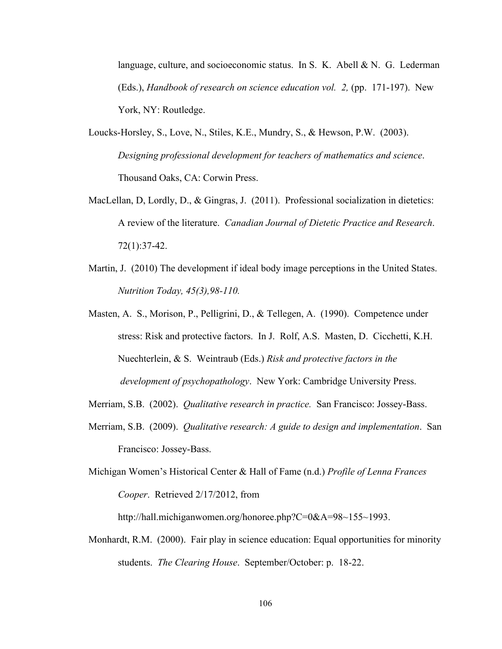language, culture, and socioeconomic status. In S. K. Abell & N. G. Lederman (Eds.), *Handbook of research on science education vol. 2,* (pp. 171-197). New York, NY: Routledge.

- Loucks-Horsley, S., Love, N., Stiles, K.E., Mundry, S., & Hewson, P.W. (2003). *Designing professional development for teachers of mathematics and science*. Thousand Oaks, CA: Corwin Press.
- MacLellan, D, Lordly, D., & Gingras, J. (2011). Professional socialization in dietetics: A review of the literature. *Canadian Journal of Dietetic Practice and Research*. 72(1):37-42.
- Martin, J. (2010) The development if ideal body image perceptions in the United States. *Nutrition Today, 45(3),98-110.*
- Masten, A. S., Morison, P., Pelligrini, D., & Tellegen, A. (1990). Competence under stress: Risk and protective factors. In J. Rolf, A.S. Masten, D. Cicchetti, K.H. Nuechterlein, & S. Weintraub (Eds.) *Risk and protective factors in the development of psychopathology*. New York: Cambridge University Press.
- Merriam, S.B. (2002). *Qualitative research in practice.* San Francisco: Jossey-Bass.
- Merriam, S.B. (2009). *Qualitative research: A guide to design and implementation*. San Francisco: Jossey-Bass.

Michigan Women's Historical Center & Hall of Fame (n.d.) *Profile of Lenna Frances Cooper*. Retrieved 2/17/2012, from

http://hall.michiganwomen.org/honoree.php?C=0&A=98~155~1993.

Monhardt, R.M. (2000). Fair play in science education: Equal opportunities for minority students. *The Clearing House*. September/October: p. 18-22.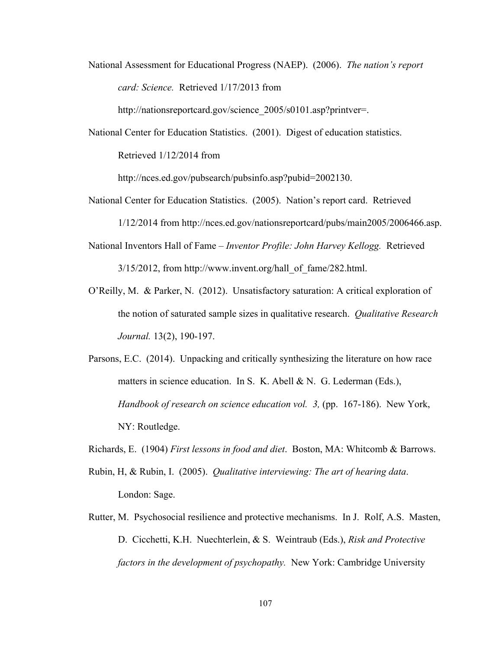National Assessment for Educational Progress (NAEP). (2006). *The nation's report card: Science.* Retrieved 1/17/2013 from

http://nationsreportcard.gov/science\_2005/s0101.asp?printver=.

National Center for Education Statistics. (2001). Digest of education statistics.

Retrieved 1/12/2014 from

http://nces.ed.gov/pubsearch/pubsinfo.asp?pubid=2002130.

National Center for Education Statistics. (2005). Nation's report card. Retrieved

1/12/2014 from http://nces.ed.gov/nationsreportcard/pubs/main2005/2006466.asp.

National Inventors Hall of Fame – *Inventor Profile: John Harvey Kellogg.* Retrieved

 $3/15/2012$ , from http://www.invent.org/hall\_of\_fame/282.html.

- O'Reilly, M. & Parker, N. (2012). Unsatisfactory saturation: A critical exploration of the notion of saturated sample sizes in qualitative research. *Qualitative Research Journal.* 13(2), 190-197.
- Parsons, E.C. (2014). Unpacking and critically synthesizing the literature on how race matters in science education. In S. K. Abell & N. G. Lederman (Eds.), *Handbook of research on science education vol. 3,* (pp. 167-186). New York, NY: Routledge.
- Richards, E. (1904) *First lessons in food and diet*. Boston, MA: Whitcomb & Barrows.
- Rubin, H, & Rubin, I. (2005). *Qualitative interviewing: The art of hearing data*. London: Sage.
- Rutter, M. Psychosocial resilience and protective mechanisms. In J. Rolf, A.S. Masten, D. Cicchetti, K.H. Nuechterlein, & S. Weintraub (Eds.), *Risk and Protective factors in the development of psychopathy.* New York: Cambridge University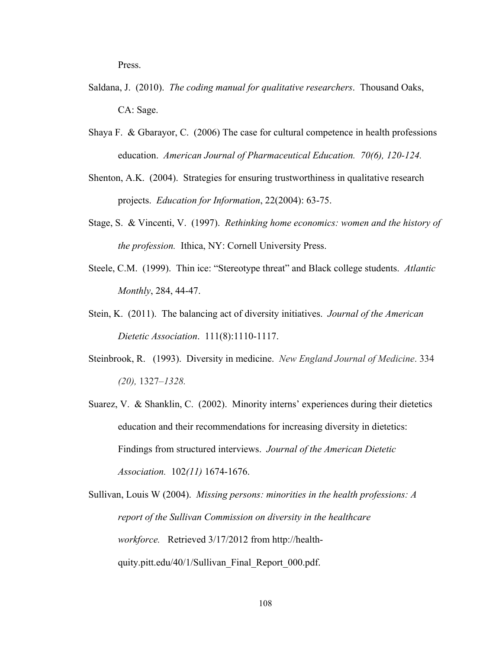Press.

- Saldana, J. (2010). *The coding manual for qualitative researchers*. Thousand Oaks, CA: Sage.
- Shaya F. & Gbarayor, C. (2006) The case for cultural competence in health professions education. *American Journal of Pharmaceutical Education. 70(6), 120-124.*
- Shenton, A.K. (2004). Strategies for ensuring trustworthiness in qualitative research projects. *Education for Information*, 22(2004): 63-75.
- Stage, S. & Vincenti, V. (1997). *Rethinking home economics: women and the history of the profession.* Ithica, NY: Cornell University Press.
- Steele, C.M. (1999). Thin ice: "Stereotype threat" and Black college students. *Atlantic Monthly*, 284, 44-47.
- Stein, K. (2011). The balancing act of diversity initiatives. *Journal of the American Dietetic Association*. 111(8):1110-1117.
- Steinbrook, R. (1993). Diversity in medicine. *New England Journal of Medicine*. 334 *(20),* 1327*–1328.*
- Suarez, V. & Shanklin, C. (2002). Minority interns' experiences during their dietetics education and their recommendations for increasing diversity in dietetics: Findings from structured interviews. *Journal of the American Dietetic Association.* 102*(11)* 1674-1676.

Sullivan, Louis W (2004). *Missing persons: minorities in the health professions: A report of the Sullivan Commission on diversity in the healthcare workforce.* Retrieved 3/17/2012 from http://healthquity.pitt.edu/40/1/Sullivan\_Final\_Report\_000.pdf.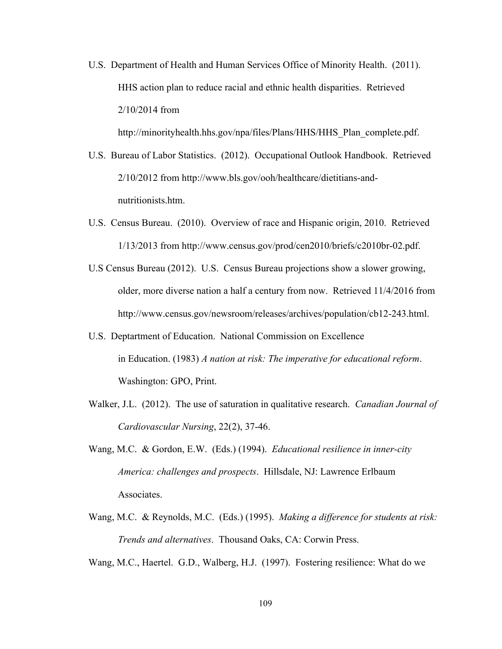U.S. Department of Health and Human Services Office of Minority Health. (2011). HHS action plan to reduce racial and ethnic health disparities. Retrieved 2/10/2014 from

http://minorityhealth.hhs.gov/npa/files/Plans/HHS/HHS\_Plan\_complete.pdf.

- U.S. Bureau of Labor Statistics. (2012). Occupational Outlook Handbook. Retrieved 2/10/2012 from http://www.bls.gov/ooh/healthcare/dietitians-andnutritionists.htm.
- U.S. Census Bureau. (2010). Overview of race and Hispanic origin, 2010. Retrieved 1/13/2013 from http://www.census.gov/prod/cen2010/briefs/c2010br-02.pdf.
- U.S Census Bureau (2012). U.S. Census Bureau projections show a slower growing, older, more diverse nation a half a century from now. Retrieved 11/4/2016 from http://www.census.gov/newsroom/releases/archives/population/cb12-243.html.
- U.S. Deptartment of Education. National Commission on Excellence in Education. (1983) *A nation at risk: The imperative for educational reform*. Washington: GPO, Print.
- Walker, J.L. (2012). The use of saturation in qualitative research. *Canadian Journal of Cardiovascular Nursing*, 22(2), 37-46.
- Wang, M.C. & Gordon, E.W. (Eds.) (1994). *Educational resilience in inner-city America: challenges and prospects*. Hillsdale, NJ: Lawrence Erlbaum Associates.
- Wang, M.C. & Reynolds, M.C. (Eds.) (1995). *Making a difference for students at risk: Trends and alternatives*. Thousand Oaks, CA: Corwin Press.

Wang, M.C., Haertel. G.D., Walberg, H.J. (1997). Fostering resilience: What do we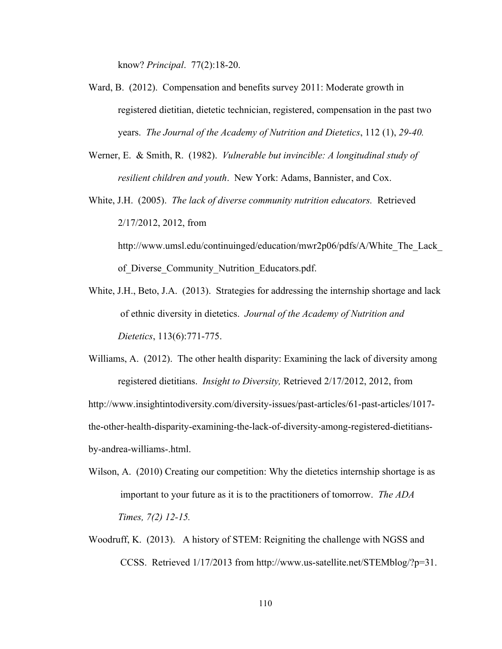know? *Principal*. 77(2):18-20.

- Ward, B. (2012). Compensation and benefits survey 2011: Moderate growth in registered dietitian, dietetic technician, registered, compensation in the past two years. *The Journal of the Academy of Nutrition and Dietetics*, 112 (1), *29-40.*
- Werner, E. & Smith, R. (1982). *Vulnerable but invincible: A longitudinal study of resilient children and youth*. New York: Adams, Bannister, and Cox.
- White, J.H. (2005). *The lack of diverse community nutrition educators.* Retrieved 2/17/2012, 2012, from http://www.umsl.edu/continuinged/education/mwr2p06/pdfs/A/White The Lack

of Diverse Community Nutrition Educators.pdf.

- White, J.H., Beto, J.A. (2013). Strategies for addressing the internship shortage and lack of ethnic diversity in dietetics. *Journal of the Academy of Nutrition and Dietetics*, 113(6):771-775.
- Williams, A. (2012). The other health disparity: Examining the lack of diversity among registered dietitians. *Insight to Diversity,* Retrieved 2/17/2012, 2012, from

http://www.insightintodiversity.com/diversity-issues/past-articles/61-past-articles/1017 the-other-health-disparity-examining-the-lack-of-diversity-among-registered-dietitiansby-andrea-williams-.html.

- Wilson, A. (2010) Creating our competition: Why the dietetics internship shortage is as important to your future as it is to the practitioners of tomorrow. *The ADA Times, 7(2) 12-15.*
- Woodruff, K. (2013). A history of STEM: Reigniting the challenge with NGSS and CCSS. Retrieved 1/17/2013 from http://www.us-satellite.net/STEMblog/?p=31.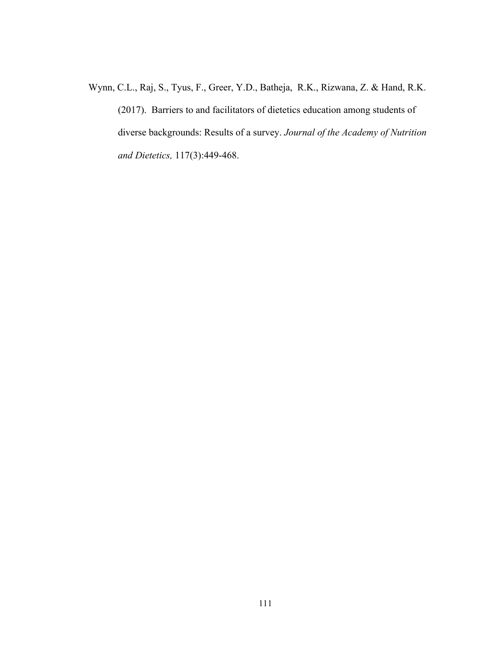Wynn, C.L., Raj, S., Tyus, F., Greer, Y.D., Batheja, R.K., Rizwana, Z. & Hand, R.K. (2017). Barriers to and facilitators of dietetics education among students of diverse backgrounds: Results of a survey. *Journal of the Academy of Nutrition and Dietetics,* 117(3):449-468.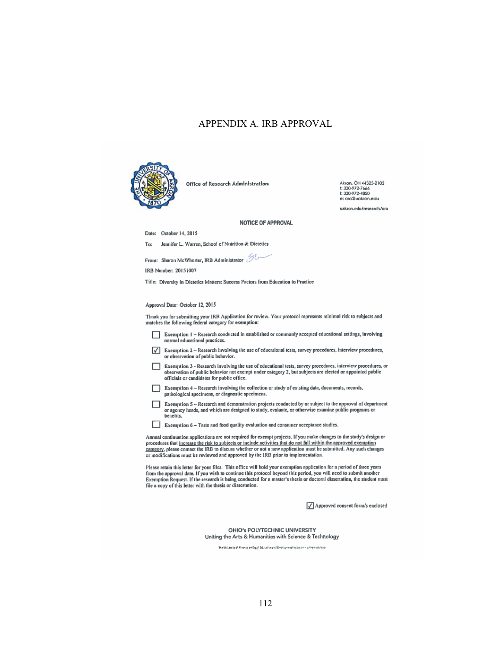## APPENDIX A. IRB APPROVAL



Office of Research Administration

Akron, OH 44325-2102<br>1: 330-972-7666<br>1: 330-972-4850 e: ora@uakron.edu

uakron.edu/research/ora

## NOTICE OF APPROVAL

Date: October 14, 2015

Jennifer L. Warren, School of Nutrition & Dietetics To:

From: Sharon McWhorter, IRB Administrator  $\mathcal{D}$ 

IRB Number: 20151007

Title: Diversity in Dietetics Matters: Success Factors from Education to Practice

## Approval Date: October 12, 2015

Thank you for submitting your IRB Application for review. Your protocol represents minimal risk to subjects and<br>matches the following federal category for exemption:

- Exemption 1 Research conducted in established or commonly accepted educational settings, involving normal educational practices.
- Exemption  $2$  Research involving the use of educational tests, survey procedures, interview procedures, or observation of public behavior.
- Exemption 3 Research involving the use of educational tests, survey procedures, interview procedures, or observation of public behavior not exempt under category 2, but subjects are elected or appointed public officials or candidates for public office.
- Exemption 4 Research involving the collection or study of existing data, documents, records, pathological specimens, or diagnostic specimens.
- Exemption 5 Research and demonstration projects conducted by or subject to the approval of department Exemption 3 - Research and demonstration projects conducted by or stupect to the approval of depart<br>or agency heads, and which are designed to study, evaluate, or otherwise examine public programs or<br>benefits.
- Exemption 6 Taste and food quality evaluation and consumer acceptance studies.

Annual continuation applications are not required for exempt projects. If you make changes to the study's design or procedures that increase the risk to subjects or include activities that do not fall within the approved exemption category, please contact the IRB to discuss whether or not a new application must be submitted. Any such changes or modifications must be reviewed and approved by the IRB prior to implementation.

Please retain this letter for your files. This office will hold your exemption application for a period of three years from the approval date. If you wish to continue this protocol beyond this period, you will need to submit another Exemption Request. If the research is being conducted for a master's thesis or doctoral dissertation, the student must file a copy of this letter with the thesis or dissertation.

 $\sqrt{\rule{0pt}{1.1ex}}$  Approved consent form/s enclosed

OHIO's POLYTECHNIC UNIVERSITY Uniting the Arts & Humanities with Science & Technology

The University of African is an Equal Education and Employment fratises on – ush remediation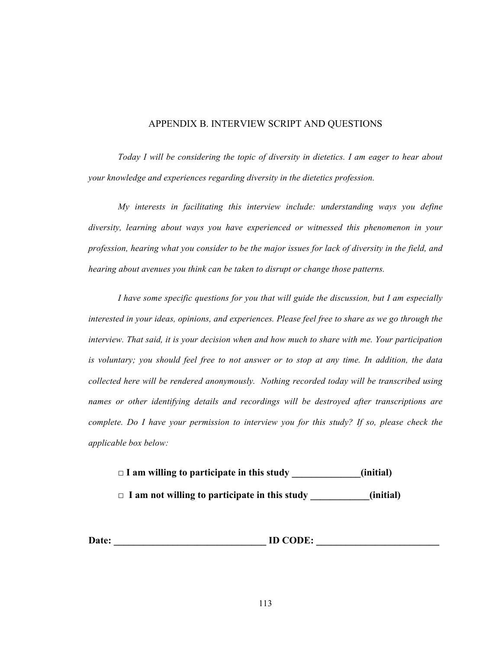## APPENDIX B. INTERVIEW SCRIPT AND QUESTIONS

*Today I will be considering the topic of diversity in dietetics. I am eager to hear about your knowledge and experiences regarding diversity in the dietetics profession.*

*My interests in facilitating this interview include: understanding ways you define diversity, learning about ways you have experienced or witnessed this phenomenon in your profession, hearing what you consider to be the major issues for lack of diversity in the field, and hearing about avenues you think can be taken to disrupt or change those patterns.*

*I have some specific questions for you that will guide the discussion, but I am especially interested in your ideas, opinions, and experiences. Please feel free to share as we go through the interview. That said, it is your decision when and how much to share with me. Your participation is voluntary; you should feel free to not answer or to stop at any time. In addition, the data collected here will be rendered anonymously. Nothing recorded today will be transcribed using names or other identifying details and recordings will be destroyed after transcriptions are complete. Do I have your permission to interview you for this study? If so, please check the applicable box below:*

**□ I am willing to participate in this study \_\_\_\_\_\_\_\_\_\_\_\_\_\_(initial)**

**□ I am not willing to participate in this study \_\_\_\_\_\_\_\_\_\_\_\_(initial)**

Date: **ID CODE:**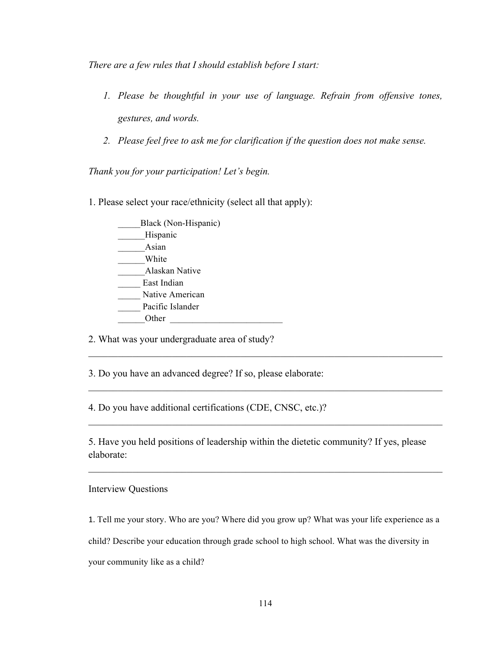*There are a few rules that I should establish before I start:*

- *1. Please be thoughtful in your use of language. Refrain from offensive tones, gestures, and words.*
- *2. Please feel free to ask me for clarification if the question does not make sense.*

*Thank you for your participation! Let's begin.*

- 1. Please select your race/ethnicity (select all that apply):
	- Black (Non-Hispanic) \_\_\_\_\_\_Hispanic \_\_\_\_\_\_Asian \_\_\_\_\_\_White \_\_\_\_\_\_Alaskan Native East Indian Native American Pacific Islander Other  $\Box$

2. What was your undergraduate area of study?

3. Do you have an advanced degree? If so, please elaborate:

4. Do you have additional certifications (CDE, CNSC, etc.)?

5. Have you held positions of leadership within the dietetic community? If yes, please elaborate:

 $\mathcal{L}_\text{max} = \mathcal{L}_\text{max} = \mathcal{L}_\text{max} = \mathcal{L}_\text{max} = \mathcal{L}_\text{max} = \mathcal{L}_\text{max} = \mathcal{L}_\text{max} = \mathcal{L}_\text{max} = \mathcal{L}_\text{max} = \mathcal{L}_\text{max} = \mathcal{L}_\text{max} = \mathcal{L}_\text{max} = \mathcal{L}_\text{max} = \mathcal{L}_\text{max} = \mathcal{L}_\text{max} = \mathcal{L}_\text{max} = \mathcal{L}_\text{max} = \mathcal{L}_\text{max} = \mathcal{$ 

 $\mathcal{L}_\mathcal{L} = \{ \mathcal{L}_\mathcal{L} = \{ \mathcal{L}_\mathcal{L} = \{ \mathcal{L}_\mathcal{L} = \{ \mathcal{L}_\mathcal{L} = \{ \mathcal{L}_\mathcal{L} = \{ \mathcal{L}_\mathcal{L} = \{ \mathcal{L}_\mathcal{L} = \{ \mathcal{L}_\mathcal{L} = \{ \mathcal{L}_\mathcal{L} = \{ \mathcal{L}_\mathcal{L} = \{ \mathcal{L}_\mathcal{L} = \{ \mathcal{L}_\mathcal{L} = \{ \mathcal{L}_\mathcal{L} = \{ \mathcal{L}_\mathcal{$ 

 $\mathcal{L}_\mathcal{L} = \{ \mathcal{L}_\mathcal{L} = \{ \mathcal{L}_\mathcal{L} = \{ \mathcal{L}_\mathcal{L} = \{ \mathcal{L}_\mathcal{L} = \{ \mathcal{L}_\mathcal{L} = \{ \mathcal{L}_\mathcal{L} = \{ \mathcal{L}_\mathcal{L} = \{ \mathcal{L}_\mathcal{L} = \{ \mathcal{L}_\mathcal{L} = \{ \mathcal{L}_\mathcal{L} = \{ \mathcal{L}_\mathcal{L} = \{ \mathcal{L}_\mathcal{L} = \{ \mathcal{L}_\mathcal{L} = \{ \mathcal{L}_\mathcal{$ 

 $\mathcal{L}_\mathcal{L} = \{ \mathcal{L}_\mathcal{L} = \{ \mathcal{L}_\mathcal{L} = \{ \mathcal{L}_\mathcal{L} = \{ \mathcal{L}_\mathcal{L} = \{ \mathcal{L}_\mathcal{L} = \{ \mathcal{L}_\mathcal{L} = \{ \mathcal{L}_\mathcal{L} = \{ \mathcal{L}_\mathcal{L} = \{ \mathcal{L}_\mathcal{L} = \{ \mathcal{L}_\mathcal{L} = \{ \mathcal{L}_\mathcal{L} = \{ \mathcal{L}_\mathcal{L} = \{ \mathcal{L}_\mathcal{L} = \{ \mathcal{L}_\mathcal{$ 

Interview Questions

1. Tell me your story. Who are you? Where did you grow up? What was your life experience as a

child? Describe your education through grade school to high school. What was the diversity in

your community like as a child?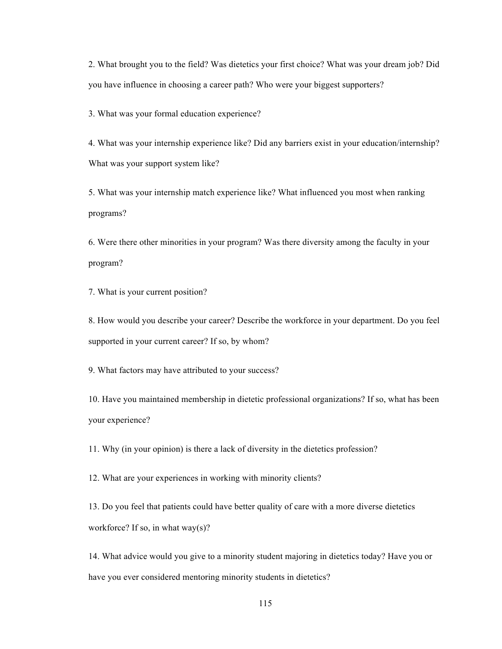2. What brought you to the field? Was dietetics your first choice? What was your dream job? Did you have influence in choosing a career path? Who were your biggest supporters?

3. What was your formal education experience?

4. What was your internship experience like? Did any barriers exist in your education/internship? What was your support system like?

5. What was your internship match experience like? What influenced you most when ranking programs?

6. Were there other minorities in your program? Was there diversity among the faculty in your program?

7. What is your current position?

8. How would you describe your career? Describe the workforce in your department. Do you feel supported in your current career? If so, by whom?

9. What factors may have attributed to your success?

10. Have you maintained membership in dietetic professional organizations? If so, what has been your experience?

11. Why (in your opinion) is there a lack of diversity in the dietetics profession?

12. What are your experiences in working with minority clients?

13. Do you feel that patients could have better quality of care with a more diverse dietetics workforce? If so, in what way(s)?

14. What advice would you give to a minority student majoring in dietetics today? Have you or have you ever considered mentoring minority students in dietetics?

115